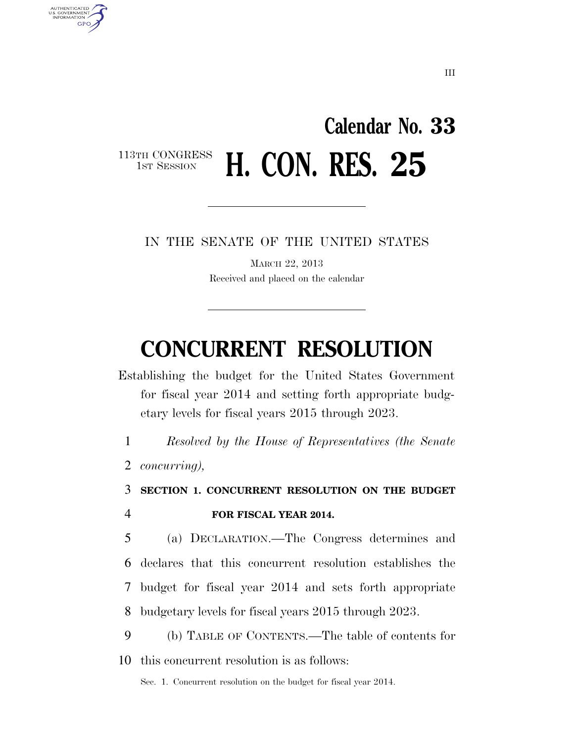# **Calendar No. 33**  113TH CONGRESS<br>1st Session **H. CON. RES. 25**

IN THE SENATE OF THE UNITED STATES

MARCH 22, 2013 Received and placed on the calendar

# **CONCURRENT RESOLUTION**

Establishing the budget for the United States Government for fiscal year 2014 and setting forth appropriate budgetary levels for fiscal years 2015 through 2023.

1 *Resolved by the House of Representatives (the Senate* 

2 *concurring),* 

AUTHENTICATED<br>U.S. GOVERNMENT<br>INFORMATION

**GPO** 

3 **SECTION 1. CONCURRENT RESOLUTION ON THE BUDGET** 

# 4 **FOR FISCAL YEAR 2014.**

 (a) DECLARATION.—The Congress determines and declares that this concurrent resolution establishes the budget for fiscal year 2014 and sets forth appropriate budgetary levels for fiscal years 2015 through 2023.

9 (b) TABLE OF CONTENTS.—The table of contents for 10 this concurrent resolution is as follows:

Sec. 1. Concurrent resolution on the budget for fiscal year 2014.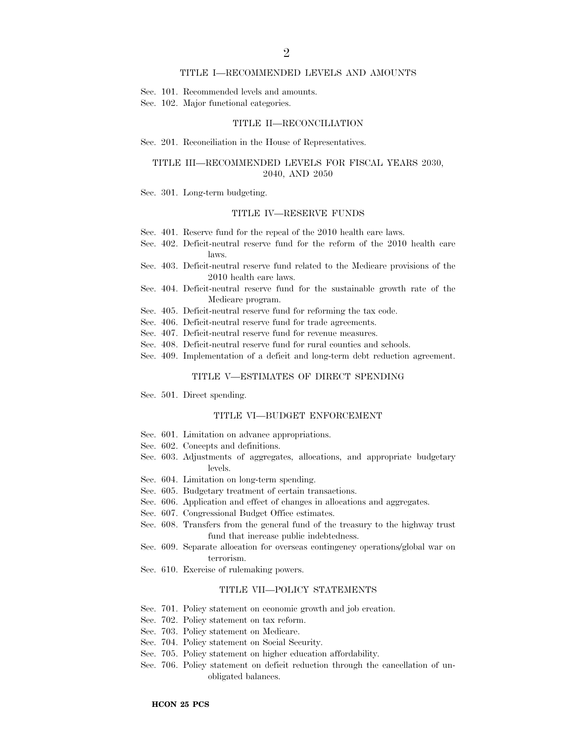### TITLE I—RECOMMENDED LEVELS AND AMOUNTS

- Sec. 101. Recommended levels and amounts.
- Sec. 102. Major functional categories.

#### TITLE II—RECONCILIATION

#### Sec. 201. Reconciliation in the House of Representatives.

## TITLE III—RECOMMENDED LEVELS FOR FISCAL YEARS 2030, 2040, AND 2050

Sec. 301. Long-term budgeting.

#### TITLE IV—RESERVE FUNDS

- Sec. 401. Reserve fund for the repeal of the 2010 health care laws.
- Sec. 402. Deficit-neutral reserve fund for the reform of the 2010 health care laws.
- Sec. 403. Deficit-neutral reserve fund related to the Medicare provisions of the 2010 health care laws.
- Sec. 404. Deficit-neutral reserve fund for the sustainable growth rate of the Medicare program.
- Sec. 405. Deficit-neutral reserve fund for reforming the tax code.
- Sec. 406. Deficit-neutral reserve fund for trade agreements.
- Sec. 407. Deficit-neutral reserve fund for revenue measures.
- Sec. 408. Deficit-neutral reserve fund for rural counties and schools.
- Sec. 409. Implementation of a deficit and long-term debt reduction agreement.

# TITLE V—ESTIMATES OF DIRECT SPENDING

Sec. 501. Direct spending.

#### TITLE VI—BUDGET ENFORCEMENT

- Sec. 601. Limitation on advance appropriations.
- Sec. 602. Concepts and definitions.
- Sec. 603. Adjustments of aggregates, allocations, and appropriate budgetary levels.
- Sec. 604. Limitation on long-term spending.
- Sec. 605. Budgetary treatment of certain transactions.
- Sec. 606. Application and effect of changes in allocations and aggregates.
- Sec. 607. Congressional Budget Office estimates.
- Sec. 608. Transfers from the general fund of the treasury to the highway trust fund that increase public indebtedness.
- Sec. 609. Separate allocation for overseas contingency operations/global war on terrorism.
- Sec. 610. Exercise of rulemaking powers.

## TITLE VII—POLICY STATEMENTS

- Sec. 701. Policy statement on economic growth and job creation.
- Sec. 702. Policy statement on tax reform.
- Sec. 703. Policy statement on Medicare.
- Sec. 704. Policy statement on Social Security.
- Sec. 705. Policy statement on higher education affordability.
- Sec. 706. Policy statement on deficit reduction through the cancellation of unobligated balances.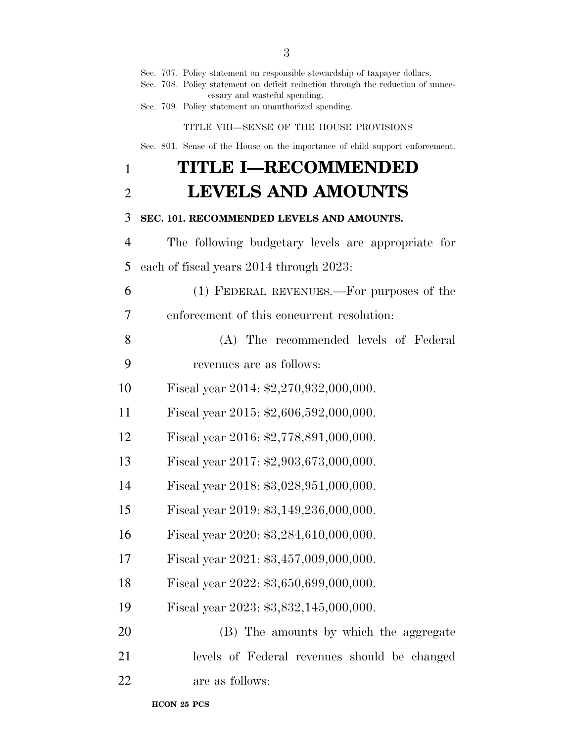|                | Sec. 707. Policy statement on responsible stewardship of taxpayer dollars.<br>Sec. 708. Policy statement on deficit reduction through the reduction of unnec-<br>essary and wasteful spending. |
|----------------|------------------------------------------------------------------------------------------------------------------------------------------------------------------------------------------------|
|                | Sec. 709. Policy statement on unauthorized spending.                                                                                                                                           |
|                | TITLE VIII-SENSE OF THE HOUSE PROVISIONS                                                                                                                                                       |
|                | Sec. 801. Sense of the House on the importance of child support enforcement.                                                                                                                   |
| $\mathbf{1}$   | <b>TITLE I-RECOMMENDED</b>                                                                                                                                                                     |
| $\overline{2}$ | <b>LEVELS AND AMOUNTS</b>                                                                                                                                                                      |
| 3              | SEC. 101. RECOMMENDED LEVELS AND AMOUNTS.                                                                                                                                                      |
| 4              | The following budgetary levels are appropriate for                                                                                                                                             |
| 5              | each of fiscal years 2014 through 2023:                                                                                                                                                        |
| 6              | (1) FEDERAL REVENUES.—For purposes of the                                                                                                                                                      |
| 7              | enforcement of this concurrent resolution.                                                                                                                                                     |
| 8              | (A) The recommended levels of Federal                                                                                                                                                          |
| 9              | revenues are as follows:                                                                                                                                                                       |
| 10             | Fiscal year 2014: $$2,270,932,000,000$ .                                                                                                                                                       |
| 11             | Fiscal year 2015: $$2,606,592,000,000$ .                                                                                                                                                       |
| 12             | Fiscal year 2016: \$2,778,891,000,000.                                                                                                                                                         |
| 13             | Fiscal year 2017: \$2,903,673,000,000.                                                                                                                                                         |
| 14             | Fiscal year 2018: \$3,028,951,000,000.                                                                                                                                                         |
| 15             | Fiscal year 2019: \$3,149,236,000,000.                                                                                                                                                         |
| 16             | Fiscal year 2020: \$3,284,610,000,000.                                                                                                                                                         |
| 17             | Fiscal year 2021: \$3,457,009,000,000.                                                                                                                                                         |
| 18             | Fiscal year 2022: \$3,650,699,000,000.                                                                                                                                                         |
| 19             | Fiscal year 2023: \$3,832,145,000,000.                                                                                                                                                         |
| 20             | (B) The amounts by which the aggregate                                                                                                                                                         |
| 21             | levels of Federal revenues should be changed                                                                                                                                                   |
| 22             | are as follows:                                                                                                                                                                                |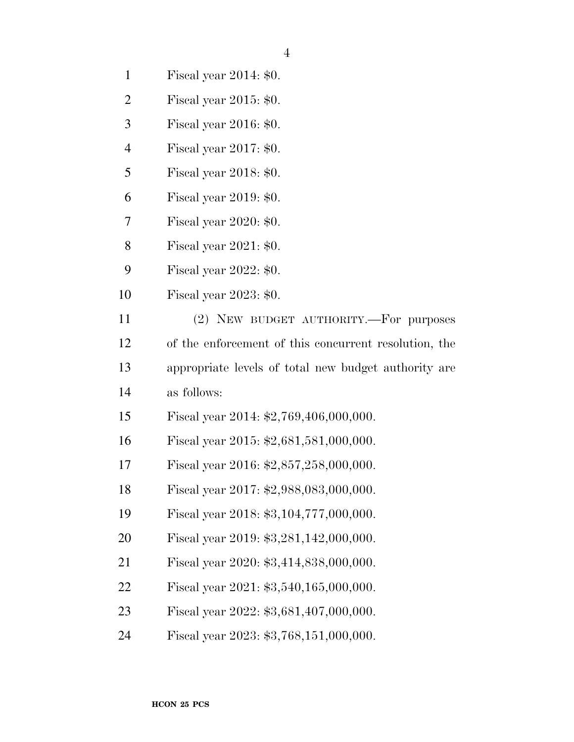| $\mathbf{1}$   | Fiscal year 2014: \$0.                                |
|----------------|-------------------------------------------------------|
| $\overline{2}$ | Fiscal year $2015: $0.$                               |
| 3              | Fiscal year 2016: \$0.                                |
| 4              | Fiscal year $2017: $0.$                               |
| 5              | Fiscal year 2018: \$0.                                |
| 6              | Fiscal year $2019: $0.$                               |
| 7              | Fiscal year 2020: \$0.                                |
| 8              | Fiscal year $2021: $0.$                               |
| 9              | Fiscal year $2022: $0.$                               |
| 10             | Fiscal year $2023: $0.$                               |
| 11             | (2) NEW BUDGET AUTHORITY.—For purposes                |
| 12             | of the enforcement of this concurrent resolution, the |
| 13             | appropriate levels of total new budget authority are  |
| 14             | as follows:                                           |
| 15             | Fiscal year 2014: $$2,769,406,000,000$ .              |
| 16             | Fiscal year 2015: $$2,681,581,000,000$ .              |
| 17             | Fiscal year 2016: \$2,857,258,000,000.                |
| 18             | Fiscal year 2017: \$2,988,083,000,000.                |
| 19             | Fiscal year 2018: \$3,104,777,000,000.                |
| 20             | Fiscal year 2019: \$3,281,142,000,000.                |
| 21             | Fiscal year 2020: \$3,414,838,000,000.                |
| 22             | Fiscal year 2021: \$3,540,165,000,000.                |
| 23             | Fiscal year 2022: \$3,681,407,000,000.                |
| 24             | Fiscal year 2023: \$3,768,151,000,000.                |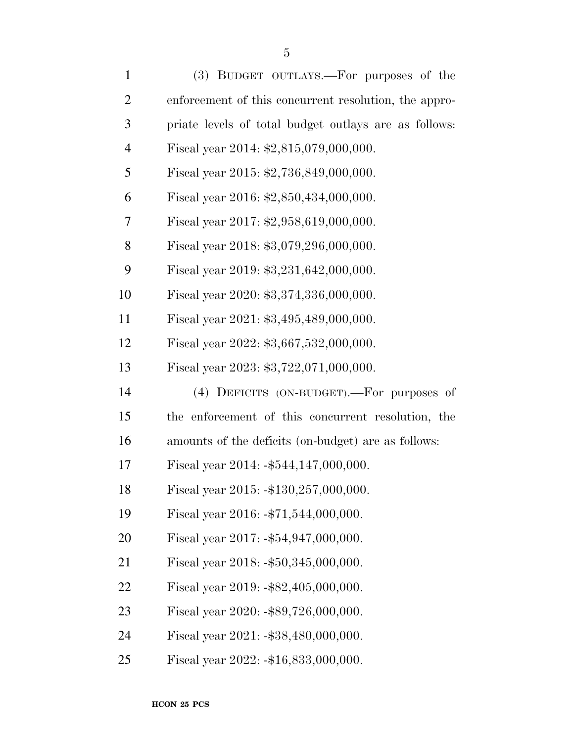| $\mathbf{1}$   | (3) BUDGET OUTLAYS.—For purposes of the               |
|----------------|-------------------------------------------------------|
| $\overline{2}$ | enforcement of this concurrent resolution, the appro- |
| 3              | priate levels of total budget outlays are as follows: |
| $\overline{4}$ | Fiscal year 2014: \$2,815,079,000,000.                |
| 5              | Fiscal year 2015: \$2,736,849,000,000.                |
| 6              | Fiscal year 2016: \$2,850,434,000,000.                |
| 7              | Fiscal year 2017: \$2,958,619,000,000.                |
| 8              | Fiscal year 2018: \$3,079,296,000,000.                |
| 9              | Fiscal year 2019: \$3,231,642,000,000.                |
| 10             | Fiscal year 2020: \$3,374,336,000,000.                |
| 11             | Fiscal year 2021: \$3,495,489,000,000.                |
| 12             | Fiscal year 2022: \$3,667,532,000,000.                |
| 13             | Fiscal year 2023: \$3,722,071,000,000.                |
| 14             | (4) DEFICITS (ON-BUDGET).—For purposes of             |
| 15             | the enforcement of this concurrent resolution, the    |
| 16             | amounts of the deficits (on-budget) are as follows:   |
| 17             | Fiscal year 2014: $-$ \$544,147,000,000.              |
| 18             | Fiscal year 2015: $-130,257,000,000$ .                |
| 19             | Fiscal year 2016: -\$71,544,000,000.                  |
| 20             | Fiscal year $2017: -\$54,947,000,000.$                |
| 21             | Fiscal year $2018: -\$50,345,000,000.$                |
| 22             | Fiscal year $2019: -\$82,405,000,000.$                |
| 23             | Fiscal year $2020: -\$89,726,000,000.$                |
| 24             | Fiscal year $2021: -\$38,480,000,000.$                |
| 25             | Fiscal year 2022: -\$16,833,000,000.                  |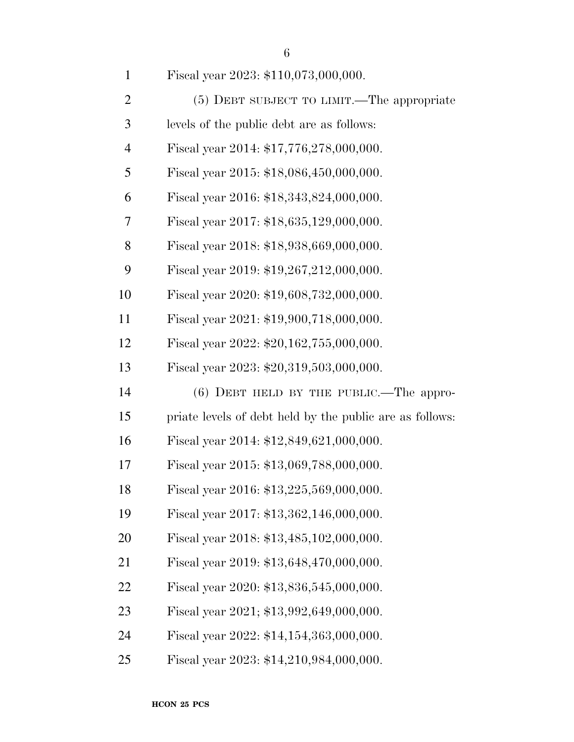|   | ۰      |  |
|---|--------|--|
|   | ٠      |  |
| × | ۰<br>٧ |  |

| $\mathbf{1}$   | Fiscal year 2023: \$110,073,000,000.                     |
|----------------|----------------------------------------------------------|
| $\overline{2}$ | (5) DEBT SUBJECT TO LIMIT.—The appropriate               |
| 3              | levels of the public debt are as follows:                |
| $\overline{4}$ | Fiscal year 2014: \$17,776,278,000,000.                  |
| 5              | Fiscal year 2015: \$18,086,450,000,000.                  |
| 6              | Fiscal year 2016: \$18,343,824,000,000.                  |
| 7              | Fiscal year 2017: \$18,635,129,000,000.                  |
| 8              | Fiscal year 2018: \$18,938,669,000,000.                  |
| 9              | Fiscal year 2019: \$19,267,212,000,000.                  |
| 10             | Fiscal year 2020: \$19,608,732,000,000.                  |
| 11             | Fiscal year 2021: \$19,900,718,000,000.                  |
| 12             | Fiscal year 2022: \$20,162,755,000,000.                  |
| 13             | Fiscal year 2023: \$20,319,503,000,000.                  |
| 14             | $(6)$ DEBT HELD BY THE PUBLIC.—The appro-                |
| 15             | priate levels of debt held by the public are as follows: |
| 16             | Fiscal year 2014: \$12,849,621,000,000.                  |
| 17             | Fiscal year 2015: \$13,069,788,000,000.                  |
| 18             | Fiscal year 2016: \$13,225,569,000,000.                  |
| 19             | Fiscal year 2017: \$13,362,146,000,000.                  |
| 20             | Fiscal year 2018: \$13,485,102,000,000.                  |
| 21             | Fiscal year 2019: \$13,648,470,000,000.                  |
| 22             | Fiscal year 2020: \$13,836,545,000,000.                  |
| 23             | Fiscal year 2021; \$13,992,649,000,000.                  |
| 24             | Fiscal year 2022: \$14,154,363,000,000.                  |
| 25             | Fiscal year 2023: \$14,210,984,000,000.                  |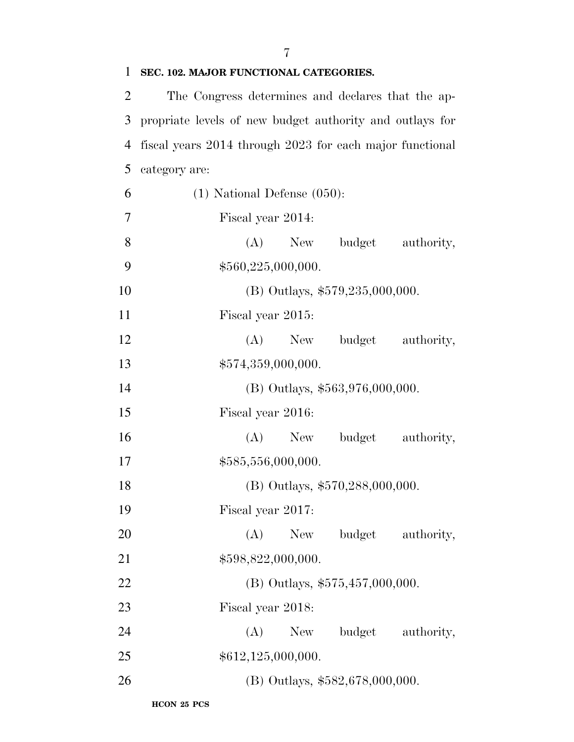| T              | SEC. 102. MAJOR FUNCTIONAL CATEGORIES.                   |  |  |  |  |
|----------------|----------------------------------------------------------|--|--|--|--|
| 2              | The Congress determines and declares that the ap-        |  |  |  |  |
| 3              | propriate levels of new budget authority and outlays for |  |  |  |  |
| $\overline{4}$ | fiscal years 2014 through 2023 for each major functional |  |  |  |  |
| 5              | category are:                                            |  |  |  |  |
| 6              | $(1)$ National Defense $(050)$ :                         |  |  |  |  |
| 7              | Fiscal year 2014:                                        |  |  |  |  |
| 8              | (A) New budget<br>authority,                             |  |  |  |  |
| 9              | \$560,225,000,000.                                       |  |  |  |  |
| 10             | (B) Outlays, $$579,235,000,000$ .                        |  |  |  |  |
| 11             | Fiscal year 2015:                                        |  |  |  |  |
| 12             | $(A)$ New<br>budget<br>authority,                        |  |  |  |  |
| 13             | \$574,359,000,000.                                       |  |  |  |  |
| 14             | $(B)$ Outlays, \$563,976,000,000.                        |  |  |  |  |
| 15             | Fiscal year 2016:                                        |  |  |  |  |
| 16             | $(A)$ New<br>budget<br>authority,                        |  |  |  |  |
| 17             | \$585,556,000,000.                                       |  |  |  |  |
| 18             | (B) Outlays, \$570,288,000,000.                          |  |  |  |  |
| 19             | Fiscal year 2017:                                        |  |  |  |  |
| 20             | (A)<br>budget<br>New<br>authority,                       |  |  |  |  |
| 21             | \$598,822,000,000.                                       |  |  |  |  |
| 22             | (B) Outlays, $$575,457,000,000$ .                        |  |  |  |  |
| 23             | Fiscal year 2018:                                        |  |  |  |  |
| 24             | (A)<br>budget<br>New<br>authority,                       |  |  |  |  |
| 25             | \$612,125,000,000.                                       |  |  |  |  |
| 26             | (B) Outlays, \$582,678,000,000.                          |  |  |  |  |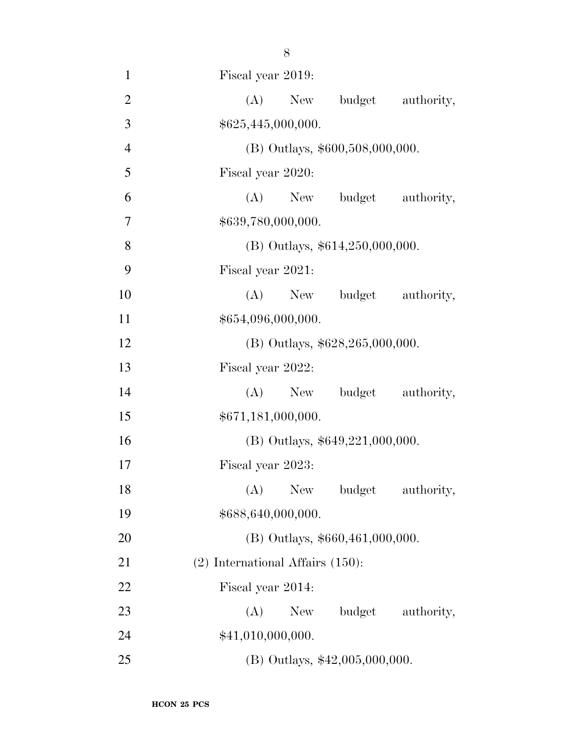Fiscal year 2019: 2 (A) New budget authority,  $$625,445,000,000.$  (B) Outlays, \$600,508,000,000. Fiscal year 2020: (A) New budget authority, 7 \$639,780,000,000. 8 (B) Outlays,  $$614,250,000,000$ . Fiscal year 2021: 10 (A) New budget authority,  $$654,096,000,000.$  (B) Outlays, \$628,265,000,000. Fiscal year 2022: 14 (A) New budget authority,  $$671,181,000,000.$  (B) Outlays, \$649,221,000,000. Fiscal year 2023: 18 (A) New budget authority,  $$688,640,000,000.$ 20 (B) Outlays, \$660,461,000,000. (2) International Affairs (150): Fiscal year 2014: 23 (A) New budget authority, 24 \$41,010,000,000. (B) Outlays, \$42,005,000,000.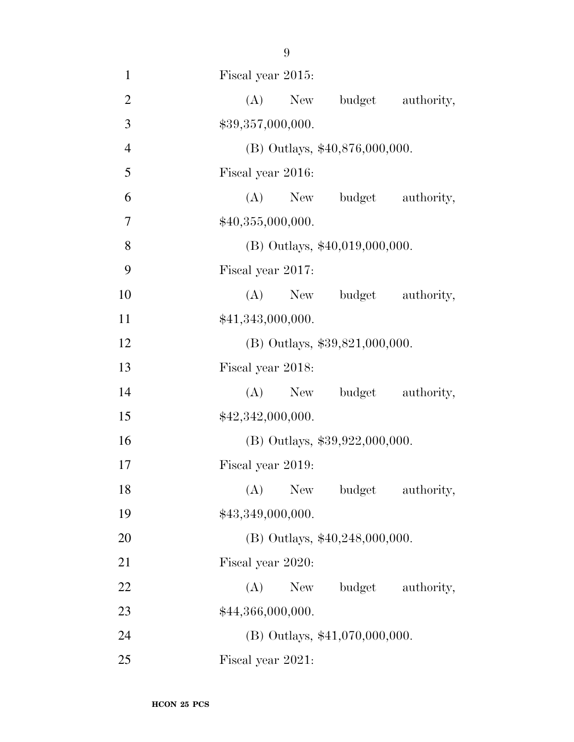- 1 Fiscal year 2015: 2 (A) New budget authority, 3  $$39,357,000,000.$ 4 (B) Outlays, \$40,876,000,000. 5 Fiscal year 2016: 6 (A) New budget authority, 7  $$40,355,000,000.$
- 8 (B) Outlays, \$40,019,000,000.
- 10 (A) New budget authority, 11  $\text{$}41,343,000,000.$
- 12 (B) Outlays, \$39,821,000,000.

9 Fiscal year 2017:

- 
- 13 Fiscal year 2018: 14 (A) New budget authority, 15  $$42,342,000,000.$
- 16 (B) Outlays, \$39,922,000,000.
- 17 Fiscal year 2019: 18 (A) New budget authority,
- 19  $$43,349,000,000.$
- 20 (B) Outlays, \$40,248,000,000.
- 21 Fiscal year 2020:
- 22 (A) New budget authority, 23  $$44,366,000,000.$
- 24 (B) Outlays, \$41,070,000,000.
- 25 Fiscal year 2021: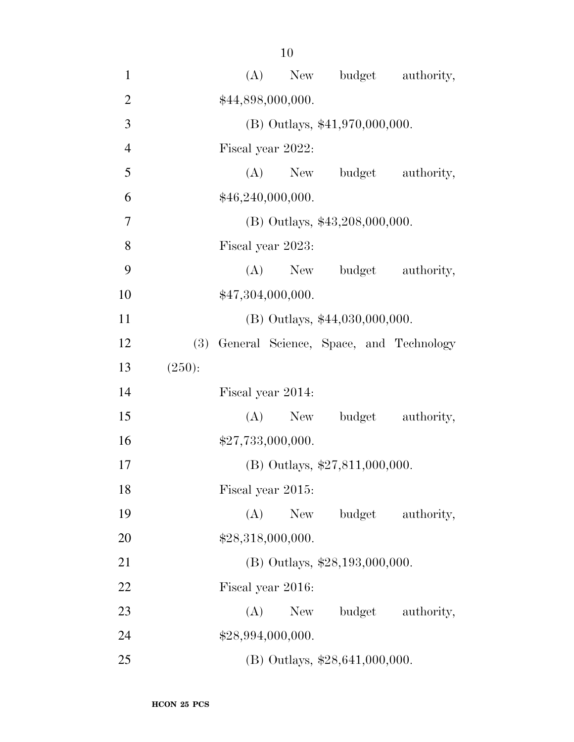| $\mathbf{1}$   |        | (A)                            | New               |                                            | budget authority, |
|----------------|--------|--------------------------------|-------------------|--------------------------------------------|-------------------|
| $\overline{2}$ |        | \$44,898,000,000.              |                   |                                            |                   |
| 3              |        | (B) Outlays, \$41,970,000,000. |                   |                                            |                   |
| $\overline{4}$ |        | Fiscal year 2022:              |                   |                                            |                   |
| 5              |        |                                | $(A)$ New         |                                            | budget authority, |
| 6              |        |                                | \$46,240,000,000. |                                            |                   |
| $\overline{7}$ |        |                                |                   | (B) Outlays, \$43,208,000,000.             |                   |
| 8              |        |                                | Fiscal year 2023: |                                            |                   |
| 9              |        |                                | $(A)$ New         |                                            | budget authority, |
| 10             |        |                                | \$47,304,000,000. |                                            |                   |
| 11             |        |                                |                   | (B) Outlays, \$44,030,000,000.             |                   |
| 12             |        |                                |                   | (3) General Science, Space, and Technology |                   |
| 13             | (250): |                                |                   |                                            |                   |
| 14             |        |                                | Fiscal year 2014: |                                            |                   |
| 15             |        |                                | $(A)$ New         |                                            | budget authority, |
| 16             |        |                                | \$27,733,000,000. |                                            |                   |
| 17             |        |                                |                   | (B) Outlays, \$27,811,000,000.             |                   |
| 18             |        |                                | Fiscal year 2015: |                                            |                   |
| 19             |        | (A)                            | New               |                                            | budget authority, |
| 20             |        |                                | \$28,318,000,000. |                                            |                   |
| 21             |        |                                |                   | (B) Outlays, \$28,193,000,000.             |                   |
| 22             |        |                                | Fiscal year 2016: |                                            |                   |
| 23             |        | (A)                            | New               |                                            | budget authority, |
| 24             |        |                                | \$28,994,000,000. |                                            |                   |
| 25             |        |                                |                   | $(B)$ Outlays, \$28,641,000,000.           |                   |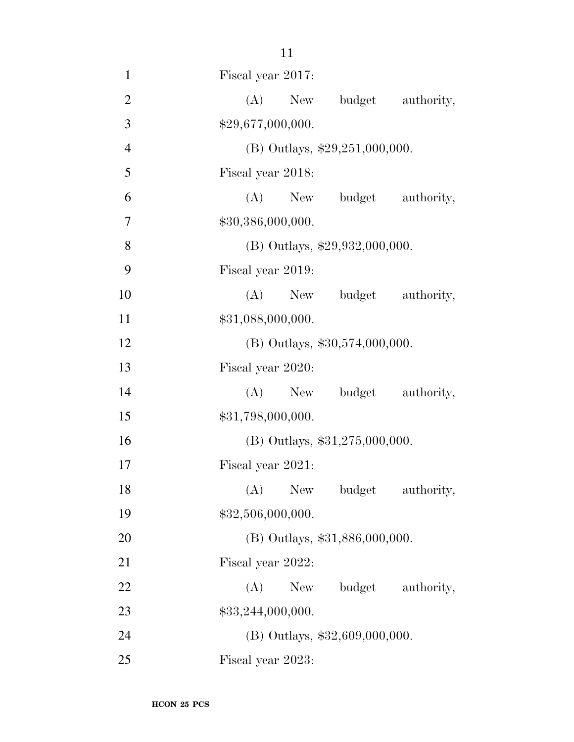| $\mathbf{1}$   | Fiscal year 2017:                  |
|----------------|------------------------------------|
| $\overline{2}$ | (A)<br>budget<br>New<br>authority, |
| 3              | \$29,677,000,000.                  |
| $\overline{4}$ | (B) Outlays, $$29,251,000,000$ .   |
| 5              | Fiscal year 2018:                  |
| 6              | (A) New budget authority,          |
| $\overline{7}$ | \$30,386,000,000.                  |
| 8              | (B) Outlays, \$29,932,000,000.     |
| 9              | Fiscal year 2019:                  |
| 10             | (A)<br>New budget authority,       |
| 11             | \$31,088,000,000.                  |
| 12             | $(B)$ Outlays, \$30,574,000,000.   |
| 13             | Fiscal year 2020:                  |
| 14             | budget authority,<br>$(A)$ New     |
| 15             | \$31,798,000,000.                  |
| 16             | $(B)$ Outlays, \$31,275,000,000.   |
| 17             | Fiscal year 2021:                  |
| 18             | (A) New budget authority,          |
| 19             | \$32,506,000,000.                  |
| 20             | (B) Outlays, \$31,886,000,000.     |
| 21             | Fiscal year 2022:                  |
| 22             | budget<br>authority,<br>(A)<br>New |
| 23             | \$33,244,000,000.                  |
| 24             | $(B)$ Outlays, \$32,609,000,000.   |
| 25             | Fiscal year 2023:                  |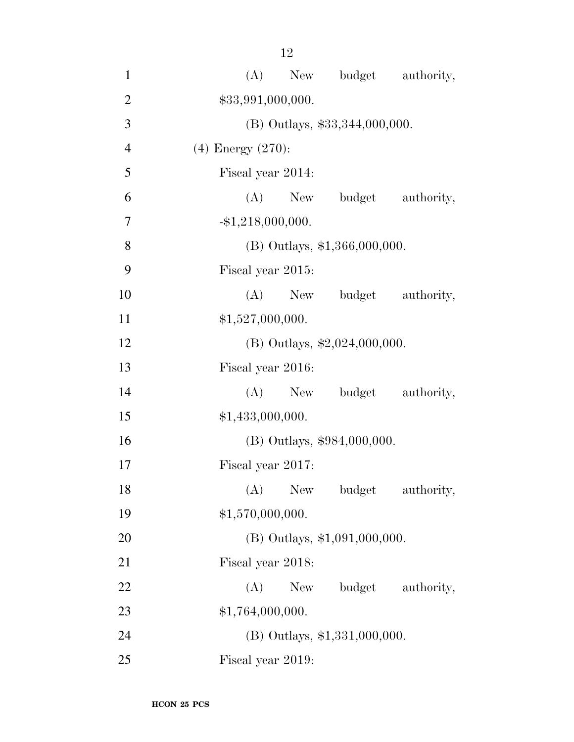(A) New budget authority, 2 \$33,991,000,000. (B) Outlays, \$33,344,000,000. (4) Energy (270): Fiscal year 2014: (A) New budget authority,  $-1,218,000,000$ . (B) Outlays, \$1,366,000,000. Fiscal year 2015: 10 (A) New budget authority,  $$1,527,000,000.$  (B) Outlays, \$2,024,000,000. Fiscal year 2016: 14 (A) New budget authority, 15 \$1,433,000,000. (B) Outlays, \$984,000,000. Fiscal year 2017: 18 (A) New budget authority,  $$1,570,000,000.$  (B) Outlays, \$1,091,000,000. Fiscal year 2018: 22 (A) New budget authority, 23 \$1,764,000,000. (B) Outlays, \$1,331,000,000.

Fiscal year 2019: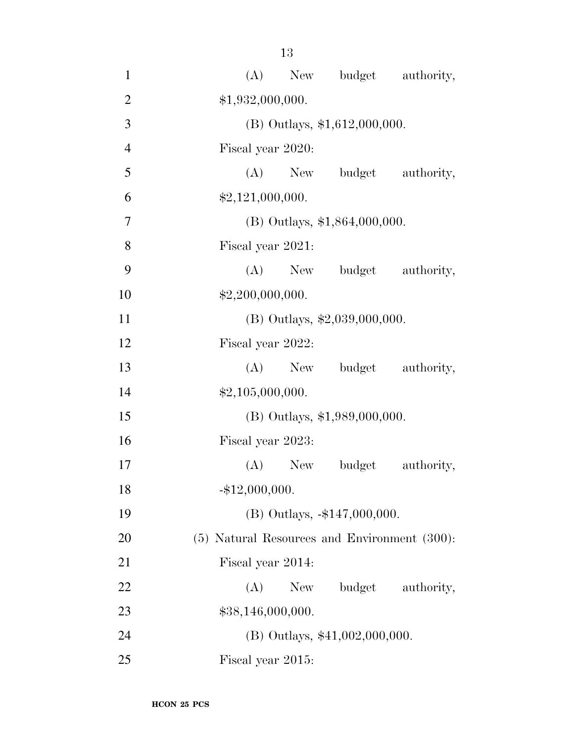| $\mathbf{1}$   | New budget authority,<br>(A)                 |
|----------------|----------------------------------------------|
| $\overline{2}$ | \$1,932,000,000.                             |
| 3              | $(B)$ Outlays, \$1,612,000,000.              |
| $\overline{4}$ | Fiscal year 2020:                            |
| 5              | (A) New budget authority,                    |
| 6              | \$2,121,000,000.                             |
| $\overline{7}$ | $(B)$ Outlays, \$1,864,000,000.              |
| 8              | Fiscal year 2021:                            |
| 9              | (A) New budget authority,                    |
| 10             | \$2,200,000,000.                             |
| 11             | $(B)$ Outlays, \$2,039,000,000.              |
| 12             | Fiscal year 2022:                            |
| 13             | (A) New budget authority,                    |
| 14             | \$2,105,000,000.                             |
| 15             | $(B)$ Outlays, \$1,989,000,000.              |
| 16             | Fiscal year 2023:                            |
| 17             | (A) New budget authority,                    |
| 18             | $-$ \$12,000,000.                            |
| 19             | (B) Outlays, -\$147,000,000.                 |
| 20             | (5) Natural Resources and Environment (300): |
| 21             | Fiscal year 2014:                            |
| 22             | budget authority,<br>(A)<br>New              |
| 23             | \$38,146,000,000.                            |
| 24             | (B) Outlays, \$41,002,000,000.               |
| 25             | Fiscal year 2015:                            |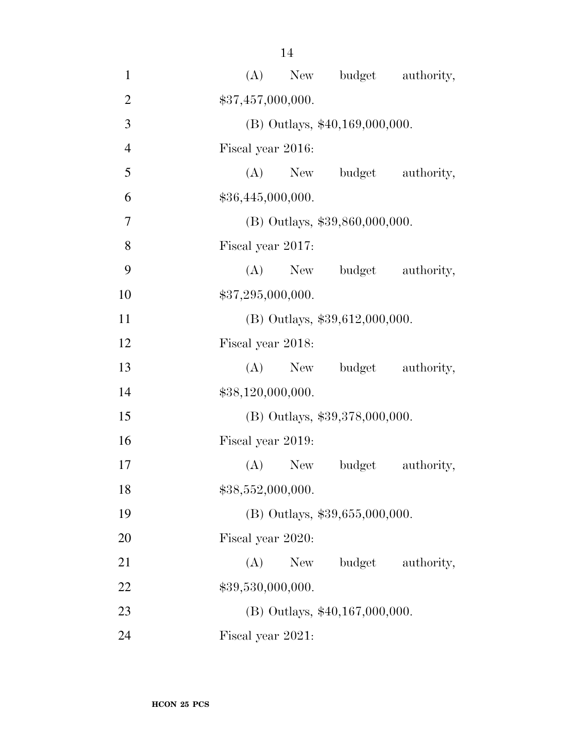| $\mathbf{1}$   | (A)<br>New budget<br>authority,    |
|----------------|------------------------------------|
| $\overline{2}$ | \$37,457,000,000.                  |
| 3              | (B) Outlays, \$40,169,000,000.     |
| $\overline{4}$ | Fiscal year 2016:                  |
| 5              | $(A)$ New<br>budget authority,     |
| 6              | \$36,445,000,000.                  |
| 7              | (B) Outlays, \$39,860,000,000.     |
| 8              | Fiscal year 2017:                  |
| 9              | (A)<br>New budget<br>authority,    |
| 10             | \$37,295,000,000.                  |
| 11             | (B) Outlays, \$39,612,000,000.     |
| 12             | Fiscal year 2018:                  |
| 13             | $(A)$ New<br>budget<br>authority,  |
| 14             | \$38,120,000,000.                  |
| 15             | (B) Outlays, \$39,378,000,000.     |
| 16             | Fiscal year 2019:                  |
| 17             | (A)<br>budget<br>authority,<br>New |
| 18             | \$38,552,000,000.                  |
| 19             | (B) Outlays, \$39,655,000,000.     |
| 20             | Fiscal year 2020:                  |
| 21             | budget<br>(A)<br>New<br>authority, |
| 22             | \$39,530,000,000.                  |
| 23             | (B) Outlays, \$40,167,000,000.     |
| 24             | Fiscal year 2021:                  |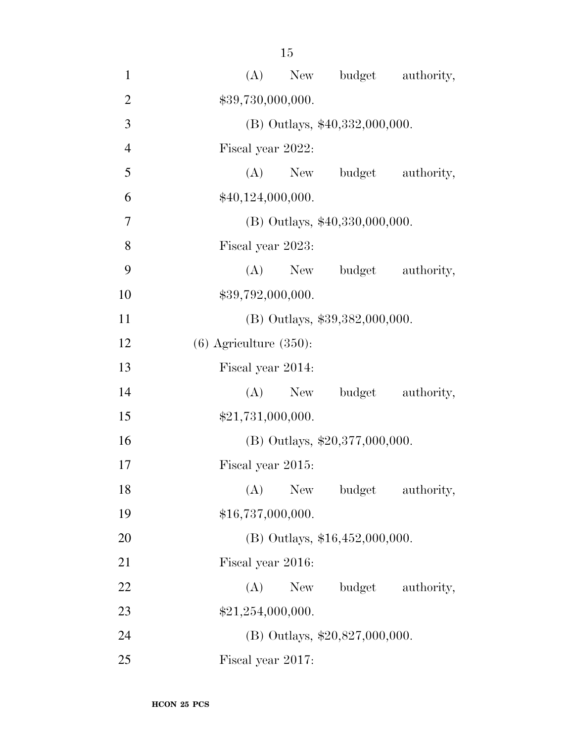| $\mathbf{1}$   | New budget authority,<br>(A)       |
|----------------|------------------------------------|
| $\overline{2}$ | \$39,730,000,000.                  |
| 3              | (B) Outlays, \$40,332,000,000.     |
| $\overline{4}$ | Fiscal year 2022:                  |
| 5              | $(A)$ New<br>budget authority,     |
| 6              | \$40,124,000,000.                  |
| 7              | $(B)$ Outlays, \$40,330,000,000.   |
| 8              | Fiscal year 2023:                  |
| 9              | budget authority,<br>(A)<br>New    |
| 10             | \$39,792,000,000.                  |
| 11             | (B) Outlays, \$39,382,000,000.     |
| 12             | $(6)$ Agriculture $(350)$ :        |
| 13             | Fiscal year 2014:                  |
| 14             | budget authority,<br>(A)<br>New    |
| 15             | \$21,731,000,000.                  |
| 16             | (B) Outlays, $$20,377,000,000$ .   |
| 17             | Fiscal year 2015:                  |
| 18             | (A)<br>New<br>authority,<br>budget |
| 19             | \$16,737,000,000.                  |
| 20             | (B) Outlays, $$16,452,000,000$ .   |
| 21             | Fiscal year 2016:                  |
| 22             | budget authority,<br>(A)<br>New \, |
| 23             | \$21,254,000,000.                  |
| 24             | (B) Outlays, $$20,827,000,000$ .   |
| 25             | Fiscal year 2017:                  |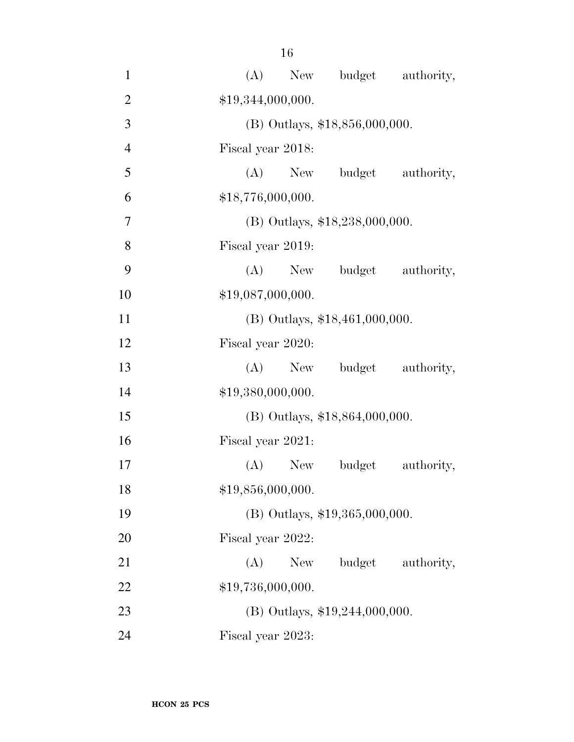| $\mathbf{1}$   | (A)                              | New budget authority, |                   |
|----------------|----------------------------------|-----------------------|-------------------|
| $\overline{2}$ | \$19,344,000,000.                |                       |                   |
| 3              | (B) Outlays, \$18,856,000,000.   |                       |                   |
| $\overline{4}$ | Fiscal year 2018:                |                       |                   |
| 5              | $(A)$ New                        |                       | budget authority, |
| 6              | \$18,776,000,000.                |                       |                   |
| 7              | (B) Outlays, \$18,238,000,000.   |                       |                   |
| 8              | Fiscal year 2019:                |                       |                   |
| 9              | (A)                              | New budget authority, |                   |
| 10             | \$19,087,000,000.                |                       |                   |
| 11             | (B) Outlays, \$18,461,000,000.   |                       |                   |
| 12             | Fiscal year 2020:                |                       |                   |
| 13             | $(A)$ New                        |                       | budget authority, |
| 14             | \$19,380,000,000.                |                       |                   |
| 15             | $(B)$ Outlays, \$18,864,000,000. |                       |                   |
| 16             | Fiscal year 2021:                |                       |                   |
| 17             | (A)<br>New                       | budget                | authority,        |
| 18             | \$19,856,000,000.                |                       |                   |
| 19             | (B) Outlays, \$19,365,000,000.   |                       |                   |
| 20             | Fiscal year 2022:                |                       |                   |
| 21             | (A)<br>New                       | budget                | authority,        |
| 22             | \$19,736,000,000.                |                       |                   |
| 23             | $(B)$ Outlays, \$19,244,000,000. |                       |                   |
| 24             | Fiscal year 2023:                |                       |                   |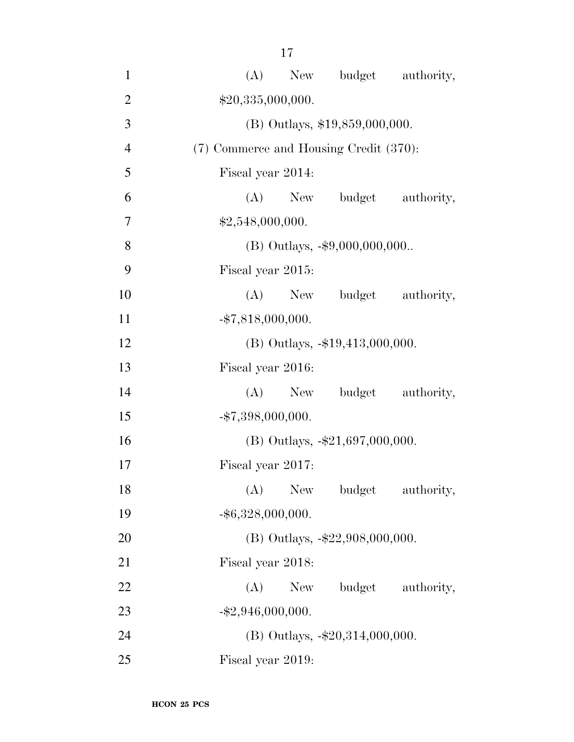| $\mathbf{1}$   | New budget authority,<br>(A)           |
|----------------|----------------------------------------|
| $\overline{2}$ | \$20,335,000,000.                      |
| 3              | (B) Outlays, \$19,859,000,000.         |
| $\overline{4}$ | (7) Commerce and Housing Credit (370): |
| 5              | Fiscal year 2014:                      |
| 6              | (A) New budget<br>authority,           |
| $\overline{7}$ | \$2,548,000,000.                       |
| 8              | (B) Outlays, -\$9,000,000,000          |
| 9              | Fiscal year 2015:                      |
| 10             | (A)<br>New budget authority,           |
| 11             | $-$ \$7,818,000,000.                   |
| 12             | (B) Outlays, -\$19,413,000,000.        |
| 13             | Fiscal year 2016:                      |
| 14             | (A) New budget authority,              |
| 15             | $-$ \$7,398,000,000.                   |
| 16             | (B) Outlays, $-\$21,697,000,000$ .     |
| 17             | Fiscal year 2017:                      |
| 18             | (A)<br>New<br>budget<br>authority,     |
| 19             | $-$ \$6,328,000,000.                   |
| 20             | $(B)$ Outlays, $-\$22,908,000,000$ .   |
| 21             | Fiscal year 2018:                      |
| 22             | budget<br>(A)<br>New<br>authority,     |
| 23             | $-$ \$2,946,000,000.                   |
| 24             | $(B)$ Outlays, $-\$20,314,000,000$ .   |
| 25             | Fiscal year 2019:                      |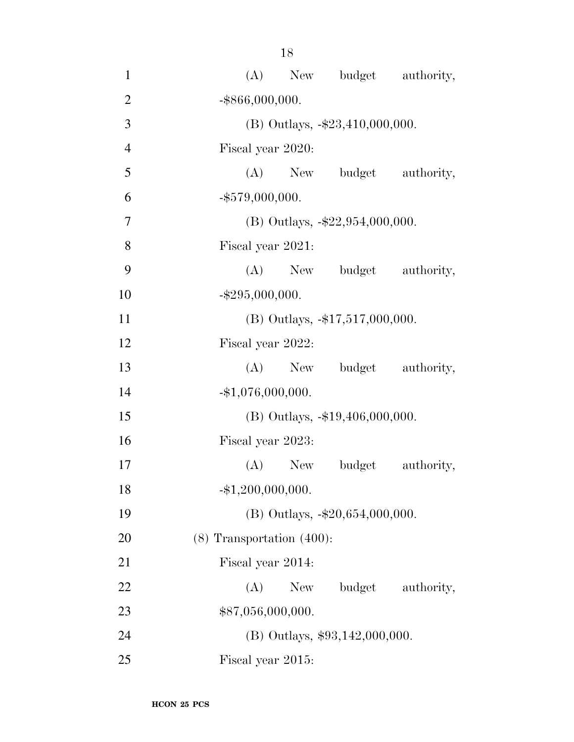| $\mathbf{1}$   | (A) New budget authority,          |
|----------------|------------------------------------|
| $\overline{2}$ | $-$ \$866,000,000.                 |
| 3              | (B) Outlays, -\$23,410,000,000.    |
| $\overline{4}$ | Fiscal year 2020:                  |
| 5              | (A) New budget authority,          |
| 6              | $-$ \$579,000,000.                 |
| 7              | (B) Outlays, $-\$22,954,000,000$ . |
| 8              | Fiscal year 2021:                  |
| 9              | (A) New budget authority,          |
| 10             | $-$ \$295,000,000.                 |
| 11             | (B) Outlays, -\$17,517,000,000.    |
| 12             | Fiscal year 2022:                  |
| 13             | (A) New budget authority,          |
| 14             | $-$ \$1,076,000,000.               |
| 15             | $(B)$ Outlays, $-19,406,000,000$ . |
| 16             | Fiscal year 2023:                  |
| 17             | budget<br>authority,<br>$(A)$ New  |
| 18             | $-$ \$1,200,000,000.               |
| 19             | (B) Outlays, -\$20,654,000,000.    |
| 20             | $(8)$ Transportation $(400)$ :     |
| 21             | Fiscal year 2014:                  |
| 22             | budget authority,<br>(A)<br>New    |
| 23             | \$87,056,000,000.                  |
| 24             | $(B)$ Outlays, \$93,142,000,000.   |
| 25             | Fiscal year 2015:                  |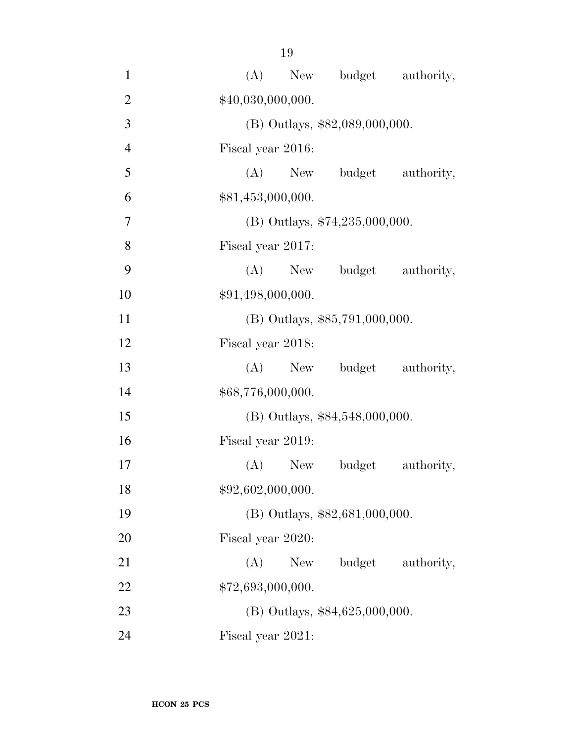| $\mathbf{1}$   | New budget authority,<br>(A)       |
|----------------|------------------------------------|
| $\overline{2}$ | \$40,030,000,000.                  |
| 3              | (B) Outlays, \$82,089,000,000.     |
| $\overline{4}$ | Fiscal year 2016:                  |
| 5              | (A) New budget authority,          |
| 6              | \$81,453,000,000.                  |
| $\overline{7}$ | (B) Outlays, $$74,235,000,000$ .   |
| 8              | Fiscal year 2017:                  |
| 9              | (A) New budget authority,          |
| 10             | \$91,498,000,000.                  |
| 11             | $(B)$ Outlays, \$85,791,000,000.   |
| 12             | Fiscal year 2018:                  |
| 13             | (A) New budget authority,          |
| 14             | \$68,776,000,000.                  |
| 15             | (B) Outlays, \$84,548,000,000.     |
| 16             | Fiscal year 2019:                  |
| 17             | $(A)$ New<br>budget<br>authority,  |
| 18             | \$92,602,000,000.                  |
| 19             | (B) Outlays, \$82,681,000,000.     |
| 20             | Fiscal year 2020:                  |
| 21             | budget<br>(A)<br>New<br>authority, |
| 22             | \$72,693,000,000.                  |
| 23             | $(B)$ Outlays, \$84,625,000,000.   |
| 24             | Fiscal year 2021:                  |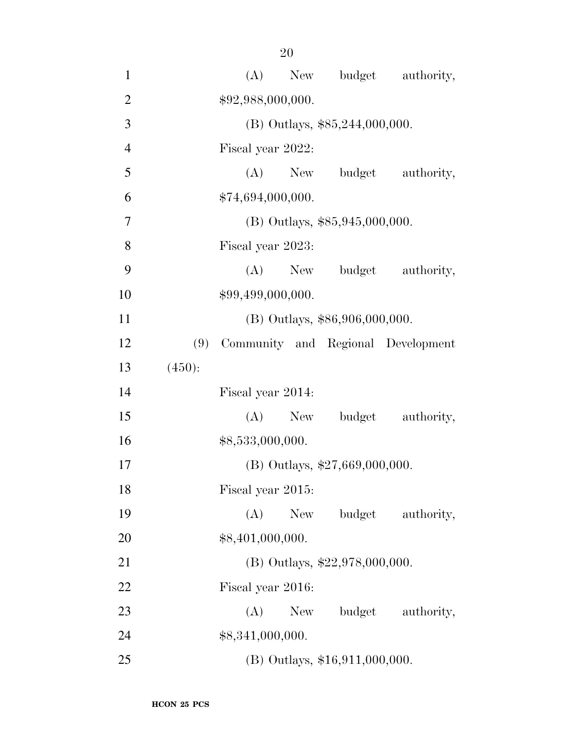| $\mathbf{1}$   |        | (A)               | New |                                | budget authority,                  |
|----------------|--------|-------------------|-----|--------------------------------|------------------------------------|
| $\overline{2}$ |        | \$92,988,000,000. |     |                                |                                    |
| 3              |        |                   |     | (B) Outlays, \$85,244,000,000. |                                    |
| $\overline{4}$ |        | Fiscal year 2022: |     |                                |                                    |
| 5              |        | (A)               | New | budget                         | authority,                         |
| 6              |        | \$74,694,000,000. |     |                                |                                    |
| 7              |        |                   |     | (B) Outlays, \$85,945,000,000. |                                    |
| 8              |        | Fiscal year 2023: |     |                                |                                    |
| 9              |        | (A)               | New | budget                         | authority,                         |
| 10             |        | \$99,499,000,000. |     |                                |                                    |
| 11             |        |                   |     | (B) Outlays, \$86,906,000,000. |                                    |
| 12             | (9)    |                   |     |                                | Community and Regional Development |
| 13             | (450): |                   |     |                                |                                    |
| 14             |        | Fiscal year 2014: |     |                                |                                    |
| 15             |        | (A)               | New | budget                         | authority,                         |
| 16             |        | \$8,533,000,000.  |     |                                |                                    |
| 17             |        |                   |     | (B) Outlays, \$27,669,000,000. |                                    |
| 18             |        | Fiscal year 2015: |     |                                |                                    |
| 19             |        | (A)               | New | budget                         | authority,                         |
| 20             |        | \$8,401,000,000.  |     |                                |                                    |
| 21             |        |                   |     | (B) Outlays, \$22,978,000,000. |                                    |
| 22             |        | Fiscal year 2016: |     |                                |                                    |
| 23             |        | (A)               | New | budget                         | authority,                         |
| 24             |        | \$8,341,000,000.  |     |                                |                                    |
| 25             |        |                   |     | (B) Outlays, \$16,911,000,000. |                                    |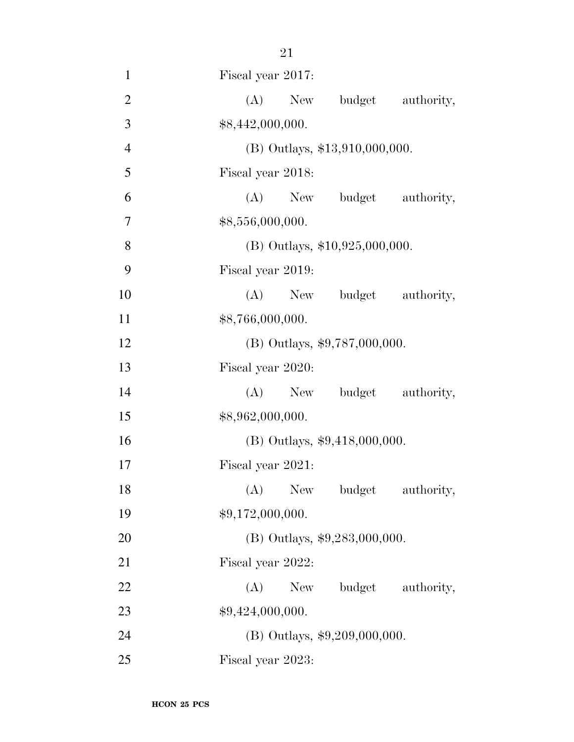| $\mathbf{1}$   | Fiscal year 2017:                |
|----------------|----------------------------------|
| $\overline{2}$ | (A)<br>New<br>budget authority,  |
| 3              | \$8,442,000,000.                 |
| $\overline{4}$ | (B) Outlays, \$13,910,000,000.   |
| 5              | Fiscal year 2018:                |
| 6              | (A)<br>New budget authority,     |
| 7              | \$8,556,000,000.                 |
| 8              | $(B)$ Outlays, \$10,925,000,000. |
| 9              | Fiscal year 2019:                |
| 10             | (A)<br>New budget authority,     |
| 11             | \$8,766,000,000.                 |
| 12             | (B) Outlays, \$9,787,000,000.    |
| 13             | Fiscal year 2020:                |
| 14             | budget authority,<br>$(A)$ New   |
| 15             | \$8,962,000,000.                 |
| 16             | (B) Outlays, \$9,418,000,000.    |
| 17             | Fiscal year 2021:                |
| 18             | (A) New budget authority,        |
| 19             | \$9,172,000,000.                 |
| 20             | (B) Outlays, \$9,283,000,000.    |
| 21             | Fiscal year 2022:                |
| 22             | $(A)$ New<br>budget authority,   |
| 23             | \$9,424,000,000.                 |
| 24             | (B) Outlays, \$9,209,000,000.    |
| 25             | Fiscal year 2023:                |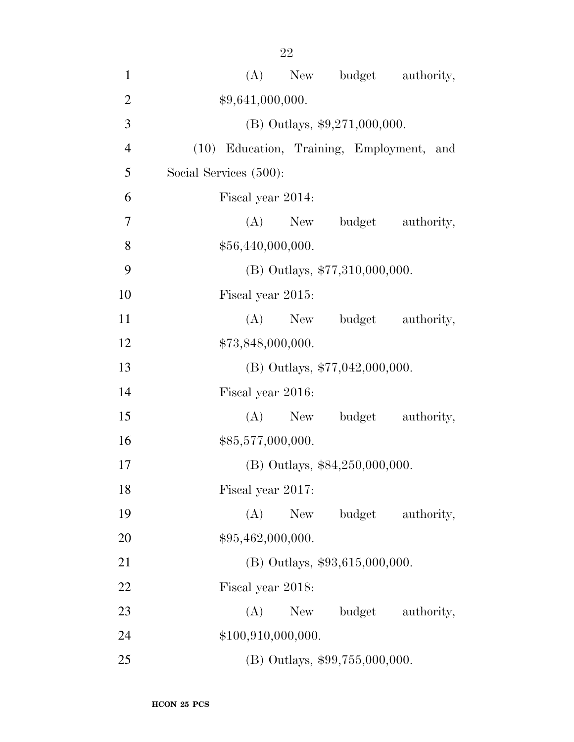| $\mathbf{1}$   | (A) New budget authority,                 |
|----------------|-------------------------------------------|
| $\overline{2}$ | \$9,641,000,000.                          |
| 3              | (B) Outlays, $$9,271,000,000$ .           |
| $\overline{4}$ | (10) Education, Training, Employment, and |
| 5              | Social Services (500):                    |
| 6              | Fiscal year 2014:                         |
| 7              | (A) New budget authority,                 |
| 8              | \$56,440,000,000.                         |
| 9              | $(B)$ Outlays, \$77,310,000,000.          |
| 10             | Fiscal year 2015:                         |
| 11             | (A) New budget authority,                 |
| 12             | \$73,848,000,000.                         |
| 13             | (B) Outlays, $$77,042,000,000$ .          |
| 14             | Fiscal year 2016:                         |
| 15             | (A) New budget authority,                 |
| 16             | \$85,577,000,000.                         |
| 17             | (B) Outlays, \$84,250,000,000.            |
| 18             | Fiscal year 2017:                         |
| 19             | (A)<br>budget<br>New \,<br>authority,     |
| 20             | \$95,462,000,000.                         |
| 21             | $(B)$ Outlays, \$93,615,000,000.          |
| 22             | Fiscal year 2018:                         |
| 23             | (A)<br>budget<br>authority,<br>New        |
| 24             | \$100,910,000,000.                        |
| 25             | (B) Outlays, \$99,755,000,000.            |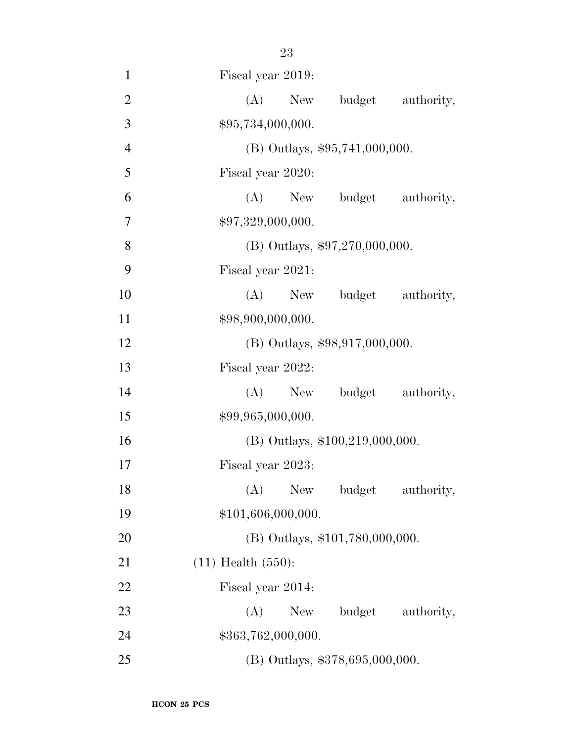| $\mathbf{1}$   | Fiscal year 2019:                |
|----------------|----------------------------------|
| $\mathbf{2}$   | New budget authority,<br>(A)     |
| 3              | \$95,734,000,000.                |
| $\overline{4}$ | (B) Outlays, \$95,741,000,000.   |
| 5              | Fiscal year 2020:                |
| 6              | (A) New budget authority,        |
| 7              | \$97,329,000,000.                |
| 8              | $(B)$ Outlays, \$97,270,000,000. |
| 9              | Fiscal year 2021:                |
| 10             | (A) New budget authority,        |
| 11             | \$98,900,000,000.                |
| 12             | (B) Outlays, \$98,917,000,000.   |
| 13             | Fiscal year 2022:                |
| 14             | (A)<br>New budget authority,     |
| 15             | \$99,965,000,000.                |
| 16             | (B) Outlays, \$100,219,000,000.  |
| 17             | Fiscal year 2023:                |
| 18             | (A) New budget authority,        |
| 19             | \$101,606,000,000.               |
| 20             | (B) Outlays, \$101,780,000,000.  |
| 21             | $(11)$ Health $(550)$ :          |
| 22             | Fiscal year 2014:                |
| 23             | budget authority,<br>(A)<br>New  |
| 24             | \$363,762,000,000.               |
| 25             | (B) Outlays, \$378,695,000,000.  |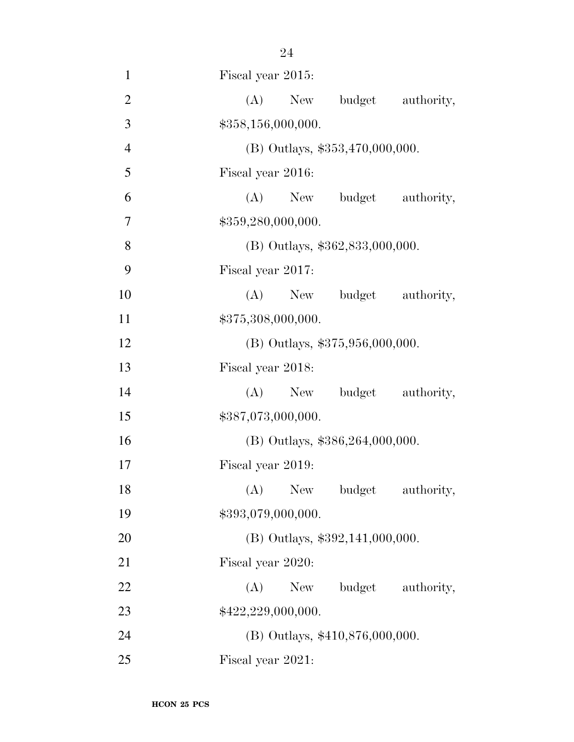| $\mathbf{1}$   | Fiscal year 2015:                  |
|----------------|------------------------------------|
| $\overline{2}$ | (A)<br>New<br>budget<br>authority, |
| 3              | \$358,156,000,000.                 |
| $\overline{4}$ | (B) Outlays, \$353,470,000,000.    |
| 5              | Fiscal year 2016:                  |
| 6              | budget authority,<br>$(A)$ New     |
| 7              | \$359,280,000,000.                 |
| 8              | (B) Outlays, \$362,833,000,000.    |
| 9              | Fiscal year 2017:                  |
| 10             | (A) New budget authority,          |
| 11             | \$375,308,000,000.                 |
| 12             | (B) Outlays, \$375,956,000,000.    |
| 13             | Fiscal year 2018:                  |
| 14             | budget authority,<br>(A)<br>New    |
| 15             | \$387,073,000,000.                 |
| 16             | (B) Outlays, \$386,264,000,000.    |
| 17             | Fiscal year 2019:                  |
| 18             | (A) New budget authority,          |
| 19             | \$393,079,000,000.                 |
| 20             | (B) Outlays, \$392,141,000,000.    |
| 21             | Fiscal year 2020:                  |
| 22             | budget authority,<br>(A)<br>New    |
| 23             | \$422,229,000,000.                 |
| 24             | (B) Outlays, \$410,876,000,000.    |
| 25             | Fiscal year 2021:                  |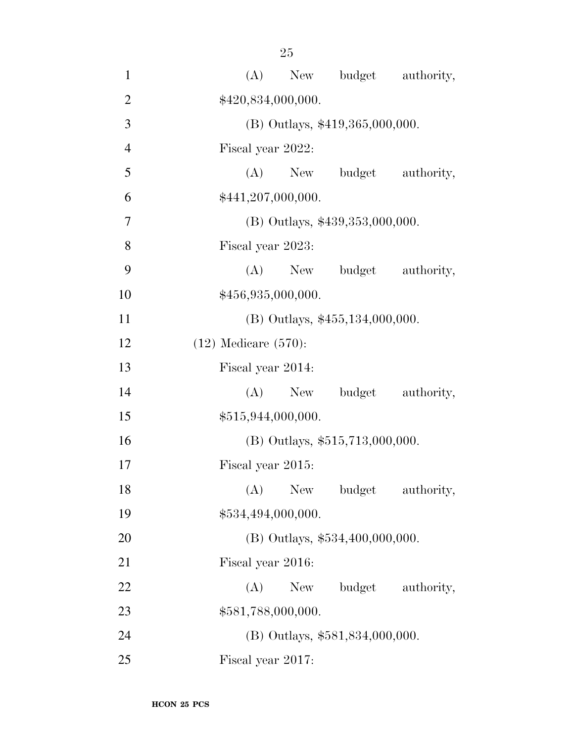| $\mathbf{1}$   | budget authority,<br>(A)<br>New    |  |  |  |  |
|----------------|------------------------------------|--|--|--|--|
| $\overline{2}$ | \$420,834,000,000.                 |  |  |  |  |
| 3              | (B) Outlays, \$419,365,000,000.    |  |  |  |  |
| $\overline{4}$ | Fiscal year 2022:                  |  |  |  |  |
| 5              | (A)<br>budget<br>authority,<br>New |  |  |  |  |
| 6              | \$441,207,000,000.                 |  |  |  |  |
| $\overline{7}$ | (B) Outlays, \$439,353,000,000.    |  |  |  |  |
| 8              | Fiscal year 2023:                  |  |  |  |  |
| 9              | (A)<br>budget<br>authority,<br>New |  |  |  |  |
| 10             | \$456,935,000,000.                 |  |  |  |  |
| 11             | $(B)$ Outlays, \$455,134,000,000.  |  |  |  |  |
| 12             | $(12)$ Medicare $(570)$ :          |  |  |  |  |
| 13             | Fiscal year 2014:                  |  |  |  |  |
| 14             | (A)<br>budget authority,<br>New    |  |  |  |  |
| 15             | \$515,944,000,000.                 |  |  |  |  |
| 16             | (B) Outlays, \$515,713,000,000.    |  |  |  |  |
| 17             | Fiscal year 2015:                  |  |  |  |  |
| 18             | (A)<br>New<br>budget<br>authority, |  |  |  |  |
| 19             | \$534,494,000,000.                 |  |  |  |  |
| 20             | (B) Outlays, \$534,400,000,000.    |  |  |  |  |
| 21             | Fiscal year 2016:                  |  |  |  |  |
| 22             | budget authority,<br>(A)<br>New    |  |  |  |  |
| 23             | \$581,788,000,000.                 |  |  |  |  |
| 24             | (B) Outlays, \$581,834,000,000.    |  |  |  |  |
| 25             | Fiscal year 2017:                  |  |  |  |  |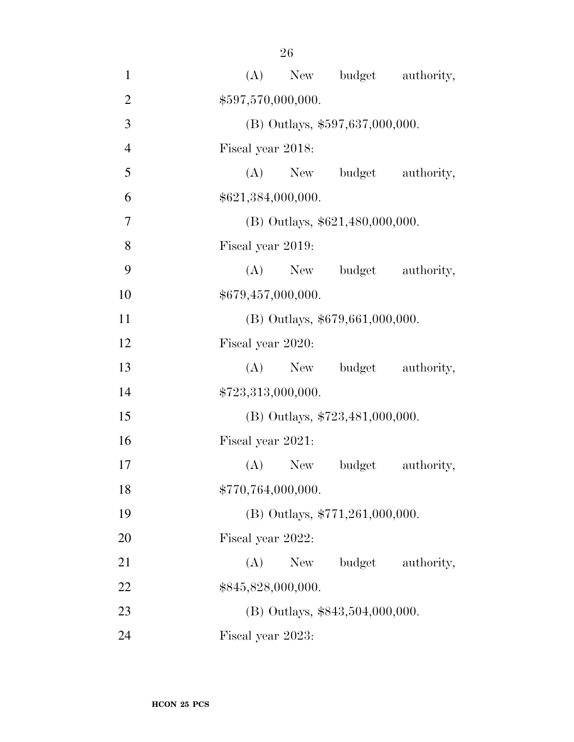| $\mathbf{1}$   | (A)                             |                    | New budget authority,             |                   |
|----------------|---------------------------------|--------------------|-----------------------------------|-------------------|
| $\overline{2}$ |                                 | \$597,570,000,000. |                                   |                   |
| 3              | (B) Outlays, \$597,637,000,000. |                    |                                   |                   |
| $\overline{4}$ | Fiscal year 2018:               |                    |                                   |                   |
| 5              |                                 |                    | (A) New budget                    | authority,        |
| 6              |                                 | \$621,384,000,000. |                                   |                   |
| $\overline{7}$ |                                 |                    | (B) Outlays, \$621,480,000,000.   |                   |
| 8              | Fiscal year 2019:               |                    |                                   |                   |
| 9              |                                 | $(A)$ New          | budget                            | authority,        |
| 10             |                                 | \$679,457,000,000. |                                   |                   |
| 11             |                                 |                    | $(B)$ Outlays, \$679,661,000,000. |                   |
| 12             | Fiscal year 2020:               |                    |                                   |                   |
| 13             |                                 | $(A)$ New          |                                   | budget authority, |
| 14             |                                 | \$723,313,000,000. |                                   |                   |
| 15             |                                 |                    | (B) Outlays, \$723,481,000,000.   |                   |
| 16             | Fiscal year 2021:               |                    |                                   |                   |
| 17             |                                 | $(A)$ New          | budget                            | authority,        |
| 18             |                                 | \$770,764,000,000. |                                   |                   |
| 19             |                                 |                    | (B) Outlays, \$771,261,000,000.   |                   |
| 20             | Fiscal year 2022:               |                    |                                   |                   |
| 21             | (A)                             | New                | budget                            | authority,        |
| 22             |                                 | \$845,828,000,000. |                                   |                   |
| 23             |                                 |                    | (B) Outlays, \$843,504,000,000.   |                   |
| 24             | Fiscal year 2023:               |                    |                                   |                   |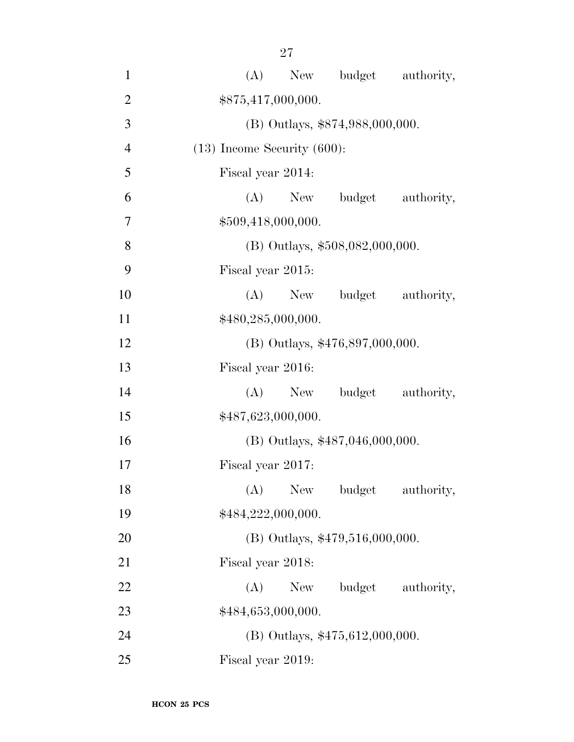| 1              | (A) New budget authority,          |  |  |  |  |
|----------------|------------------------------------|--|--|--|--|
| $\overline{2}$ | \$875,417,000,000.                 |  |  |  |  |
| 3              | (B) Outlays, \$874,988,000,000.    |  |  |  |  |
| $\overline{4}$ | $(13)$ Income Security $(600)$ :   |  |  |  |  |
| 5              | Fiscal year 2014:                  |  |  |  |  |
| 6              | New budget<br>(A)<br>authority,    |  |  |  |  |
| 7              | \$509,418,000,000.                 |  |  |  |  |
| 8              | (B) Outlays, \$508,082,000,000.    |  |  |  |  |
| 9              | Fiscal year 2015:                  |  |  |  |  |
| 10             | $(A)$ New<br>budget<br>authority,  |  |  |  |  |
| 11             | \$480,285,000,000.                 |  |  |  |  |
| 12             | $(B)$ Outlays, \$476,897,000,000.  |  |  |  |  |
| 13             | Fiscal year 2016:                  |  |  |  |  |
| 14             | (A)<br>budget authority,<br>New    |  |  |  |  |
| 15             | \$487,623,000,000.                 |  |  |  |  |
| 16             | (B) Outlays, \$487,046,000,000.    |  |  |  |  |
| 17             | Fiscal year 2017:                  |  |  |  |  |
| 18             | budget<br>New<br>(A)<br>authority, |  |  |  |  |
| 19             | \$484,222,000,000.                 |  |  |  |  |
| 20             | $(B)$ Outlays, \$479,516,000,000.  |  |  |  |  |
| 21             | Fiscal year 2018:                  |  |  |  |  |
| 22             | budget<br>(A)<br>New<br>authority, |  |  |  |  |
| 23             | \$484,653,000,000.                 |  |  |  |  |
| 24             | $(B)$ Outlays, \$475,612,000,000.  |  |  |  |  |
| 25             | Fiscal year 2019:                  |  |  |  |  |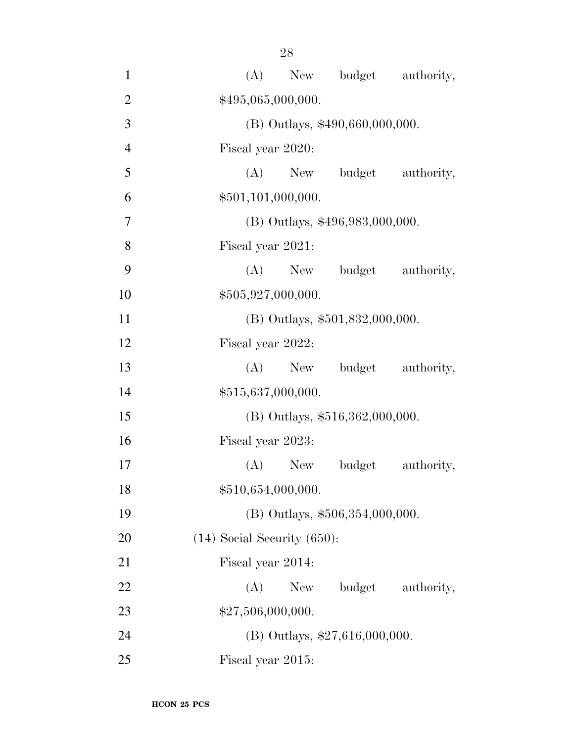| $\mathbf{1}$   | New budget authority,<br>(A)       |  |  |  |  |
|----------------|------------------------------------|--|--|--|--|
| $\overline{2}$ | \$495,065,000,000.                 |  |  |  |  |
| 3              | (B) Outlays, \$490,660,000,000.    |  |  |  |  |
| $\overline{4}$ | Fiscal year 2020:                  |  |  |  |  |
| 5              | (A)<br>budget authority,<br>New    |  |  |  |  |
| 6              | \$501,101,000,000.                 |  |  |  |  |
| 7              | (B) Outlays, \$496,983,000,000.    |  |  |  |  |
| 8              | Fiscal year 2021:                  |  |  |  |  |
| 9              | (A)<br>New<br>budget<br>authority, |  |  |  |  |
| 10             | \$505,927,000,000.                 |  |  |  |  |
| 11             | (B) Outlays, \$501,832,000,000.    |  |  |  |  |
| 12             | Fiscal year 2022:                  |  |  |  |  |
| 13             | budget<br>$(A)$ New<br>authority,  |  |  |  |  |
| 14             | \$515,637,000,000.                 |  |  |  |  |
| 15             | (B) Outlays, \$516,362,000,000.    |  |  |  |  |
| 16             | Fiscal year 2023:                  |  |  |  |  |
| 17             | $(A)$ New<br>budget<br>authority,  |  |  |  |  |
| 18             | \$510,654,000,000.                 |  |  |  |  |
| 19             | (B) Outlays, \$506,354,000,000.    |  |  |  |  |
| 20             | $(14)$ Social Security $(650)$ :   |  |  |  |  |
| 21             | Fiscal year 2014:                  |  |  |  |  |
| 22             | budget<br>(A)<br>New<br>authority, |  |  |  |  |
| 23             | \$27,506,000,000.                  |  |  |  |  |
| 24             | (B) Outlays, \$27,616,000,000.     |  |  |  |  |
| 25             | Fiscal year 2015:                  |  |  |  |  |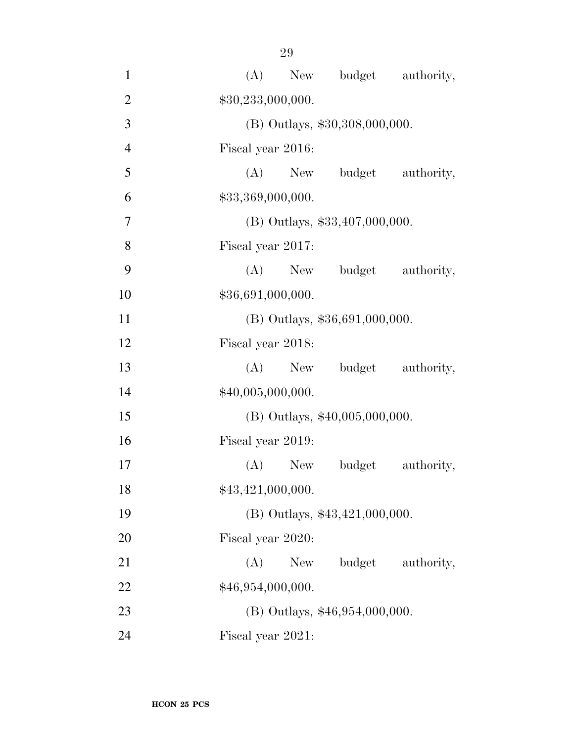| $\mathbf{1}$   | New budget authority,<br>(A)       |
|----------------|------------------------------------|
| $\overline{2}$ | \$30,233,000,000.                  |
| 3              | (B) Outlays, \$30,308,000,000.     |
| $\overline{4}$ | Fiscal year 2016:                  |
| 5              | (A) New budget authority,          |
| 6              | \$33,369,000,000.                  |
| 7              | $(B)$ Outlays, \$33,407,000,000.   |
| 8              | Fiscal year 2017:                  |
| 9              | (A) New budget authority,          |
| 10             | \$36,691,000,000.                  |
| 11             | (B) Outlays, \$36,691,000,000.     |
| 12             | Fiscal year 2018:                  |
| 13             | budget authority,<br>$(A)$ New     |
| 14             | \$40,005,000,000.                  |
| 15             | $(B)$ Outlays, \$40,005,000,000.   |
| 16             | Fiscal year 2019:                  |
| 17             | $(A)$ New<br>budget<br>authority,  |
| 18             | \$43,421,000,000.                  |
| 19             | (B) Outlays, \$43,421,000,000.     |
| 20             | Fiscal year 2020:                  |
| 21             | budget<br>(A)<br>New<br>authority, |
| 22             | \$46,954,000,000.                  |
| 23             | $(B)$ Outlays, \$46,954,000,000.   |
| 24             | Fiscal year 2021:                  |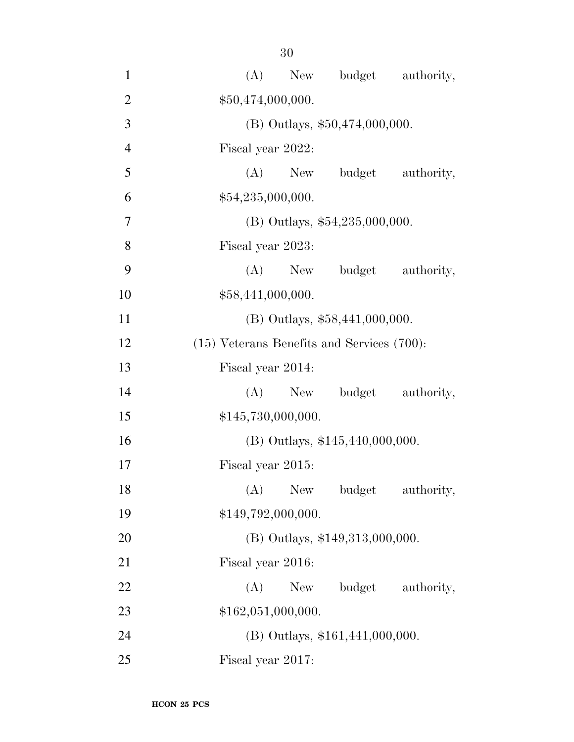| $\mathbf{1}$   | New budget authority,<br>(A)                    |
|----------------|-------------------------------------------------|
| $\overline{2}$ | \$50,474,000,000.                               |
| 3              | (B) Outlays, \$50,474,000,000.                  |
| $\overline{4}$ | Fiscal year 2022:                               |
| 5              | (A)<br>budget authority,<br>New                 |
| 6              | \$54,235,000,000.                               |
| 7              | $(B)$ Outlays, \$54,235,000,000.                |
| 8              | Fiscal year 2023:                               |
| 9              | $(A)$ New<br>budget authority,                  |
| 10             | \$58,441,000,000.                               |
| 11             | $(B)$ Outlays, \$58,441,000,000.                |
| 12             | $(15)$ Veterans Benefits and Services $(700)$ : |
| 13             | Fiscal year 2014:                               |
| 14             | budget authority,<br>(A)<br>New                 |
| 15             | \$145,730,000,000.                              |
| 16             | (B) Outlays, $$145,440,000,000$ .               |
| 17             | Fiscal year 2015:                               |
| 18             | $(A)$ New<br>budget<br>authority,               |
| 19             | \$149,792,000,000.                              |
| 20             | (B) Outlays, \$149,313,000,000.                 |
| 21             | Fiscal year 2016:                               |
| 22             | budget authority,<br>(A)<br>New                 |
| 23             | \$162,051,000,000.                              |
| 24             | $(B)$ Outlays, \$161,441,000,000.               |
| 25             | Fiscal year 2017:                               |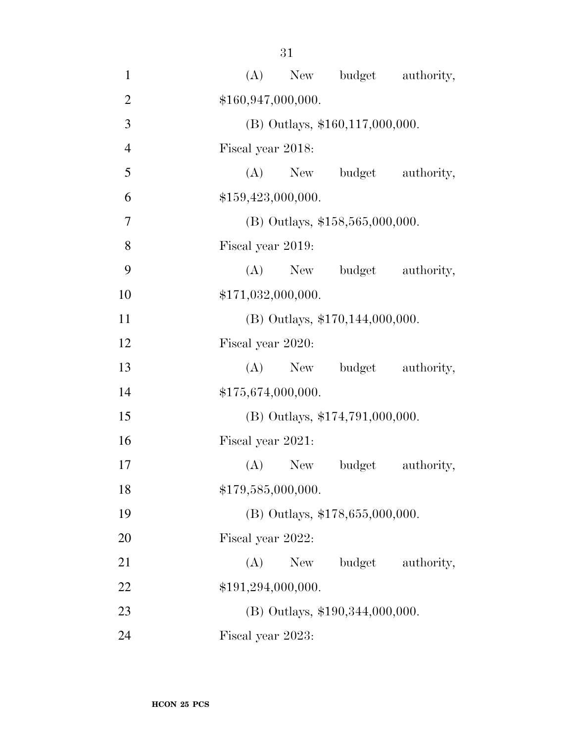| $\mathbf{1}$   | (A) New budget authority,          |
|----------------|------------------------------------|
| $\overline{2}$ | \$160,947,000,000.                 |
| 3              | (B) Outlays, \$160,117,000,000.    |
| $\overline{4}$ | Fiscal year 2018:                  |
| 5              | (A) New budget<br>authority,       |
| 6              | \$159,423,000,000.                 |
| 7              | $(B)$ Outlays, \$158,565,000,000.  |
| 8              | Fiscal year 2019:                  |
| 9              | (A) New budget authority,          |
| 10             | \$171,032,000,000.                 |
| 11             | $(B)$ Outlays, \$170,144,000,000.  |
| 12             | Fiscal year 2020:                  |
| 13             | budget authority,<br>$(A)$ New     |
| 14             | \$175,674,000,000.                 |
| 15             | (B) Outlays, \$174,791,000,000.    |
| 16             | Fiscal year 2021:                  |
| 17             | budget<br>authority,<br>(A)<br>New |
| 18             | \$179,585,000,000.                 |
| 19             | (B) Outlays, \$178,655,000,000.    |
| 20             | Fiscal year 2022:                  |
| 21             | budget<br>(A)<br>New<br>authority, |
| 22             | \$191,294,000,000.                 |
| 23             | (B) Outlays, \$190,344,000,000.    |
| 24             | Fiscal year 2023:                  |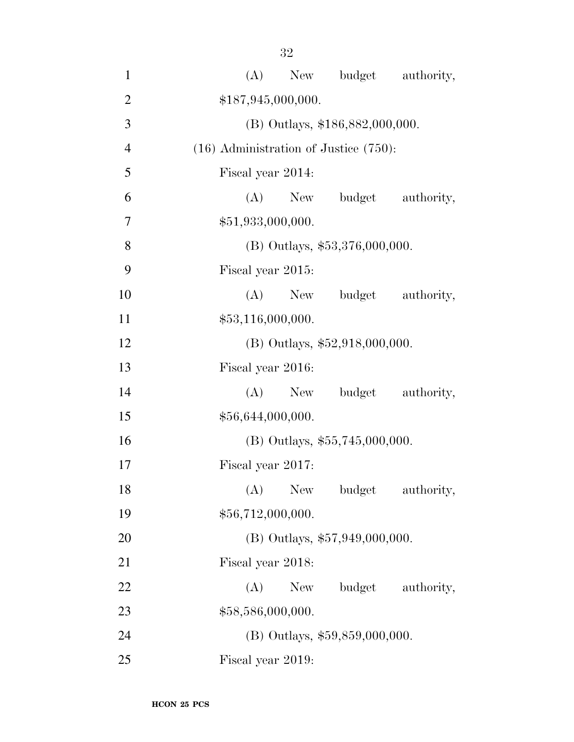| I<br>۰. | × |
|---------|---|
|         |   |

| $\mathbf{1}$   | (A)<br>New budget authority,               |
|----------------|--------------------------------------------|
| $\overline{2}$ | \$187,945,000,000.                         |
| 3              | (B) Outlays, \$186,882,000,000.            |
| $\overline{4}$ | $(16)$ Administration of Justice $(750)$ : |
| 5              | Fiscal year 2014:                          |
| 6              | budget<br>authority,<br>$(A)$ New          |
| $\tau$         | \$51,933,000,000.                          |
| 8              | $(B)$ Outlays, \$53,376,000,000.           |
| 9              | Fiscal year 2015:                          |
| 10             | (A)<br>budget authority,<br>New            |
| 11             | \$53,116,000,000.                          |
| 12             | (B) Outlays, \$52,918,000,000.             |
| 13             | Fiscal year 2016:                          |
| 14             | (A)<br>New budget<br>authority,            |
| 15             | \$56,644,000,000.                          |
| 16             | (B) Outlays, \$55,745,000,000.             |
| 17             | Fiscal year 2017:                          |
| 18             | (A) New budget<br>authority,               |
| 19             | \$56,712,000,000.                          |
| <b>20</b>      | $(B)$ Outlays, \$57,949,000,000.           |
| 21             | Fiscal year 2018:                          |
| 22             | budget authority,<br>(A)<br>New            |
| 23             | \$58,586,000,000.                          |
| 24             | (B) Outlays, \$59,859,000,000.             |
| 25             | Fiscal year 2019:                          |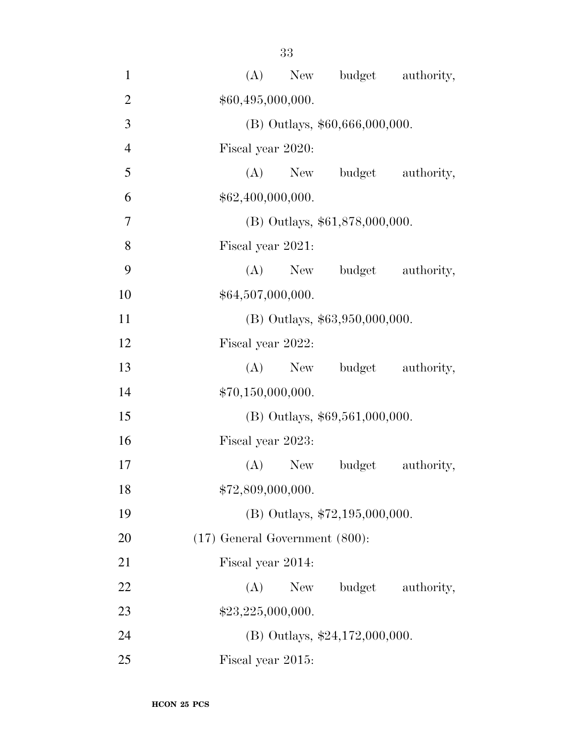| $\mathbf{1}$   | New budget authority,<br>(A)        |
|----------------|-------------------------------------|
| $\overline{2}$ | \$60,495,000,000.                   |
| 3              | (B) Outlays, \$60,666,000,000.      |
| $\overline{4}$ | Fiscal year 2020:                   |
| 5              | (A)<br>budget authority,<br>New     |
| 6              | \$62,400,000,000.                   |
| $\overline{7}$ | (B) Outlays, \$61,878,000,000.      |
| 8              | Fiscal year 2021:                   |
| 9              | budget authority,<br>$(A)$ New      |
| 10             | \$64,507,000,000.                   |
| 11             | $(B)$ Outlays, \$63,950,000,000.    |
| 12             | Fiscal year 2022:                   |
| 13             | budget authority,<br>$(A)$ New      |
| 14             | \$70,150,000,000.                   |
| 15             | (B) Outlays, \$69,561,000,000.      |
| 16             | Fiscal year 2023:                   |
| 17             | $(A)$ New<br>budget<br>authority,   |
| 18             | \$72,809,000,000.                   |
| 19             | (B) Outlays, \$72,195,000,000.      |
| 20             | $(17)$ General Government $(800)$ : |
| 21             | Fiscal year 2014:                   |
| 22             | budget authority,<br>(A)<br>New     |
| 23             | \$23,225,000,000.                   |
| 24             | (B) Outlays, $$24,172,000,000$ .    |
| 25             | Fiscal year 2015:                   |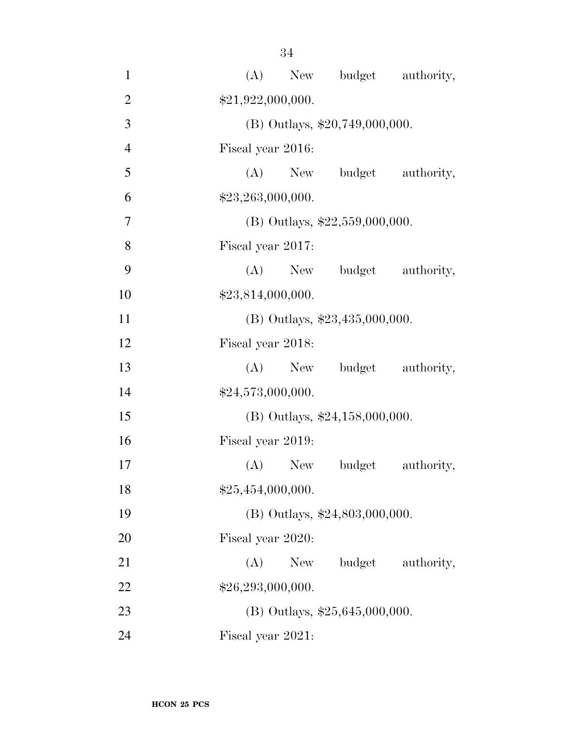| $\mathbf{1}$   | (A) New budget authority,          |
|----------------|------------------------------------|
| $\overline{2}$ | \$21,922,000,000.                  |
| 3              | (B) Outlays, \$20,749,000,000.     |
| $\overline{4}$ | Fiscal year 2016:                  |
| 5              | (A) New budget authority,          |
| 6              | \$23,263,000,000.                  |
| $\overline{7}$ | (B) Outlays, $$22,559,000,000$ .   |
| 8              | Fiscal year 2017:                  |
| 9              | (A) New budget authority,          |
| 10             | \$23,814,000,000.                  |
| 11             | (B) Outlays, $$23,435,000,000$ .   |
| 12             | Fiscal year 2018:                  |
| 13             | (A) New budget authority,          |
| 14             | \$24,573,000,000.                  |
| 15             | (B) Outlays, \$24,158,000,000.     |
| 16             | Fiscal year 2019:                  |
| 17             | $(A)$ New<br>budget<br>authority,  |
| 18             | \$25,454,000,000.                  |
| 19             | $(B)$ Outlays, \$24,803,000,000.   |
| 20             | Fiscal year 2020:                  |
| 21             | budget<br>(A)<br>New<br>authority, |
| 22             | \$26,293,000,000.                  |
| 23             | (B) Outlays, $$25,645,000,000$ .   |
| 24             | Fiscal year 2021:                  |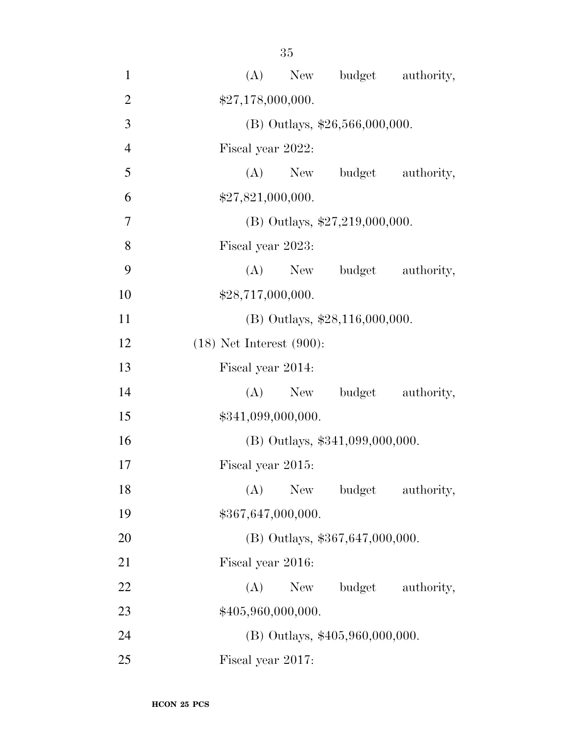| $\mathbf{1}$   | (A) New budget authority,          |
|----------------|------------------------------------|
| $\overline{2}$ | \$27,178,000,000.                  |
| 3              | (B) Outlays, \$26,566,000,000.     |
| $\overline{4}$ | Fiscal year 2022:                  |
| 5              | (A) New budget authority,          |
| 6              | \$27,821,000,000.                  |
| 7              | (B) Outlays, $$27,219,000,000$ .   |
| 8              | Fiscal year 2023:                  |
| 9              | $(A)$ New<br>budget authority,     |
| 10             | \$28,717,000,000.                  |
| 11             | (B) Outlays, \$28,116,000,000.     |
| 12             | $(18)$ Net Interest $(900)$ :      |
| 13             | Fiscal year 2014:                  |
| 14             | budget authority,<br>(A)<br>New    |
| 15             | \$341,099,000,000.                 |
| 16             | $(B)$ Outlays, \$341,099,000,000.  |
| 17             | Fiscal year 2015:                  |
| 18             | (A)<br>New<br>budget<br>authority, |
| 19             | \$367,647,000,000.                 |
| 20             | $(B)$ Outlays, \$367,647,000,000.  |
| 21             | Fiscal year 2016:                  |
| 22             | (A)<br>New<br>budget authority,    |
| 23             | \$405,960,000,000.                 |
| 24             | (B) Outlays, \$405,960,000,000.    |
| 25             | Fiscal year 2017:                  |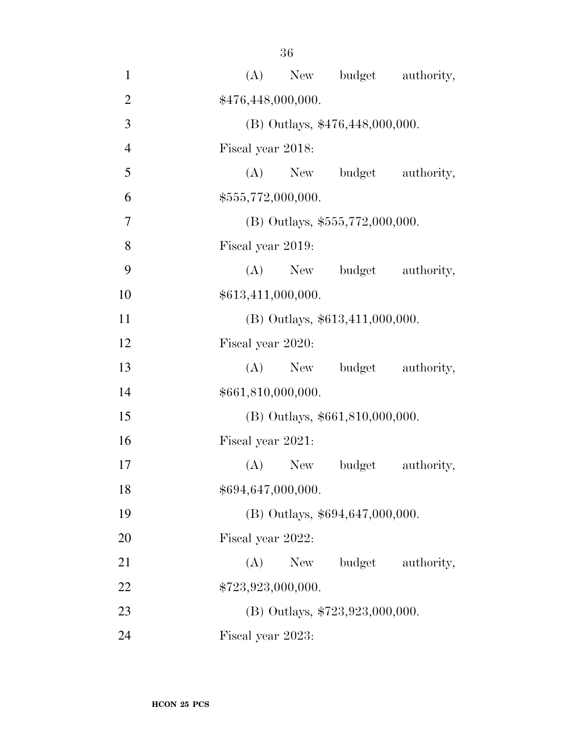| $\mathbf{1}$   | (A)<br>New budget authority,       |
|----------------|------------------------------------|
| $\overline{2}$ | \$476,448,000,000.                 |
| 3              | (B) Outlays, \$476,448,000,000.    |
| $\overline{4}$ | Fiscal year 2018:                  |
| 5              | (A) New budget authority,          |
| 6              | \$555,772,000,000.                 |
| $\overline{7}$ | (B) Outlays, \$555,772,000,000.    |
| 8              | Fiscal year 2019:                  |
| 9              | (A) New budget authority,          |
| 10             | \$613,411,000,000.                 |
| 11             | $(B)$ Outlays, \$613,411,000,000.  |
| 12             | Fiscal year 2020:                  |
| 13             | budget authority,<br>$(A)$ New     |
| 14             | \$661,810,000,000.                 |
| 15             | (B) Outlays, \$661,810,000,000.    |
| 16             | Fiscal year 2021:                  |
| 17             | (A) New budget<br>authority,       |
| 18             | \$694,647,000,000.                 |
| 19             | (B) Outlays, \$694,647,000,000.    |
| 20             | Fiscal year 2022:                  |
| 21             | budget<br>(A)<br>New<br>authority, |
| 22             | \$723,923,000,000.                 |
| 23             | (B) Outlays, $$723,923,000,000$ .  |
| 24             | Fiscal year 2023:                  |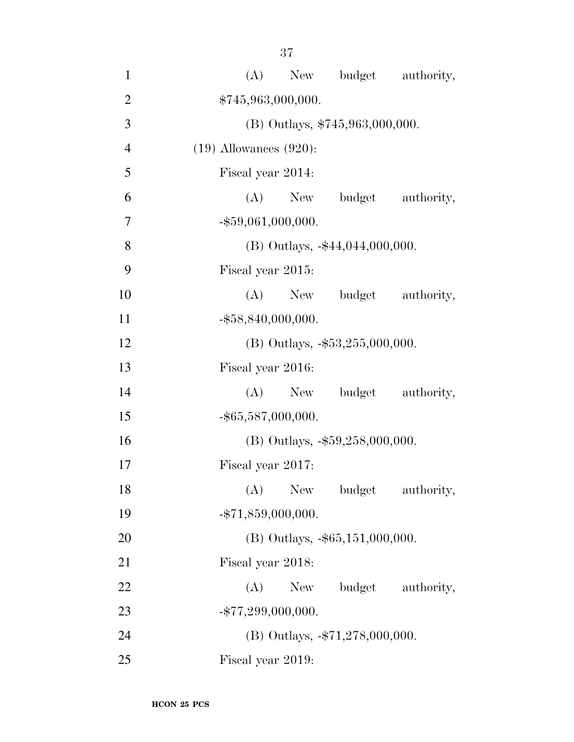| $\mathbf{1}$   | (A)<br>New budget authority,            |
|----------------|-----------------------------------------|
| $\overline{2}$ | \$745,963,000,000.                      |
| 3              | (B) Outlays, \$745,963,000,000.         |
| $\overline{4}$ | $(19)$ Allowances $(920)$ :             |
| 5              | Fiscal year 2014:                       |
| 6              | (A) New budget authority,               |
| 7              | $-$ \$59,061,000,000.                   |
| 8              | $(B)$ Outlays, $-44,044,000,000$ .      |
| 9              | Fiscal year 2015:                       |
| 10             | (A) New budget authority,               |
| 11             | $-$ \$58,840,000,000.                   |
| 12             | (B) Outlays, $-$ \$53,255,000,000.      |
| 13             | Fiscal year 2016:                       |
| 14             | (A) New budget authority,               |
| 15             | $-$ \$65,587,000,000.                   |
| 16             | (B) Outlays, -\$59,258,000,000.         |
| 17             | Fiscal year 2017:                       |
| 18             | (A)<br>New York<br>budget<br>authority, |
| 19             | $-$ \$71,859,000,000.                   |
| 20             | $(B)$ Outlays, $-\$65,151,000,000$ .    |
| 21             | Fiscal year 2018:                       |
| 22             | New budget authority,<br>(A)            |
| 23             | $-$ \$77,299,000,000.                   |
| 24             | (B) Outlays, $-$ \$71,278,000,000.      |
| 25             | Fiscal year 2019:                       |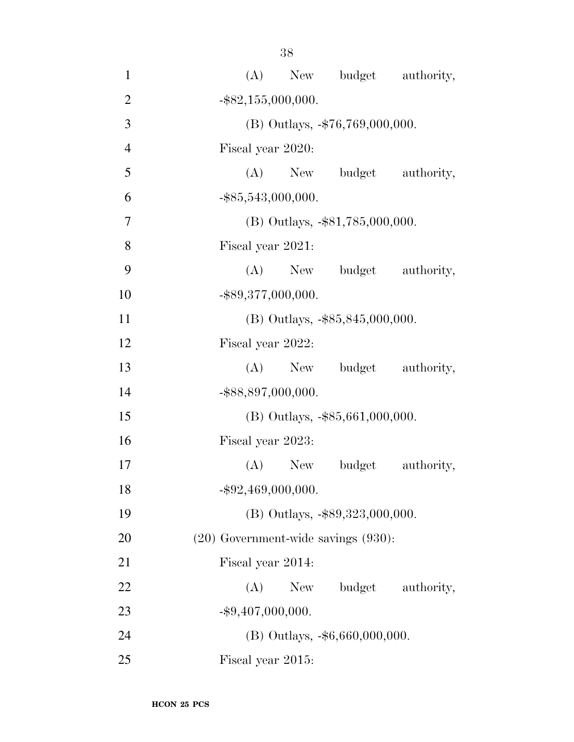| $\mathbf{1}$   | (A) New budget authority,                |
|----------------|------------------------------------------|
| $\overline{2}$ | $-$ \$82,155,000,000.                    |
| 3              | (B) Outlays, -\$76,769,000,000.          |
| $\overline{4}$ | Fiscal year 2020:                        |
| 5              | (A) New budget authority,                |
| 6              | $-$ \$85,543,000,000.                    |
| $\overline{7}$ | $(B)$ Outlays, $-$ \$81,785,000,000.     |
| 8              | Fiscal year 2021:                        |
| 9              | (A) New budget authority,                |
| 10             | $-$ \$89,377,000,000.                    |
| 11             | $(B)$ Outlays, $-\$85,845,000,000$ .     |
| 12             | Fiscal year 2022:                        |
| 13             | (A) New budget authority,                |
| 14             | -\$88,897,000,000.                       |
| 15             | (B) Outlays, -\$85,661,000,000.          |
| 16             | Fiscal year 2023:                        |
| 17             | $(A)$ New<br>budget<br>authority,        |
| 18             | $-$ \$92,469,000,000.                    |
| 19             | (B) Outlays, -\$89,323,000,000.          |
| 20             | $(20)$ Government-wide savings $(930)$ : |
| 21             | Fiscal year 2014:                        |
| 22             | budget authority,<br>(A)<br>New          |
| 23             | $-$ \$9,407,000,000.                     |
| 24             | (B) Outlays, -\$6,660,000,000.           |
| 25             | Fiscal year 2015:                        |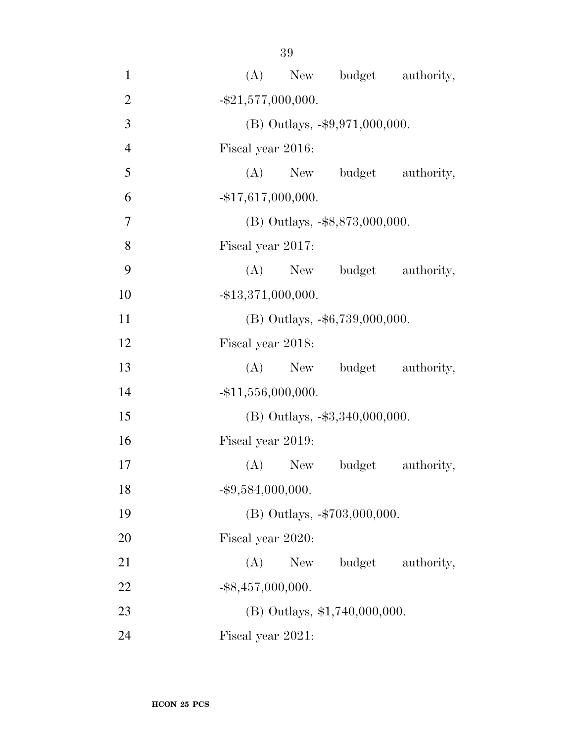| $\mathbf{1}$   | (A) New budget authority,           |
|----------------|-------------------------------------|
| $\overline{2}$ | $-$ \$21,577,000,000.               |
| 3              | (B) Outlays, -\$9,971,000,000.      |
| $\overline{4}$ | Fiscal year 2016:                   |
| 5              | (A) New budget authority,           |
| 6              | $-$ \$17,617,000,000.               |
| $\overline{7}$ | (B) Outlays, -\$8,873,000,000.      |
| 8              | Fiscal year 2017:                   |
| 9              | (A) New budget authority,           |
| 10             | $-$ \$13,371,000,000.               |
| 11             | $(B)$ Outlays, $-$ \$6,739,000,000. |
| 12             | Fiscal year 2018:                   |
| 13             | (A) New budget authority,           |
| 14             | $-$ \$11,556,000,000.               |
| 15             | (B) Outlays, -\$3,340,000,000.      |
| 16             | Fiscal year 2019:                   |
| 17             | (A) New budget<br>authority,        |
| 18             | $-$ \$9,584,000,000.                |
| 19             | (B) Outlays, -\$703,000,000.        |
| 20             | Fiscal year 2020:                   |
| 21             | budget<br>authority,<br>(A)<br>New  |
| 22             | $-$ \$8,457,000,000.                |
| 23             | $(B)$ Outlays, \$1,740,000,000.     |
| 24             | Fiscal year 2021:                   |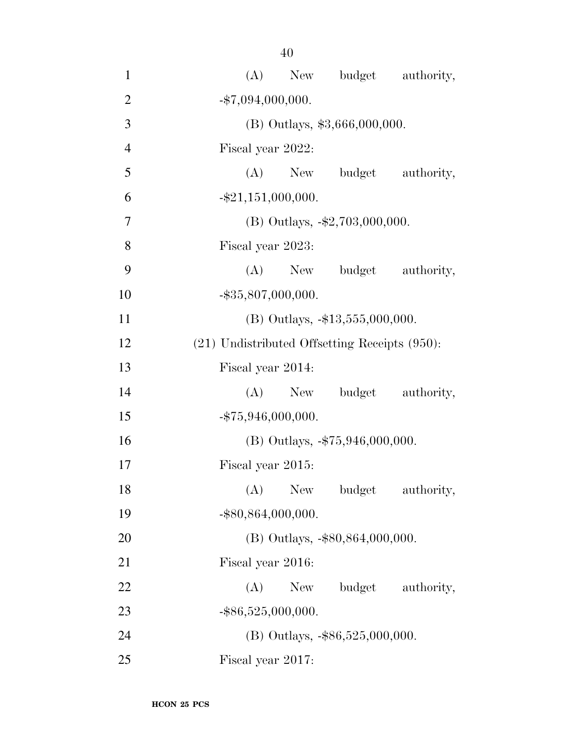| $\mathbf{1}$   | (A)<br>New budget authority,                       |
|----------------|----------------------------------------------------|
| $\overline{2}$ | $-$ \$7,094,000,000.                               |
| 3              | (B) Outlays, \$3,666,000,000.                      |
| $\overline{4}$ | Fiscal year 2022:                                  |
| 5              | New budget authority,<br>(A)                       |
| 6              | $-$ \$21,151,000,000.                              |
| 7              | (B) Outlays, $-\$2,703,000,000$ .                  |
| 8              | Fiscal year 2023:                                  |
| 9              | (A) New budget authority,                          |
| 10             | $-$ \$35,807,000,000.                              |
| 11             | $(B)$ Outlays, $-13,555,000,000$ .                 |
| 12             | $(21)$ Undistributed Offsetting Receipts $(950)$ : |
| 13             | Fiscal year 2014:                                  |
| 14             | (A) New budget authority,                          |
| 15             | $-$ \$75,946,000,000.                              |
| 16             | (B) Outlays, -\$75,946,000,000.                    |
| 17             | Fiscal year 2015:                                  |
| 18             | (A) New budget authority,                          |
| 19             | $-$ \$80,864,000,000.                              |
| 20             | $(B)$ Outlays, $-$ \$80,864,000,000.               |
| 21             | Fiscal year 2016:                                  |
| 22             | (A)<br>budget<br>New<br>authority,                 |
| 23             | $-$ \$86,525,000,000.                              |
| 24             | (B) Outlays, -\$86,525,000,000.                    |
| 25             | Fiscal year 2017:                                  |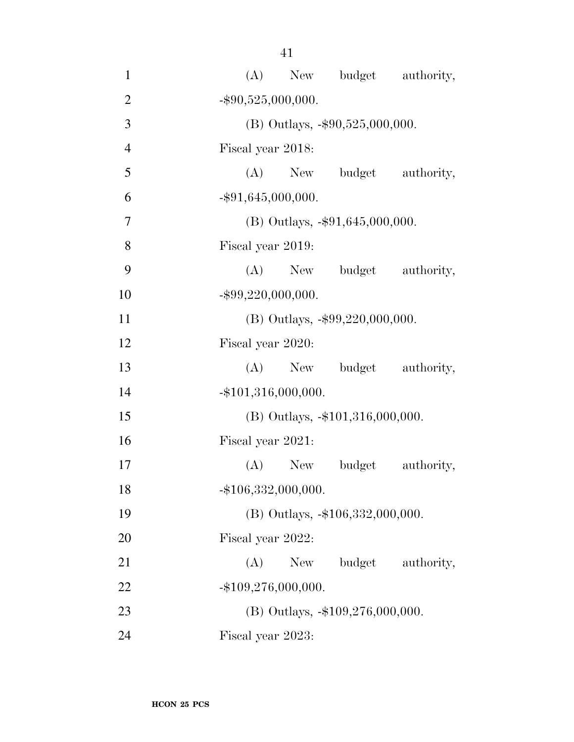| $\mathbf{1}$   | (A) New budget authority,          |
|----------------|------------------------------------|
| $\overline{2}$ | $-$ \$90,525,000,000.              |
| 3              | (B) Outlays, $-\$90,525,000,000$ . |
| $\overline{4}$ | Fiscal year 2018:                  |
| 5              | (A) New budget authority,          |
| 6              | $-$ \$91,645,000,000.              |
| 7              | (B) Outlays, $-$ \$91,645,000,000. |
| 8              | Fiscal year 2019:                  |
| 9              | (A) New budget authority,          |
| 10             | $-$ \$99,220,000,000.              |
| 11             | (B) Outlays, $-\$99,220,000,000$ . |
| 12             | Fiscal year 2020:                  |
| 13             | (A) New budget authority,          |
| 14             | $-$ \$101,316,000,000.             |
| 15             | (B) Outlays, -\$101,316,000,000.   |
| 16             | Fiscal year 2021:                  |
| 17             | $(A)$ New<br>budget<br>authority,  |
| 18             | $-$ \$106,332,000,000.             |
| 19             | (B) Outlays, -\$106,332,000,000.   |
| 20             | Fiscal year 2022:                  |
| 21             | (A)<br>budget<br>New<br>authority, |
| 22             | $-$ \$109,276,000,000.             |
| 23             | (B) Outlays, -\$109,276,000,000.   |
| 24             | Fiscal year 2023:                  |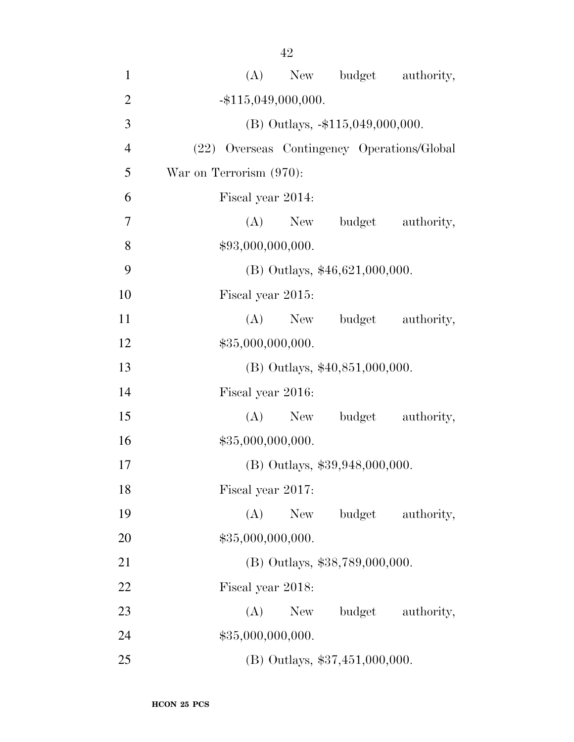| $\mathbf{1}$   | (A) New budget authority,                   |
|----------------|---------------------------------------------|
| $\overline{2}$ | $-$ \$115,049,000,000.                      |
| 3              | $(B)$ Outlays, $-115,049,000,000$ .         |
| $\overline{4}$ | (22) Overseas Contingency Operations/Global |
| 5              | War on Terrorism (970):                     |
| 6              | Fiscal year 2014:                           |
| 7              | (A) New budget authority,                   |
| 8              | \$93,000,000,000.                           |
| 9              | (B) Outlays, \$46,621,000,000.              |
| 10             | Fiscal year 2015:                           |
| 11             | $(A)$ New<br>budget authority,              |
| 12             | \$35,000,000,000.                           |
| 13             | $(B)$ Outlays, \$40,851,000,000.            |
| 14             | Fiscal year 2016:                           |
| 15             | (A)<br>budget authority,<br>New             |
| 16             | \$35,000,000,000.                           |
| 17             | (B) Outlays, \$39,948,000,000.              |
| 18             | Fiscal year 2017:                           |
| 19             | (A)<br>New<br>budget authority,             |
| 20             | \$35,000,000,000.                           |
| 21             | (B) Outlays, \$38,789,000,000.              |
| 22             | Fiscal year 2018:                           |
| 23             | (A)<br>budget authority,<br>New             |
| 24             | \$35,000,000,000.                           |
| 25             | (B) Outlays, \$37,451,000,000.              |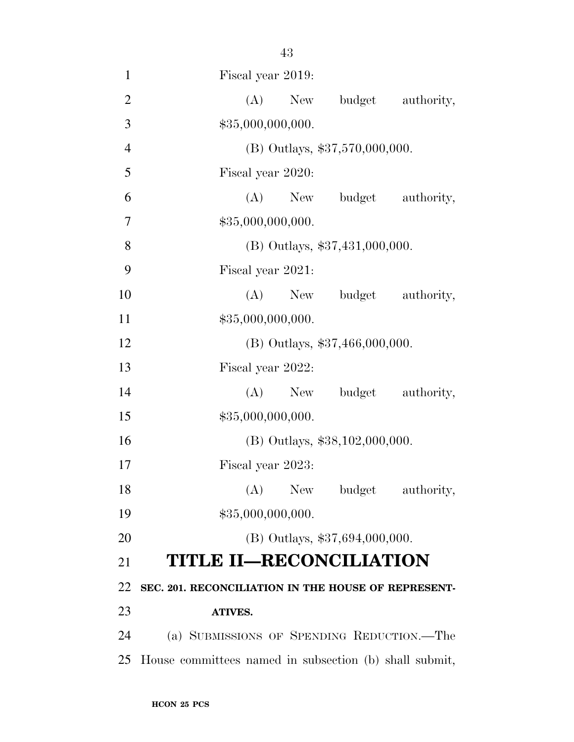| $\mathbf{1}$   | Fiscal year 2019:                                      |
|----------------|--------------------------------------------------------|
| $\mathfrak{2}$ | New budget authority,<br>(A)                           |
| 3              | \$35,000,000,000.                                      |
| $\overline{4}$ | (B) Outlays, \$37,570,000,000.                         |
| 5              | Fiscal year 2020:                                      |
| 6              | (A) New budget authority,                              |
| 7              | \$35,000,000,000.                                      |
| 8              | (B) Outlays, \$37,431,000,000.                         |
| 9              | Fiscal year 2021:                                      |
| 10             | (A) New budget authority,                              |
| 11             | \$35,000,000,000.                                      |
| 12             | (B) Outlays, \$37,466,000,000.                         |
| 13             | Fiscal year 2022:                                      |
| 14             | New budget authority,<br>(A)                           |
| 15             | \$35,000,000,000.                                      |
| 16             | (B) Outlays, \$38,102,000,000.                         |
| 17             | Fiscal year 2023:                                      |
| 18             | (A) New budget authority,                              |
| 19             | \$35,000,000,000.                                      |
| 20             | $(B)$ Outlays, \$37,694,000,000.                       |
| 21             | <b>TITLE II-RECONCILIATION</b>                         |
| 22             | SEC. 201. RECONCILIATION IN THE HOUSE OF REPRESENT-    |
| 23             | <b>ATIVES.</b>                                         |
| 24             | (a) SUBMISSIONS OF SPENDING REDUCTION.—The             |
| 25             | House committees named in subsection (b) shall submit, |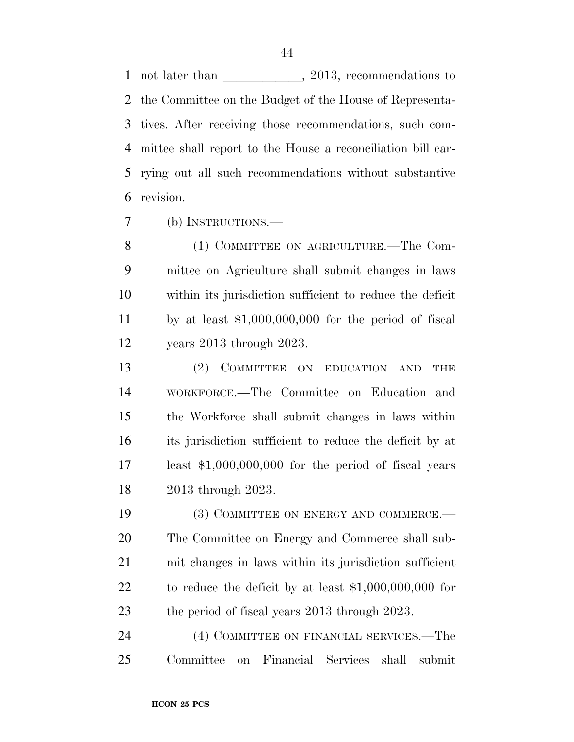1 not later than 2013, recommendations to the Committee on the Budget of the House of Representa- tives. After receiving those recommendations, such com- mittee shall report to the House a reconciliation bill car- rying out all such recommendations without substantive revision.

(b) INSTRUCTIONS.—

 (1) COMMITTEE ON AGRICULTURE.—The Com- mittee on Agriculture shall submit changes in laws within its jurisdiction sufficient to reduce the deficit by at least \$1,000,000,000 for the period of fiscal years 2013 through 2023.

 (2) COMMITTEE ON EDUCATION AND THE WORKFORCE.—The Committee on Education and the Workforce shall submit changes in laws within its jurisdiction sufficient to reduce the deficit by at least \$1,000,000,000 for the period of fiscal years 2013 through 2023.

19 (3) COMMITTEE ON ENERGY AND COMMERCE.— The Committee on Energy and Commerce shall sub- mit changes in laws within its jurisdiction sufficient to reduce the deficit by at least \$1,000,000,000 for 23 the period of fiscal years 2013 through 2023.

24 (4) COMMITTEE ON FINANCIAL SERVICES.—The Committee on Financial Services shall submit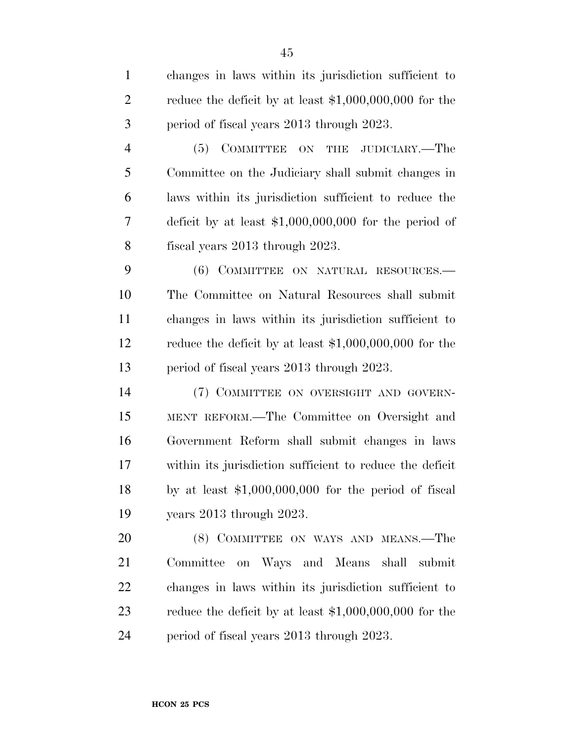changes in laws within its jurisdiction sufficient to reduce the deficit by at least \$1,000,000,000 for the period of fiscal years 2013 through 2023. (5) COMMITTEE ON THE JUDICIARY.—The Committee on the Judiciary shall submit changes in laws within its jurisdiction sufficient to reduce the deficit by at least \$1,000,000,000 for the period of fiscal years 2013 through 2023. (6) COMMITTEE ON NATURAL RESOURCES.— The Committee on Natural Resources shall submit changes in laws within its jurisdiction sufficient to reduce the deficit by at least \$1,000,000,000 for the period of fiscal years 2013 through 2023. (7) COMMITTEE ON OVERSIGHT AND GOVERN- MENT REFORM.—The Committee on Oversight and Government Reform shall submit changes in laws within its jurisdiction sufficient to reduce the deficit by at least \$1,000,000,000 for the period of fiscal years 2013 through 2023. (8) COMMITTEE ON WAYS AND MEANS.—The Committee on Ways and Means shall submit changes in laws within its jurisdiction sufficient to reduce the deficit by at least \$1,000,000,000 for the period of fiscal years 2013 through 2023.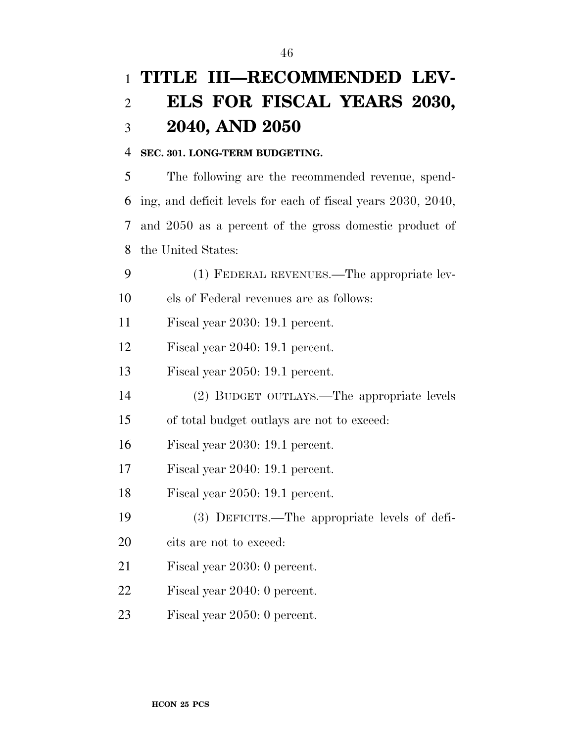# **TITLE III—RECOMMENDED LEV- ELS FOR FISCAL YEARS 2030, 2040, AND 2050**

#### **SEC. 301. LONG-TERM BUDGETING.**

 The following are the recommended revenue, spend- ing, and deficit levels for each of fiscal years 2030, 2040, and 2050 as a percent of the gross domestic product of the United States:

(1) FEDERAL REVENUES.—The appropriate lev-

els of Federal revenues are as follows:

Fiscal year 2030: 19.1 percent.

Fiscal year 2040: 19.1 percent.

Fiscal year 2050: 19.1 percent.

(2) BUDGET OUTLAYS.—The appropriate levels

of total budget outlays are not to exceed:

Fiscal year 2030: 19.1 percent.

Fiscal year 2040: 19.1 percent.

Fiscal year 2050: 19.1 percent.

(3) DEFICITS.—The appropriate levels of defi-

cits are not to exceed:

Fiscal year 2030: 0 percent.

Fiscal year 2040: 0 percent.

Fiscal year 2050: 0 percent.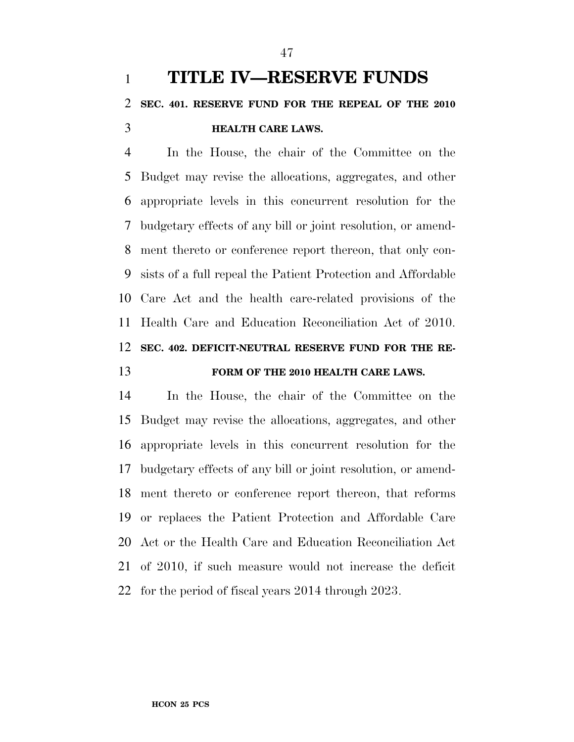In the House, the chair of the Committee on the Budget may revise the allocations, aggregates, and other appropriate levels in this concurrent resolution for the budgetary effects of any bill or joint resolution, or amend- ment thereto or conference report thereon, that only con- sists of a full repeal the Patient Protection and Affordable Care Act and the health care-related provisions of the Health Care and Education Reconciliation Act of 2010. **SEC. 402. DEFICIT-NEUTRAL RESERVE FUND FOR THE RE-FORM OF THE 2010 HEALTH CARE LAWS.** 

 In the House, the chair of the Committee on the Budget may revise the allocations, aggregates, and other appropriate levels in this concurrent resolution for the budgetary effects of any bill or joint resolution, or amend- ment thereto or conference report thereon, that reforms or replaces the Patient Protection and Affordable Care Act or the Health Care and Education Reconciliation Act of 2010, if such measure would not increase the deficit for the period of fiscal years 2014 through 2023.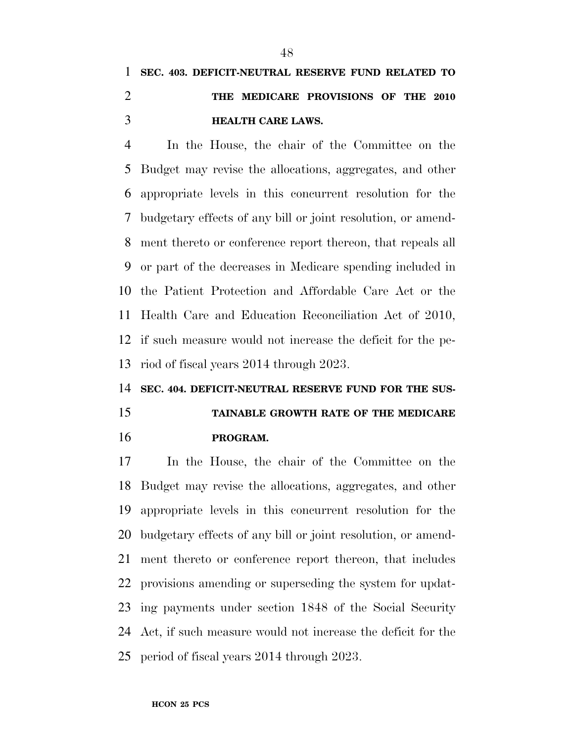## **SEC. 403. DEFICIT-NEUTRAL RESERVE FUND RELATED TO THE MEDICARE PROVISIONS OF THE 2010 HEALTH CARE LAWS.**

 In the House, the chair of the Committee on the Budget may revise the allocations, aggregates, and other appropriate levels in this concurrent resolution for the budgetary effects of any bill or joint resolution, or amend- ment thereto or conference report thereon, that repeals all or part of the decreases in Medicare spending included in the Patient Protection and Affordable Care Act or the Health Care and Education Reconciliation Act of 2010, if such measure would not increase the deficit for the pe-riod of fiscal years 2014 through 2023.

#### **SEC. 404. DEFICIT-NEUTRAL RESERVE FUND FOR THE SUS-**

## **TAINABLE GROWTH RATE OF THE MEDICARE PROGRAM.**

 In the House, the chair of the Committee on the Budget may revise the allocations, aggregates, and other appropriate levels in this concurrent resolution for the budgetary effects of any bill or joint resolution, or amend- ment thereto or conference report thereon, that includes provisions amending or superseding the system for updat- ing payments under section 1848 of the Social Security Act, if such measure would not increase the deficit for the period of fiscal years 2014 through 2023.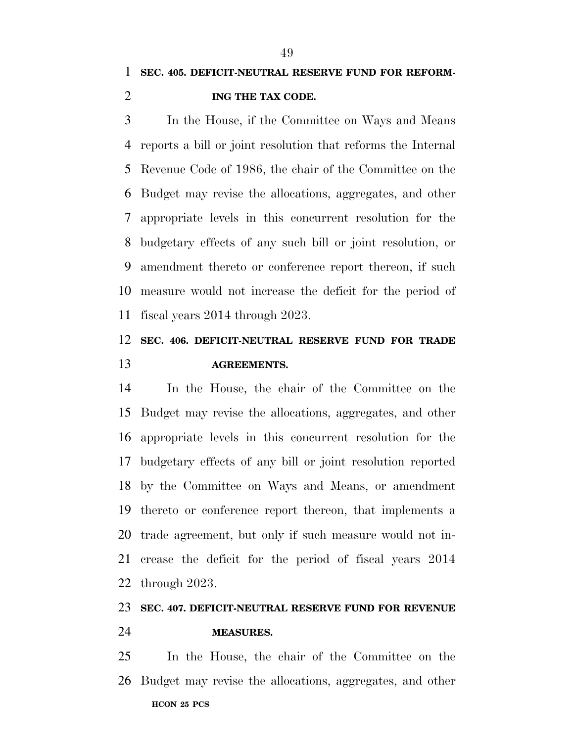In the House, if the Committee on Ways and Means reports a bill or joint resolution that reforms the Internal Revenue Code of 1986, the chair of the Committee on the Budget may revise the allocations, aggregates, and other appropriate levels in this concurrent resolution for the budgetary effects of any such bill or joint resolution, or amendment thereto or conference report thereon, if such measure would not increase the deficit for the period of fiscal years 2014 through 2023.

### **SEC. 406. DEFICIT-NEUTRAL RESERVE FUND FOR TRADE AGREEMENTS.**

 In the House, the chair of the Committee on the Budget may revise the allocations, aggregates, and other appropriate levels in this concurrent resolution for the budgetary effects of any bill or joint resolution reported by the Committee on Ways and Means, or amendment thereto or conference report thereon, that implements a trade agreement, but only if such measure would not in- crease the deficit for the period of fiscal years 2014 through 2023.

### **SEC. 407. DEFICIT-NEUTRAL RESERVE FUND FOR REVENUE**

#### **MEASURES.**

**HCON 25 PCS**  In the House, the chair of the Committee on the Budget may revise the allocations, aggregates, and other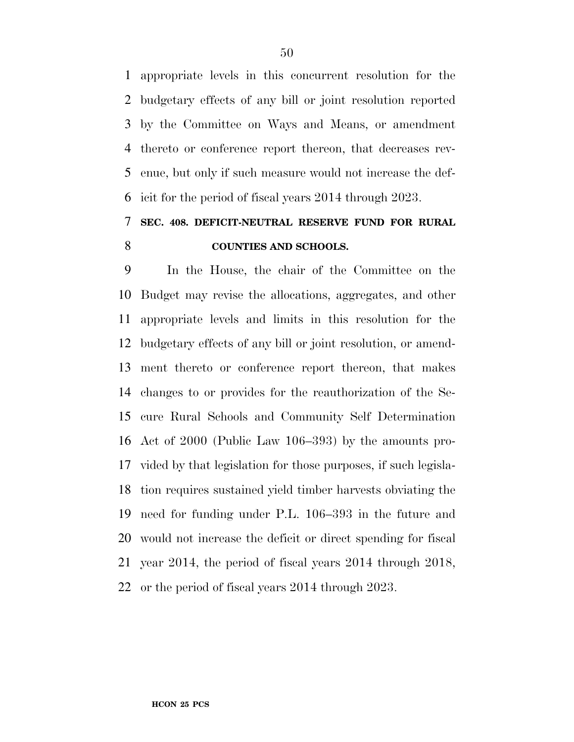appropriate levels in this concurrent resolution for the budgetary effects of any bill or joint resolution reported by the Committee on Ways and Means, or amendment thereto or conference report thereon, that decreases rev- enue, but only if such measure would not increase the def-icit for the period of fiscal years 2014 through 2023.

### **SEC. 408. DEFICIT-NEUTRAL RESERVE FUND FOR RURAL COUNTIES AND SCHOOLS.**

 In the House, the chair of the Committee on the Budget may revise the allocations, aggregates, and other appropriate levels and limits in this resolution for the budgetary effects of any bill or joint resolution, or amend- ment thereto or conference report thereon, that makes changes to or provides for the reauthorization of the Se- cure Rural Schools and Community Self Determination Act of 2000 (Public Law 106–393) by the amounts pro- vided by that legislation for those purposes, if such legisla- tion requires sustained yield timber harvests obviating the need for funding under P.L. 106–393 in the future and would not increase the deficit or direct spending for fiscal year 2014, the period of fiscal years 2014 through 2018, or the period of fiscal years 2014 through 2023.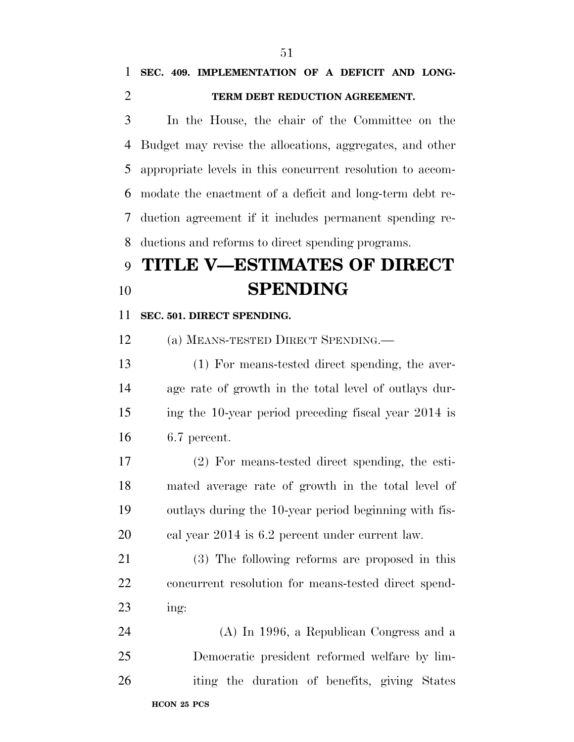### **SEC. 409. IMPLEMENTATION OF A DEFICIT AND LONG-TERM DEBT REDUCTION AGREEMENT.**

 In the House, the chair of the Committee on the Budget may revise the allocations, aggregates, and other appropriate levels in this concurrent resolution to accom- modate the enactment of a deficit and long-term debt re- duction agreement if it includes permanent spending re-ductions and reforms to direct spending programs.

# **TITLE V—ESTIMATES OF DIRECT SPENDING**

#### **SEC. 501. DIRECT SPENDING.**

(a) MEANS-TESTED DIRECT SPENDING.—

 (1) For means-tested direct spending, the aver- age rate of growth in the total level of outlays dur- ing the 10-year period preceding fiscal year 2014 is 6.7 percent.

 (2) For means-tested direct spending, the esti- mated average rate of growth in the total level of outlays during the 10-year period beginning with fis-cal year 2014 is 6.2 percent under current law.

 (3) The following reforms are proposed in this concurrent resolution for means-tested direct spend-ing:

**HCON 25 PCS**  (A) In 1996, a Republican Congress and a Democratic president reformed welfare by lim-iting the duration of benefits, giving States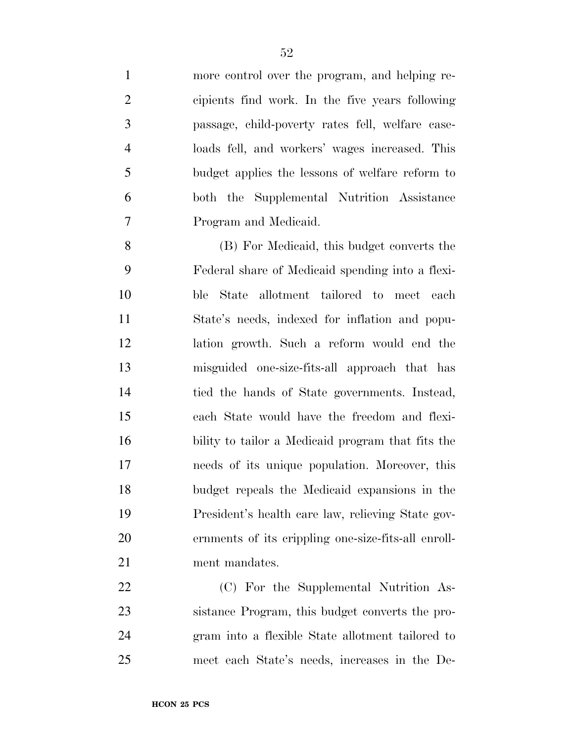more control over the program, and helping re- cipients find work. In the five years following passage, child-poverty rates fell, welfare case- loads fell, and workers' wages increased. This budget applies the lessons of welfare reform to both the Supplemental Nutrition Assistance Program and Medicaid.

 (B) For Medicaid, this budget converts the Federal share of Medicaid spending into a flexi- ble State allotment tailored to meet each State's needs, indexed for inflation and popu- lation growth. Such a reform would end the misguided one-size-fits-all approach that has tied the hands of State governments. Instead, each State would have the freedom and flexi- bility to tailor a Medicaid program that fits the needs of its unique population. Moreover, this budget repeals the Medicaid expansions in the President's health care law, relieving State gov- ernments of its crippling one-size-fits-all enroll-21 ment mandates.

 (C) For the Supplemental Nutrition As- sistance Program, this budget converts the pro- gram into a flexible State allotment tailored to meet each State's needs, increases in the De-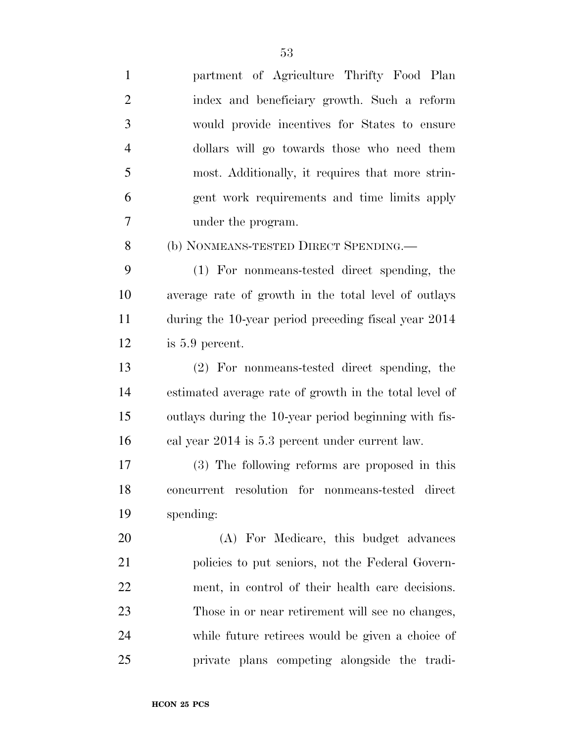| $\mathbf{1}$   | partment of Agriculture Thrifty Food Plan              |
|----------------|--------------------------------------------------------|
| $\overline{2}$ | index and beneficiary growth. Such a reform            |
| 3              | would provide incentives for States to ensure          |
| $\overline{4}$ | dollars will go towards those who need them            |
| 5              | most. Additionally, it requires that more strin-       |
| 6              | gent work requirements and time limits apply           |
| 7              | under the program.                                     |
| 8              | (b) NONMEANS-TESTED DIRECT SPENDING.                   |
| 9              | (1) For nonmeans-tested direct spending, the           |
| 10             | average rate of growth in the total level of outlays   |
| 11             | during the 10-year period preceding fiscal year 2014   |
| 12             | is 5.9 percent.                                        |
| 13             | (2) For nonmeans-tested direct spending, the           |
| 14             | estimated average rate of growth in the total level of |
| 15             | outlays during the 10-year period beginning with fis-  |
| 16             | cal year 2014 is 5.3 percent under current law.        |
| 17             | (3) The following reforms are proposed in this         |
| 18             | concurrent resolution for nonmeans-tested direct       |
| 19             | spending:                                              |
| 20             | (A) For Medicare, this budget advances                 |
| 21             | policies to put seniors, not the Federal Govern-       |
| 22             | ment, in control of their health care decisions.       |
| 23             | Those in or near retirement will see no changes,       |
| 24             | while future retirees would be given a choice of       |
| 25             | private plans competing alongside the tradi-           |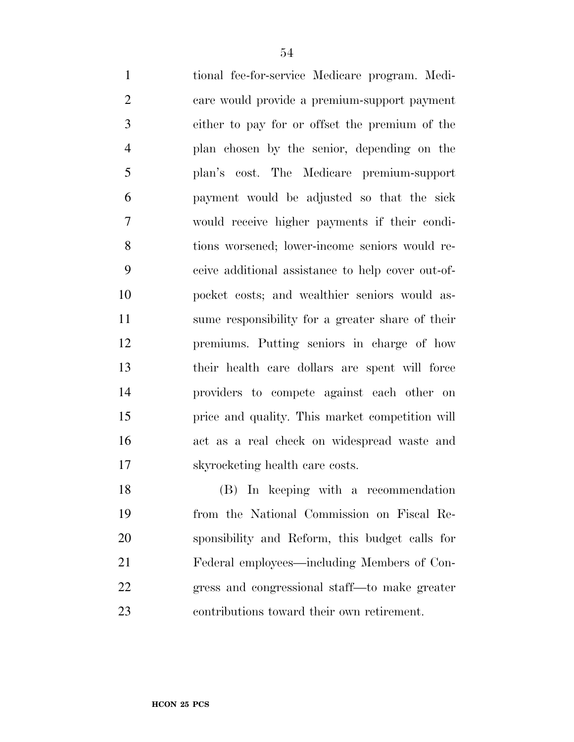tional fee-for-service Medicare program. Medi- care would provide a premium-support payment either to pay for or offset the premium of the plan chosen by the senior, depending on the plan's cost. The Medicare premium-support payment would be adjusted so that the sick would receive higher payments if their condi- tions worsened; lower-income seniors would re- ceive additional assistance to help cover out-of- pocket costs; and wealthier seniors would as- sume responsibility for a greater share of their premiums. Putting seniors in charge of how their health care dollars are spent will force providers to compete against each other on price and quality. This market competition will act as a real check on widespread waste and skyrocketing health care costs.

 (B) In keeping with a recommendation from the National Commission on Fiscal Re- sponsibility and Reform, this budget calls for Federal employees—including Members of Con- gress and congressional staff—to make greater contributions toward their own retirement.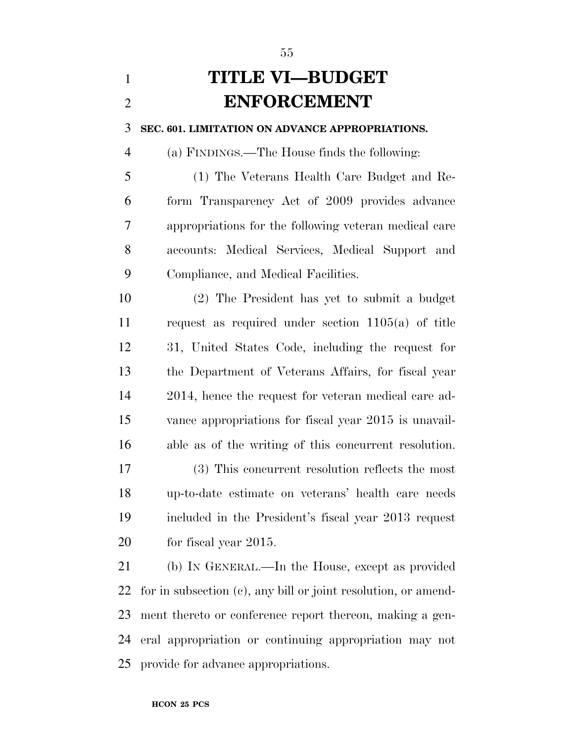# **TITLE VI—BUDGET ENFORCEMENT**

**SEC. 601. LIMITATION ON ADVANCE APPROPRIATIONS.** 

(a) FINDINGS.—The House finds the following:

 (1) The Veterans Health Care Budget and Re- form Transparency Act of 2009 provides advance appropriations for the following veteran medical care accounts: Medical Services, Medical Support and Compliance, and Medical Facilities.

 (2) The President has yet to submit a budget request as required under section 1105(a) of title 31, United States Code, including the request for the Department of Veterans Affairs, for fiscal year 2014, hence the request for veteran medical care ad- vance appropriations for fiscal year 2015 is unavail-able as of the writing of this concurrent resolution.

 (3) This concurrent resolution reflects the most up-to-date estimate on veterans' health care needs included in the President's fiscal year 2013 request for fiscal year 2015.

 (b) IN GENERAL.—In the House, except as provided for in subsection (c), any bill or joint resolution, or amend- ment thereto or conference report thereon, making a gen- eral appropriation or continuing appropriation may not provide for advance appropriations.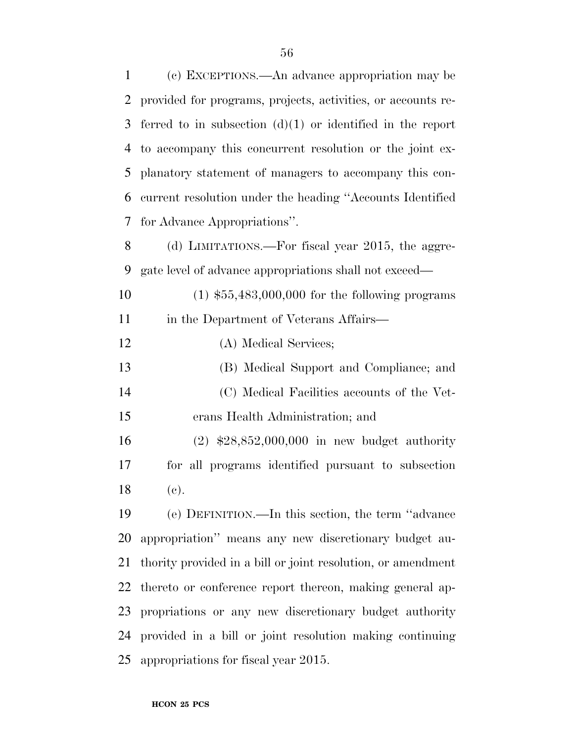| 1  | (c) EXCEPTIONS.—An advance appropriation may be              |
|----|--------------------------------------------------------------|
| 2  | provided for programs, projects, activities, or accounts re- |
| 3  | ferred to in subsection $(d)(1)$ or identified in the report |
| 4  | to accompany this concurrent resolution or the joint ex-     |
| 5  | planatory statement of managers to accompany this con-       |
| 6  | current resolution under the heading "Accounts Identified"   |
| 7  | for Advance Appropriations".                                 |
| 8  | (d) LIMITATIONS.—For fiscal year 2015, the aggre-            |
| 9  | gate level of advance appropriations shall not exceed—       |
| 10 | $(1)$ \$55,483,000,000 for the following programs            |
| 11 | in the Department of Veterans Affairs—                       |
| 12 | (A) Medical Services;                                        |
| 13 | (B) Medical Support and Compliance; and                      |
| 14 | (C) Medical Facilities accounts of the Vet-                  |
| 15 | erans Health Administration; and                             |
| 16 | $(2)$ \$28,852,000,000 in new budget authority               |
| 17 | for all programs identified pursuant to subsection           |
| 18 | (e).                                                         |
| 19 | (e) DEFINITION.—In this section, the term "advance"          |
| 20 | appropriation" means any new discretionary budget au-        |
| 21 | thority provided in a bill or joint resolution, or amendment |
| 22 | thereto or conference report thereon, making general ap-     |
| 23 | propriations or any new discretionary budget authority       |
| 24 | provided in a bill or joint resolution making continuing     |
| 25 | appropriations for fiscal year 2015.                         |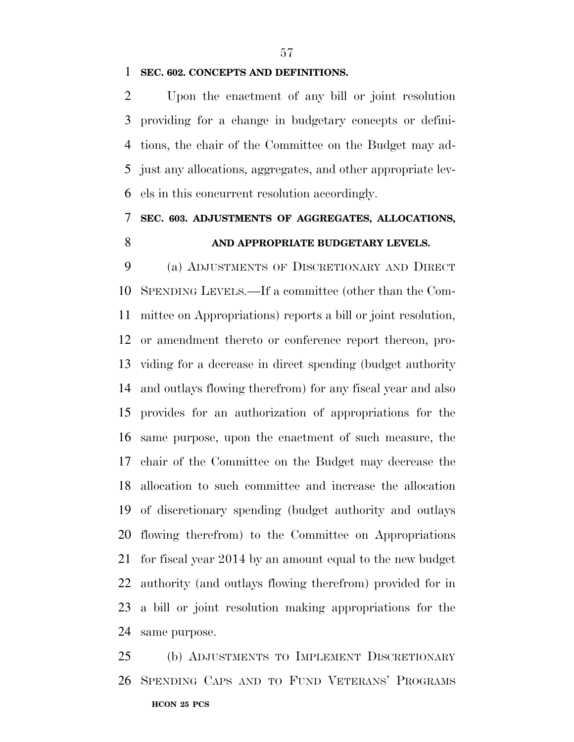#### **SEC. 602. CONCEPTS AND DEFINITIONS.**

 Upon the enactment of any bill or joint resolution providing for a change in budgetary concepts or defini- tions, the chair of the Committee on the Budget may ad- just any allocations, aggregates, and other appropriate lev-els in this concurrent resolution accordingly.

### **SEC. 603. ADJUSTMENTS OF AGGREGATES, ALLOCATIONS, AND APPROPRIATE BUDGETARY LEVELS.**

 (a) ADJUSTMENTS OF DISCRETIONARY AND DIRECT SPENDING LEVELS.—If a committee (other than the Com- mittee on Appropriations) reports a bill or joint resolution, or amendment thereto or conference report thereon, pro- viding for a decrease in direct spending (budget authority and outlays flowing therefrom) for any fiscal year and also provides for an authorization of appropriations for the same purpose, upon the enactment of such measure, the chair of the Committee on the Budget may decrease the allocation to such committee and increase the allocation of discretionary spending (budget authority and outlays flowing therefrom) to the Committee on Appropriations for fiscal year 2014 by an amount equal to the new budget authority (and outlays flowing therefrom) provided for in a bill or joint resolution making appropriations for the same purpose.

**HCON 25 PCS**  (b) ADJUSTMENTS TO IMPLEMENT DISCRETIONARY SPENDING CAPS AND TO FUND VETERANS' PROGRAMS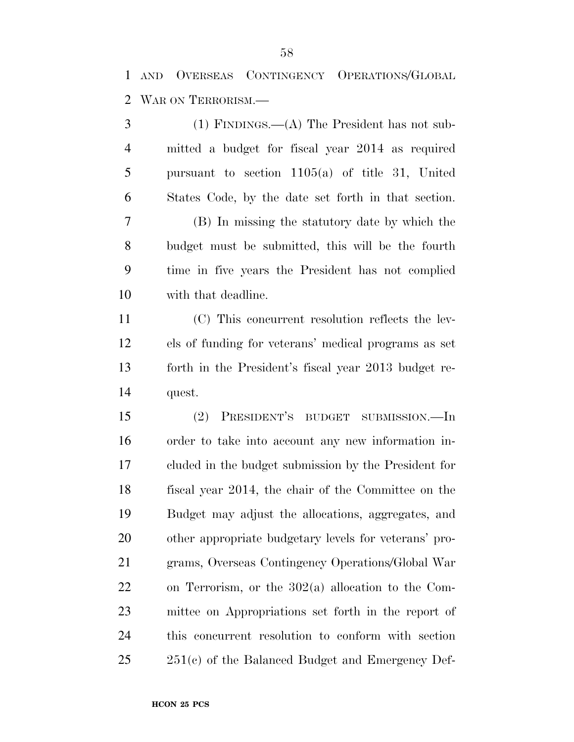AND OVERSEAS CONTINGENCY OPERATIONS/GLOBAL WAR ON TERRORISM.—

 (1) FINDINGS.—(A) The President has not sub- mitted a budget for fiscal year 2014 as required pursuant to section 1105(a) of title 31, United States Code, by the date set forth in that section. (B) In missing the statutory date by which the budget must be submitted, this will be the fourth time in five years the President has not complied with that deadline. (C) This concurrent resolution reflects the lev- els of funding for veterans' medical programs as set forth in the President's fiscal year 2013 budget re- quest. (2) PRESIDENT'S BUDGET SUBMISSION.—In order to take into account any new information in- cluded in the budget submission by the President for fiscal year 2014, the chair of the Committee on the Budget may adjust the allocations, aggregates, and other appropriate budgetary levels for veterans' pro- grams, Overseas Contingency Operations/Global War on Terrorism, or the 302(a) allocation to the Com- mittee on Appropriations set forth in the report of this concurrent resolution to conform with section 251(c) of the Balanced Budget and Emergency Def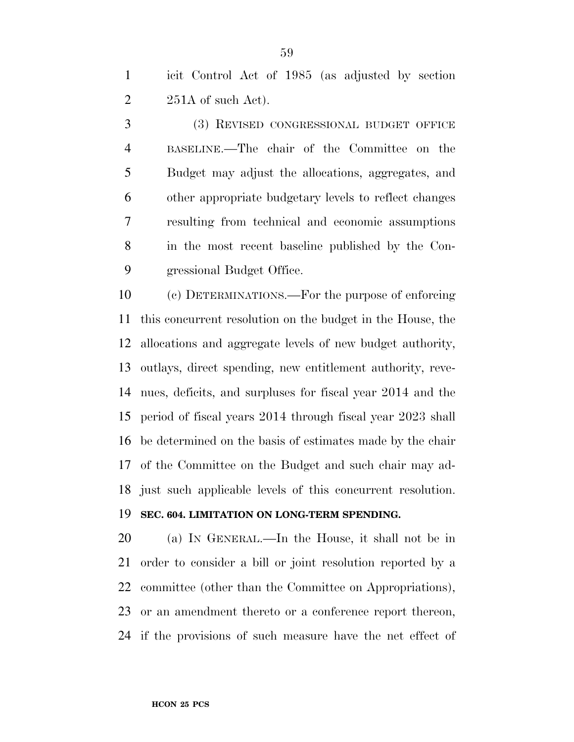icit Control Act of 1985 (as adjusted by section  $2\qquad 251A$  of such Act).

 (3) REVISED CONGRESSIONAL BUDGET OFFICE BASELINE.—The chair of the Committee on the Budget may adjust the allocations, aggregates, and other appropriate budgetary levels to reflect changes resulting from technical and economic assumptions in the most recent baseline published by the Con-gressional Budget Office.

 (c) DETERMINATIONS.—For the purpose of enforcing this concurrent resolution on the budget in the House, the allocations and aggregate levels of new budget authority, outlays, direct spending, new entitlement authority, reve- nues, deficits, and surpluses for fiscal year 2014 and the period of fiscal years 2014 through fiscal year 2023 shall be determined on the basis of estimates made by the chair of the Committee on the Budget and such chair may ad-just such applicable levels of this concurrent resolution.

#### **SEC. 604. LIMITATION ON LONG-TERM SPENDING.**

 (a) IN GENERAL.—In the House, it shall not be in order to consider a bill or joint resolution reported by a committee (other than the Committee on Appropriations), or an amendment thereto or a conference report thereon, if the provisions of such measure have the net effect of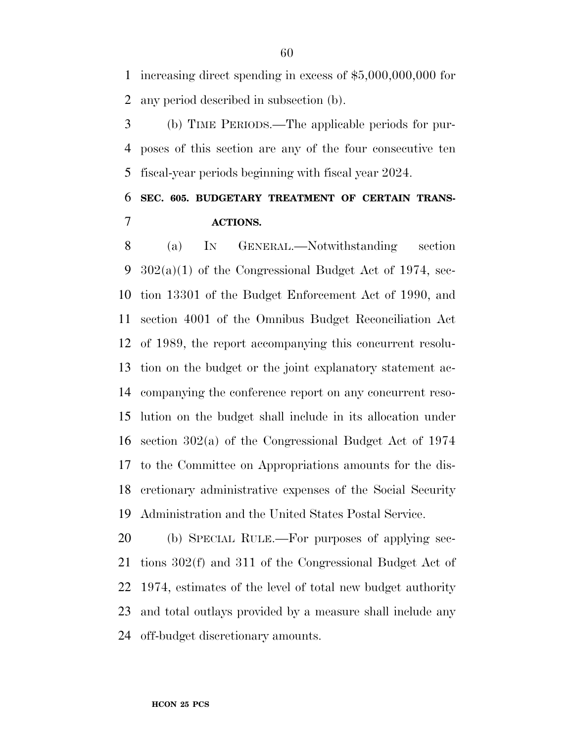increasing direct spending in excess of \$5,000,000,000 for any period described in subsection (b).

 (b) TIME PERIODS.—The applicable periods for pur- poses of this section are any of the four consecutive ten fiscal-year periods beginning with fiscal year 2024.

### **SEC. 605. BUDGETARY TREATMENT OF CERTAIN TRANS-ACTIONS.**

 (a) IN GENERAL.—Notwithstanding section 302(a)(1) of the Congressional Budget Act of 1974, sec- tion 13301 of the Budget Enforcement Act of 1990, and section 4001 of the Omnibus Budget Reconciliation Act of 1989, the report accompanying this concurrent resolu- tion on the budget or the joint explanatory statement ac- companying the conference report on any concurrent reso- lution on the budget shall include in its allocation under section 302(a) of the Congressional Budget Act of 1974 to the Committee on Appropriations amounts for the dis- cretionary administrative expenses of the Social Security Administration and the United States Postal Service.

 (b) SPECIAL RULE.—For purposes of applying sec- tions 302(f) and 311 of the Congressional Budget Act of 1974, estimates of the level of total new budget authority and total outlays provided by a measure shall include any off-budget discretionary amounts.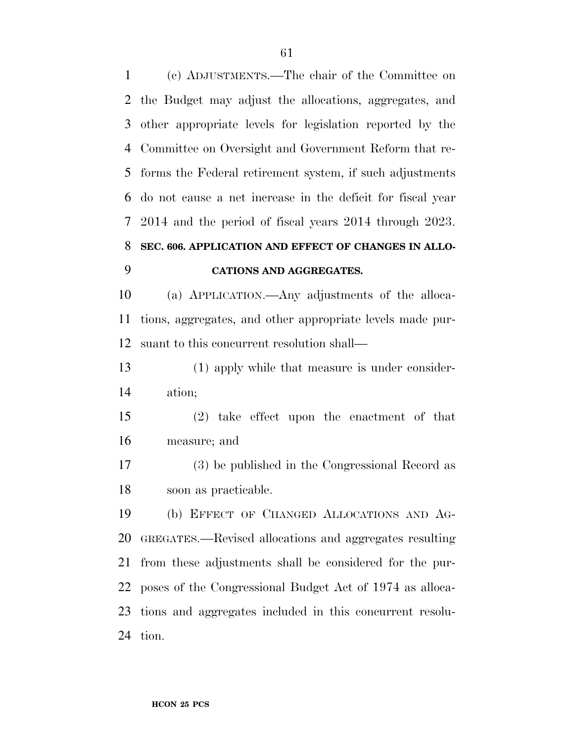(c) ADJUSTMENTS.—The chair of the Committee on the Budget may adjust the allocations, aggregates, and other appropriate levels for legislation reported by the Committee on Oversight and Government Reform that re- forms the Federal retirement system, if such adjustments do not cause a net increase in the deficit for fiscal year 2014 and the period of fiscal years 2014 through 2023. **SEC. 606. APPLICATION AND EFFECT OF CHANGES IN ALLO-**

#### **CATIONS AND AGGREGATES.**

 (a) APPLICATION.—Any adjustments of the alloca- tions, aggregates, and other appropriate levels made pur-suant to this concurrent resolution shall—

 (1) apply while that measure is under consider-ation;

 (2) take effect upon the enactment of that measure; and

 (3) be published in the Congressional Record as soon as practicable.

 (b) EFFECT OF CHANGED ALLOCATIONS AND AG- GREGATES.—Revised allocations and aggregates resulting from these adjustments shall be considered for the pur- poses of the Congressional Budget Act of 1974 as alloca- tions and aggregates included in this concurrent resolu-tion.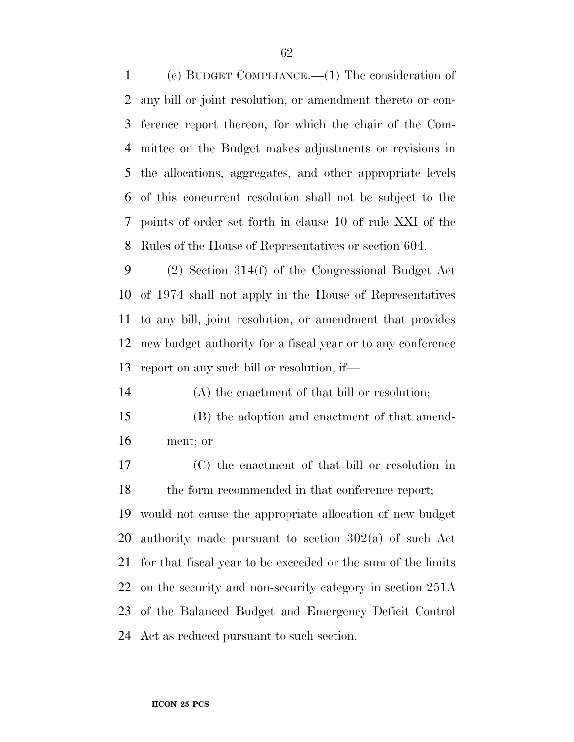(c) BUDGET COMPLIANCE.—(1) The consideration of any bill or joint resolution, or amendment thereto or con- ference report thereon, for which the chair of the Com- mittee on the Budget makes adjustments or revisions in the allocations, aggregates, and other appropriate levels of this concurrent resolution shall not be subject to the points of order set forth in clause 10 of rule XXI of the Rules of the House of Representatives or section 604.

 (2) Section 314(f) of the Congressional Budget Act of 1974 shall not apply in the House of Representatives to any bill, joint resolution, or amendment that provides new budget authority for a fiscal year or to any conference report on any such bill or resolution, if—

(A) the enactment of that bill or resolution;

- (B) the adoption and enactment of that amend-ment; or
- (C) the enactment of that bill or resolution in 18 the form recommended in that conference report;

 would not cause the appropriate allocation of new budget authority made pursuant to section 302(a) of such Act for that fiscal year to be exceeded or the sum of the limits on the security and non-security category in section 251A of the Balanced Budget and Emergency Deficit Control Act as reduced pursuant to such section.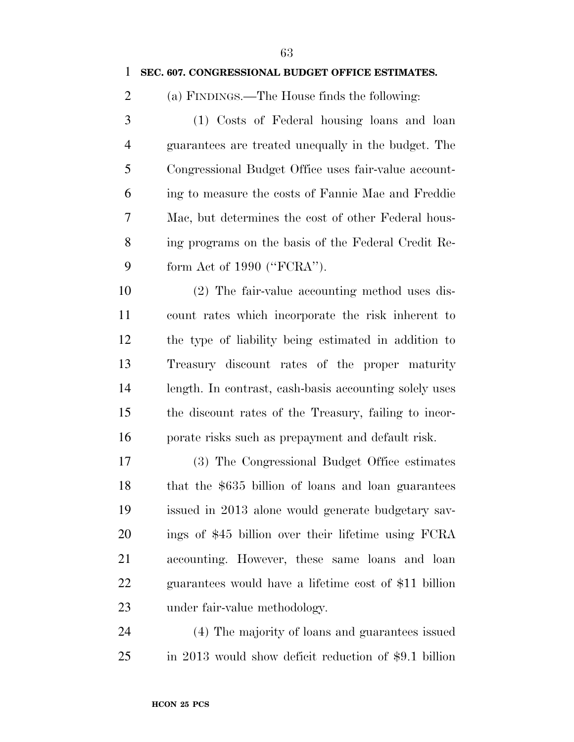#### **SEC. 607. CONGRESSIONAL BUDGET OFFICE ESTIMATES.**

(a) FINDINGS.—The House finds the following:

 (1) Costs of Federal housing loans and loan guarantees are treated unequally in the budget. The Congressional Budget Office uses fair-value account- ing to measure the costs of Fannie Mae and Freddie Mac, but determines the cost of other Federal hous- ing programs on the basis of the Federal Credit Re-form Act of 1990 (''FCRA'').

 (2) The fair-value accounting method uses dis- count rates which incorporate the risk inherent to the type of liability being estimated in addition to Treasury discount rates of the proper maturity length. In contrast, cash-basis accounting solely uses the discount rates of the Treasury, failing to incor-porate risks such as prepayment and default risk.

 (3) The Congressional Budget Office estimates that the \$635 billion of loans and loan guarantees issued in 2013 alone would generate budgetary sav- ings of \$45 billion over their lifetime using FCRA accounting. However, these same loans and loan guarantees would have a lifetime cost of \$11 billion under fair-value methodology.

 (4) The majority of loans and guarantees issued in 2013 would show deficit reduction of \$9.1 billion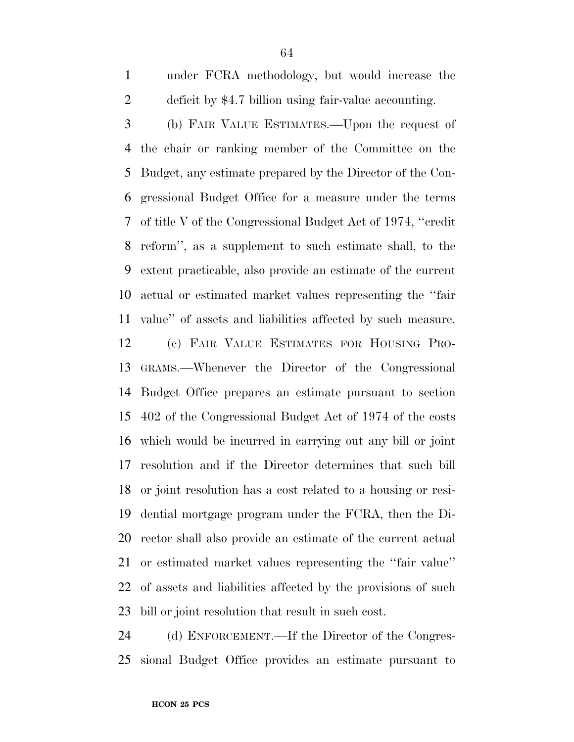under FCRA methodology, but would increase the deficit by \$4.7 billion using fair-value accounting.

 (b) FAIR VALUE ESTIMATES.—Upon the request of the chair or ranking member of the Committee on the Budget, any estimate prepared by the Director of the Con- gressional Budget Office for a measure under the terms of title V of the Congressional Budget Act of 1974, ''credit reform'', as a supplement to such estimate shall, to the extent practicable, also provide an estimate of the current actual or estimated market values representing the ''fair value'' of assets and liabilities affected by such measure.

 (c) FAIR VALUE ESTIMATES FOR HOUSING PRO- GRAMS.—Whenever the Director of the Congressional Budget Office prepares an estimate pursuant to section 402 of the Congressional Budget Act of 1974 of the costs which would be incurred in carrying out any bill or joint resolution and if the Director determines that such bill or joint resolution has a cost related to a housing or resi- dential mortgage program under the FCRA, then the Di- rector shall also provide an estimate of the current actual or estimated market values representing the ''fair value'' of assets and liabilities affected by the provisions of such bill or joint resolution that result in such cost.

 (d) ENFORCEMENT.—If the Director of the Congres-sional Budget Office provides an estimate pursuant to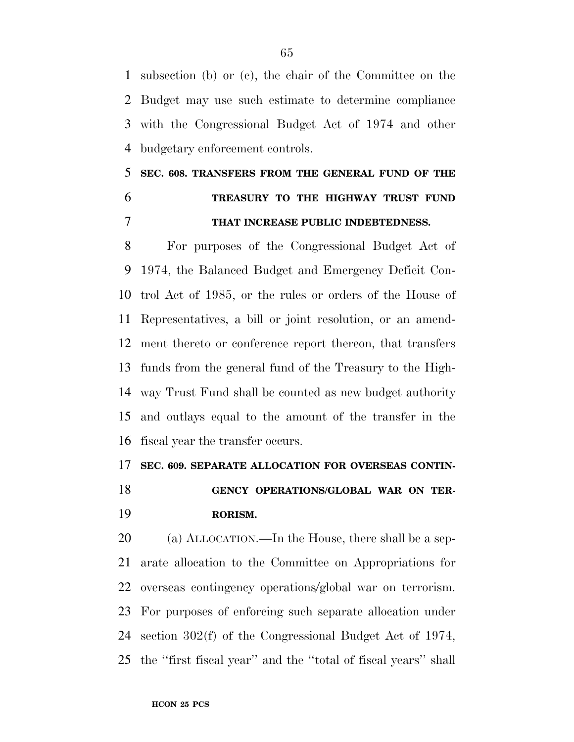subsection (b) or (c), the chair of the Committee on the Budget may use such estimate to determine compliance with the Congressional Budget Act of 1974 and other budgetary enforcement controls.

## **SEC. 608. TRANSFERS FROM THE GENERAL FUND OF THE TREASURY TO THE HIGHWAY TRUST FUND THAT INCREASE PUBLIC INDEBTEDNESS.**

 For purposes of the Congressional Budget Act of 1974, the Balanced Budget and Emergency Deficit Con- trol Act of 1985, or the rules or orders of the House of Representatives, a bill or joint resolution, or an amend- ment thereto or conference report thereon, that transfers funds from the general fund of the Treasury to the High- way Trust Fund shall be counted as new budget authority and outlays equal to the amount of the transfer in the fiscal year the transfer occurs.

#### **SEC. 609. SEPARATE ALLOCATION FOR OVERSEAS CONTIN-**

 **GENCY OPERATIONS/GLOBAL WAR ON TER-RORISM.** 

 (a) ALLOCATION.—In the House, there shall be a sep- arate allocation to the Committee on Appropriations for overseas contingency operations/global war on terrorism. For purposes of enforcing such separate allocation under section 302(f) of the Congressional Budget Act of 1974, the ''first fiscal year'' and the ''total of fiscal years'' shall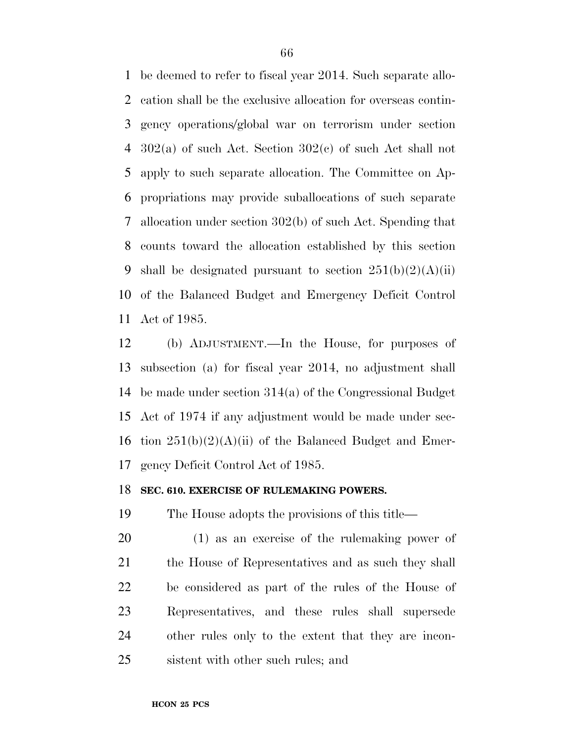be deemed to refer to fiscal year 2014. Such separate allo- cation shall be the exclusive allocation for overseas contin- gency operations/global war on terrorism under section 302(a) of such Act. Section 302(c) of such Act shall not apply to such separate allocation. The Committee on Ap- propriations may provide suballocations of such separate allocation under section 302(b) of such Act. Spending that counts toward the allocation established by this section 9 shall be designated pursuant to section  $251(b)(2)(A)(ii)$  of the Balanced Budget and Emergency Deficit Control Act of 1985.

 (b) ADJUSTMENT.—In the House, for purposes of subsection (a) for fiscal year 2014, no adjustment shall be made under section 314(a) of the Congressional Budget Act of 1974 if any adjustment would be made under sec-16 tion  $251(b)(2)(A)(ii)$  of the Balanced Budget and Emer-gency Deficit Control Act of 1985.

#### **SEC. 610. EXERCISE OF RULEMAKING POWERS.**

The House adopts the provisions of this title—

 (1) as an exercise of the rulemaking power of the House of Representatives and as such they shall be considered as part of the rules of the House of Representatives, and these rules shall supersede other rules only to the extent that they are incon-sistent with other such rules; and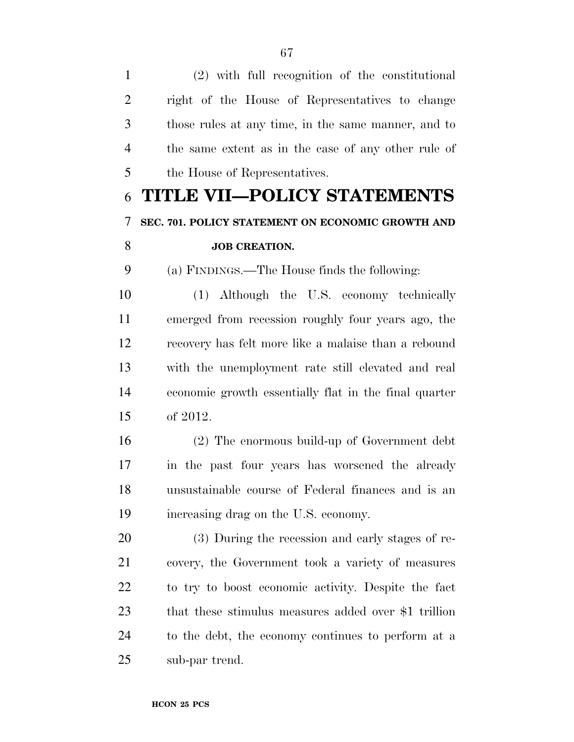(2) with full recognition of the constitutional right of the House of Representatives to change those rules at any time, in the same manner, and to the same extent as in the case of any other rule of the House of Representatives.

# **TITLE VII—POLICY STATEMENTS SEC. 701. POLICY STATEMENT ON ECONOMIC GROWTH AND JOB CREATION.**

(a) FINDINGS.—The House finds the following:

 (1) Although the U.S. economy technically emerged from recession roughly four years ago, the recovery has felt more like a malaise than a rebound with the unemployment rate still elevated and real economic growth essentially flat in the final quarter of 2012.

 (2) The enormous build-up of Government debt in the past four years has worsened the already unsustainable course of Federal finances and is an increasing drag on the U.S. economy.

 (3) During the recession and early stages of re- covery, the Government took a variety of measures to try to boost economic activity. Despite the fact that these stimulus measures added over \$1 trillion to the debt, the economy continues to perform at a sub-par trend.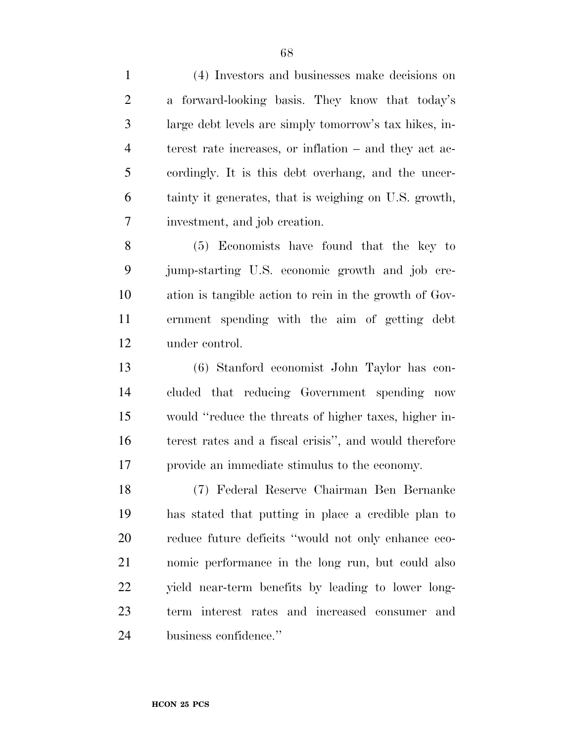(4) Investors and businesses make decisions on a forward-looking basis. They know that today's large debt levels are simply tomorrow's tax hikes, in- terest rate increases, or inflation – and they act ac- cordingly. It is this debt overhang, and the uncer- tainty it generates, that is weighing on U.S. growth, investment, and job creation.

 (5) Economists have found that the key to jump-starting U.S. economic growth and job cre- ation is tangible action to rein in the growth of Gov- ernment spending with the aim of getting debt under control.

 (6) Stanford economist John Taylor has con- cluded that reducing Government spending now would ''reduce the threats of higher taxes, higher in- terest rates and a fiscal crisis'', and would therefore provide an immediate stimulus to the economy.

 (7) Federal Reserve Chairman Ben Bernanke has stated that putting in place a credible plan to reduce future deficits ''would not only enhance eco- nomic performance in the long run, but could also yield near-term benefits by leading to lower long- term interest rates and increased consumer and business confidence.''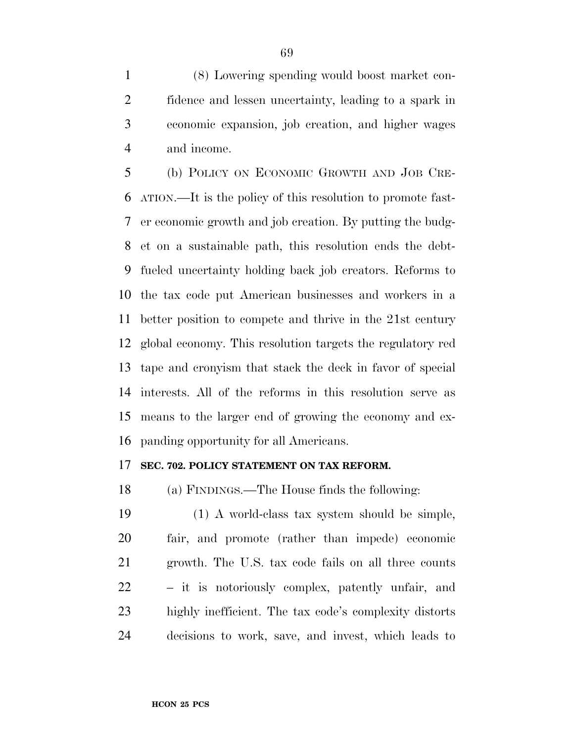(8) Lowering spending would boost market con- fidence and lessen uncertainty, leading to a spark in economic expansion, job creation, and higher wages and income.

 (b) POLICY ON ECONOMIC GROWTH AND JOB CRE- ATION.—It is the policy of this resolution to promote fast- er economic growth and job creation. By putting the budg- et on a sustainable path, this resolution ends the debt- fueled uncertainty holding back job creators. Reforms to the tax code put American businesses and workers in a better position to compete and thrive in the 21st century global economy. This resolution targets the regulatory red tape and cronyism that stack the deck in favor of special interests. All of the reforms in this resolution serve as means to the larger end of growing the economy and ex-panding opportunity for all Americans.

#### **SEC. 702. POLICY STATEMENT ON TAX REFORM.**

(a) FINDINGS.—The House finds the following:

 (1) A world-class tax system should be simple, fair, and promote (rather than impede) economic growth. The U.S. tax code fails on all three counts – it is notoriously complex, patently unfair, and highly inefficient. The tax code's complexity distorts decisions to work, save, and invest, which leads to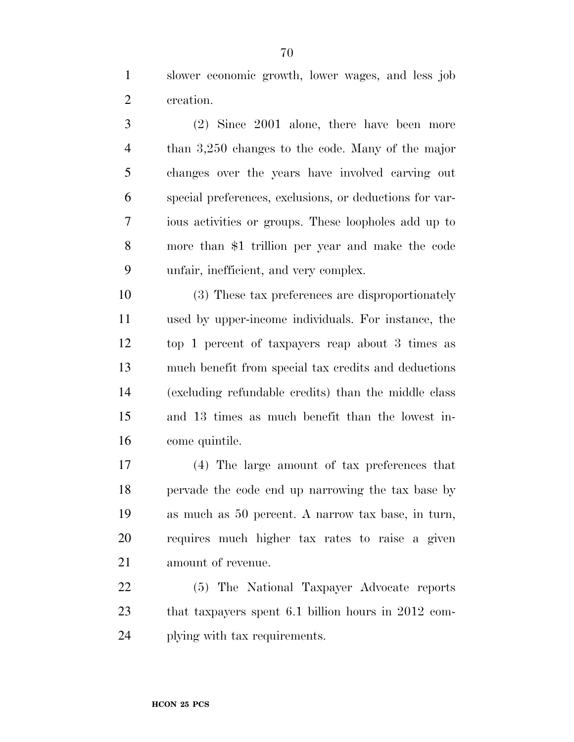slower economic growth, lower wages, and less job creation.

 (2) Since 2001 alone, there have been more than 3,250 changes to the code. Many of the major changes over the years have involved carving out special preferences, exclusions, or deductions for var- ious activities or groups. These loopholes add up to more than \$1 trillion per year and make the code unfair, inefficient, and very complex.

 (3) These tax preferences are disproportionately used by upper-income individuals. For instance, the top 1 percent of taxpayers reap about 3 times as much benefit from special tax credits and deductions (excluding refundable credits) than the middle class and 13 times as much benefit than the lowest in-come quintile.

 (4) The large amount of tax preferences that pervade the code end up narrowing the tax base by as much as 50 percent. A narrow tax base, in turn, requires much higher tax rates to raise a given amount of revenue.

 (5) The National Taxpayer Advocate reports that taxpayers spent 6.1 billion hours in 2012 com-plying with tax requirements.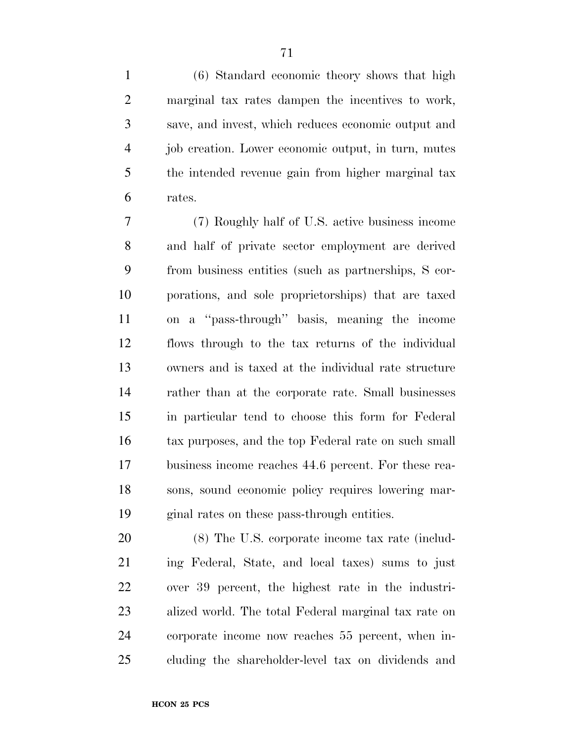(6) Standard economic theory shows that high marginal tax rates dampen the incentives to work, save, and invest, which reduces economic output and job creation. Lower economic output, in turn, mutes the intended revenue gain from higher marginal tax rates.

 (7) Roughly half of U.S. active business income and half of private sector employment are derived from business entities (such as partnerships, S cor- porations, and sole proprietorships) that are taxed on a ''pass-through'' basis, meaning the income flows through to the tax returns of the individual owners and is taxed at the individual rate structure rather than at the corporate rate. Small businesses in particular tend to choose this form for Federal tax purposes, and the top Federal rate on such small business income reaches 44.6 percent. For these rea- sons, sound economic policy requires lowering mar-ginal rates on these pass-through entities.

 (8) The U.S. corporate income tax rate (includ- ing Federal, State, and local taxes) sums to just over 39 percent, the highest rate in the industri- alized world. The total Federal marginal tax rate on corporate income now reaches 55 percent, when in-cluding the shareholder-level tax on dividends and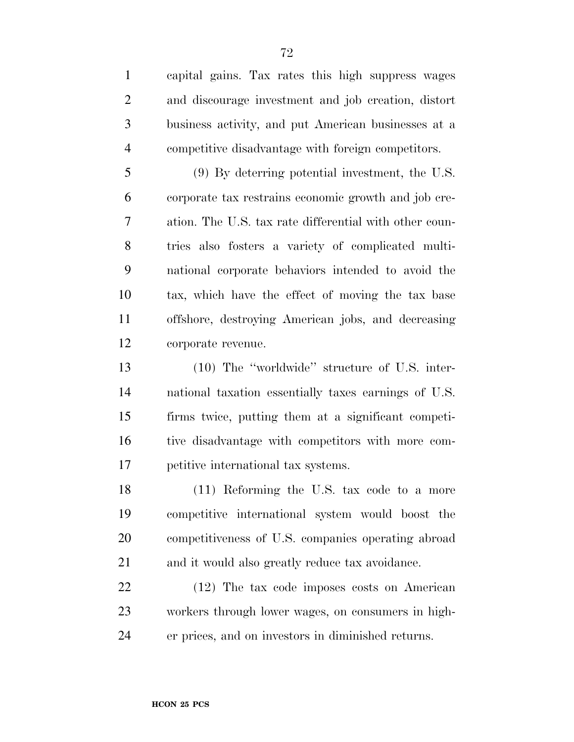capital gains. Tax rates this high suppress wages and discourage investment and job creation, distort business activity, and put American businesses at a competitive disadvantage with foreign competitors.

 (9) By deterring potential investment, the U.S. corporate tax restrains economic growth and job cre- ation. The U.S. tax rate differential with other coun- tries also fosters a variety of complicated multi- national corporate behaviors intended to avoid the tax, which have the effect of moving the tax base offshore, destroying American jobs, and decreasing corporate revenue.

 (10) The ''worldwide'' structure of U.S. inter- national taxation essentially taxes earnings of U.S. firms twice, putting them at a significant competi- tive disadvantage with competitors with more com-petitive international tax systems.

 (11) Reforming the U.S. tax code to a more competitive international system would boost the competitiveness of U.S. companies operating abroad and it would also greatly reduce tax avoidance.

 (12) The tax code imposes costs on American workers through lower wages, on consumers in high-er prices, and on investors in diminished returns.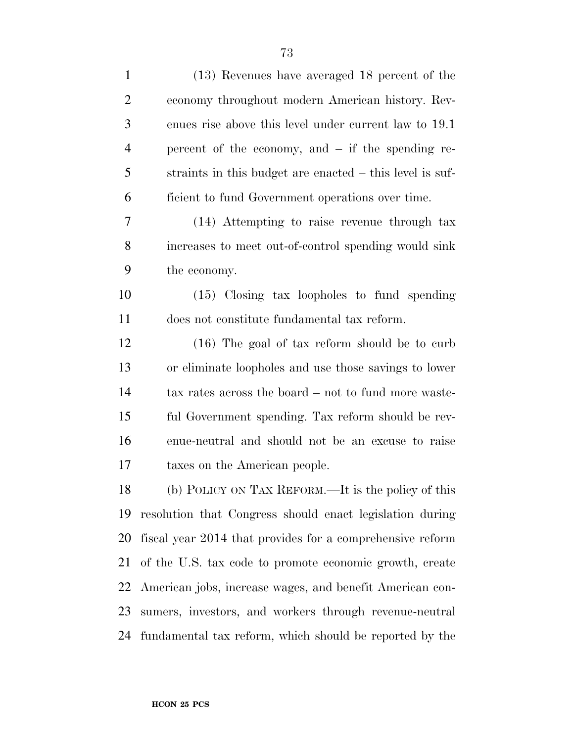| $\mathbf{1}$   | (13) Revenues have averaged 18 percent of the             |
|----------------|-----------------------------------------------------------|
| $\overline{2}$ | economy throughout modern American history. Rev-          |
| 3              | enues rise above this level under current law to 19.1     |
| $\overline{4}$ | percent of the economy, and $-$ if the spending re-       |
| 5              | straints in this budget are enacted – this level is suf-  |
| 6              | ficient to fund Government operations over time.          |
| 7              | (14) Attempting to raise revenue through tax              |
| 8              | increases to meet out-of-control spending would sink      |
| 9              | the economy.                                              |
| 10             | $(15)$ Closing tax loopholes to fund spending             |
| 11             | does not constitute fundamental tax reform.               |
| 12             | $(16)$ The goal of tax reform should be to curb           |
| 13             | or eliminate loopholes and use those savings to lower     |
| 14             | tax rates across the board – not to fund more waste-      |
| 15             | ful Government spending. Tax reform should be rev-        |
| 16             | enue-neutral and should not be an excuse to raise         |
| 17             | taxes on the American people.                             |
| 18             | (b) POLICY ON TAX REFORM.—It is the policy of this        |
| 19             | resolution that Congress should enact legislation during  |
| 20             | fiscal year 2014 that provides for a comprehensive reform |
| 21             | of the U.S. tax code to promote economic growth, create   |
| 22             | American jobs, increase wages, and benefit American con-  |
| 23             | sumers, investors, and workers through revenue-neutral    |
| 24             | fundamental tax reform, which should be reported by the   |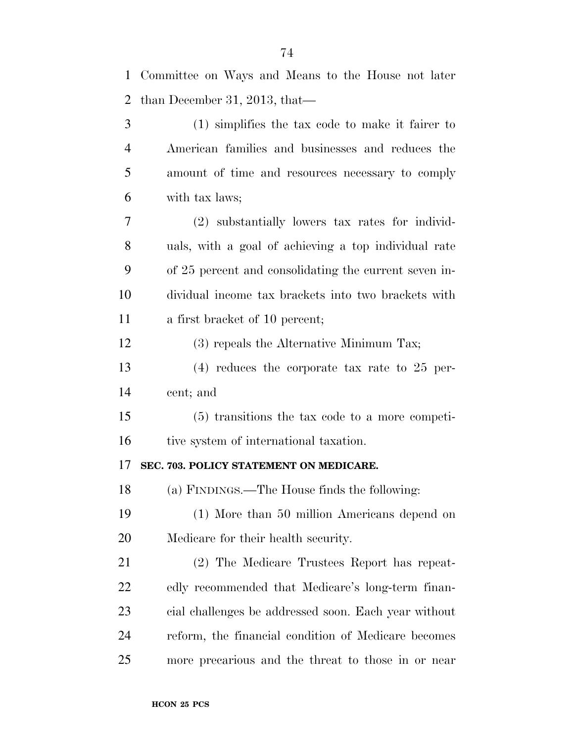| $\mathbf{1}$   | Committee on Ways and Means to the House not later    |
|----------------|-------------------------------------------------------|
| $\overline{2}$ | than December 31, 2013, that—                         |
| 3              | $(1)$ simplifies the tax code to make it fairer to    |
| $\overline{4}$ | American families and businesses and reduces the      |
| 5              | amount of time and resources necessary to comply      |
| 6              | with tax laws;                                        |
| 7              | (2) substantially lowers tax rates for individ-       |
| 8              | uals, with a goal of achieving a top individual rate  |
| 9              | of 25 percent and consolidating the current seven in- |
| 10             | dividual income tax brackets into two brackets with   |
| 11             | a first bracket of 10 percent;                        |
| 12             | (3) repeals the Alternative Minimum Tax;              |
| 13             | $(4)$ reduces the corporate tax rate to 25 per-       |
| 14             | cent; and                                             |
| 15             | $(5)$ transitions the tax code to a more competi-     |
| 16             | tive system of international taxation.                |
| 17             | SEC. 703. POLICY STATEMENT ON MEDICARE.               |
| 18             | (a) FINDINGS.—The House finds the following:          |
| 19             | (1) More than 50 million Americans depend on          |
| 20             | Medicare for their health security.                   |
| 21             | (2) The Medicare Trustees Report has repeat-          |
| 22             | edly recommended that Medicare's long-term finan-     |
| 23             | cial challenges be addressed soon. Each year without  |
| 24             | reform, the financial condition of Medicare becomes   |
| 25             | more precarious and the threat to those in or near    |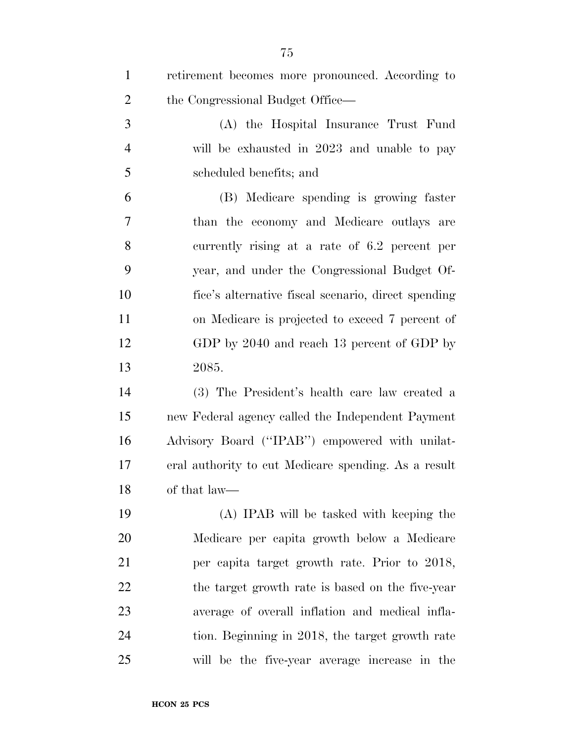| $\mathbf{1}$   | retirement becomes more pronounced. According to     |
|----------------|------------------------------------------------------|
| $\overline{2}$ | the Congressional Budget Office—                     |
| 3              | (A) the Hospital Insurance Trust Fund                |
| $\overline{4}$ | will be exhausted in 2023 and unable to pay          |
| 5              | scheduled benefits; and                              |
| 6              | (B) Medicare spending is growing faster              |
| 7              | than the economy and Medicare outlays are            |
| 8              | currently rising at a rate of 6.2 percent per        |
| 9              | year, and under the Congressional Budget Of-         |
| 10             | fice's alternative fiscal scenario, direct spending  |
| 11             | on Medicare is projected to exceed 7 percent of      |
| 12             | GDP by 2040 and reach 13 percent of GDP by           |
| 13             | 2085.                                                |
| 14             | (3) The President's health care law created a        |
| 15             | new Federal agency called the Independent Payment    |
| 16             | Advisory Board ("IPAB") empowered with unilat-       |
| 17             | eral authority to cut Medicare spending. As a result |
| 18             | of that law—                                         |
| 19             | (A) IPAB will be tasked with keeping the             |
| 20             | Medicare per capita growth below a Medicare          |
| 21             | per capita target growth rate. Prior to 2018,        |
| 22             | the target growth rate is based on the five-year     |
| 23             | average of overall inflation and medical infla-      |
| 24             | tion. Beginning in 2018, the target growth rate      |
| 25             | will be the five-year average increase in the        |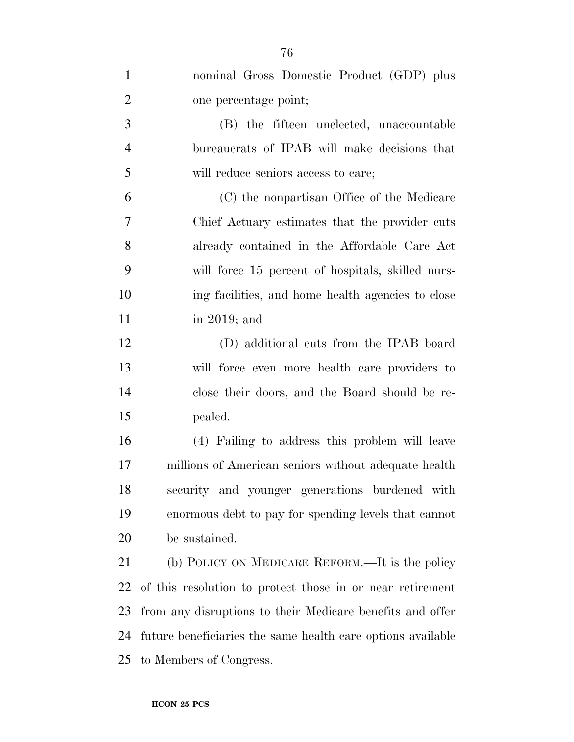| $\mathbf{1}$   | nominal Gross Domestic Product (GDP) plus                   |
|----------------|-------------------------------------------------------------|
| $\overline{2}$ | one percentage point;                                       |
| 3              | (B) the fifteen unelected, unaccountable                    |
| $\overline{4}$ | bureaucrats of IPAB will make decisions that                |
| 5              | will reduce seniors access to care;                         |
| 6              | (C) the nonpartisan Office of the Medicare                  |
| $\overline{7}$ | Chief Actuary estimates that the provider cuts              |
| 8              | already contained in the Affordable Care Act                |
| 9              | will force 15 percent of hospitals, skilled nurs-           |
| 10             | ing facilities, and home health agencies to close           |
| 11             | in 2019; and                                                |
| 12             | (D) additional cuts from the IPAB board                     |
| 13             | will force even more health care providers to               |
| 14             | close their doors, and the Board should be re-              |
| 15             | pealed.                                                     |
| 16             | (4) Failing to address this problem will leave              |
| 17             | millions of American seniors without adequate health        |
| 18             | security and younger generations burdened with              |
| 19             | enormous debt to pay for spending levels that cannot        |
| 20             | be sustained.                                               |
| 21             | (b) POLICY ON MEDICARE REFORM.—It is the policy             |
| 22             | of this resolution to protect those in or near retirement   |
| 23             | from any disruptions to their Medicare benefits and offer   |
| 24             | future beneficiaries the same health care options available |
| 25             | to Members of Congress.                                     |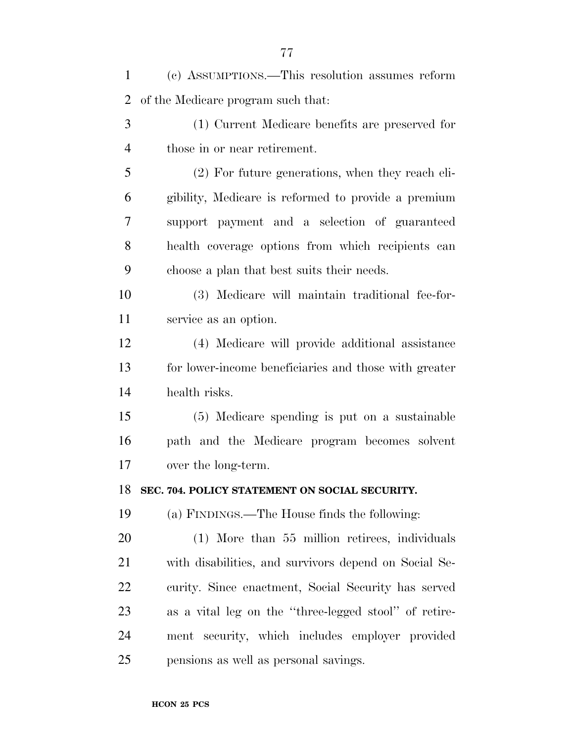| $\mathbf{1}$   | (c) ASSUMPTIONS.—This resolution assumes reform       |
|----------------|-------------------------------------------------------|
| $\overline{2}$ | of the Medicare program such that:                    |
| 3              | (1) Current Medicare benefits are preserved for       |
| $\overline{4}$ | those in or near retirement.                          |
| 5              | (2) For future generations, when they reach eli-      |
| 6              | gibility, Medicare is reformed to provide a premium   |
| 7              | support payment and a selection of guaranteed         |
| 8              | health coverage options from which recipients can     |
| 9              | choose a plan that best suits their needs.            |
| 10             | (3) Medicare will maintain traditional fee-for-       |
| 11             | service as an option.                                 |
| 12             | (4) Medicare will provide additional assistance       |
| 13             | for lower-income beneficiaries and those with greater |
| 14             | health risks.                                         |
| 15             | (5) Medicare spending is put on a sustainable         |
| 16             | path and the Medicare program becomes solvent         |
| 17             | over the long-term.                                   |
| 18             | SEC. 704. POLICY STATEMENT ON SOCIAL SECURITY.        |
| 19             | (a) FINDINGS.—The House finds the following:          |
| 20             | $(1)$ More than 55 million retirees, individuals      |
| 21             | with disabilities, and survivors depend on Social Se- |
| 22             | curity. Since enactment, Social Security has served   |
| 23             | as a vital leg on the "three-legged stool" of retire- |
| 24             | ment security, which includes employer provided       |
| 25             | pensions as well as personal savings.                 |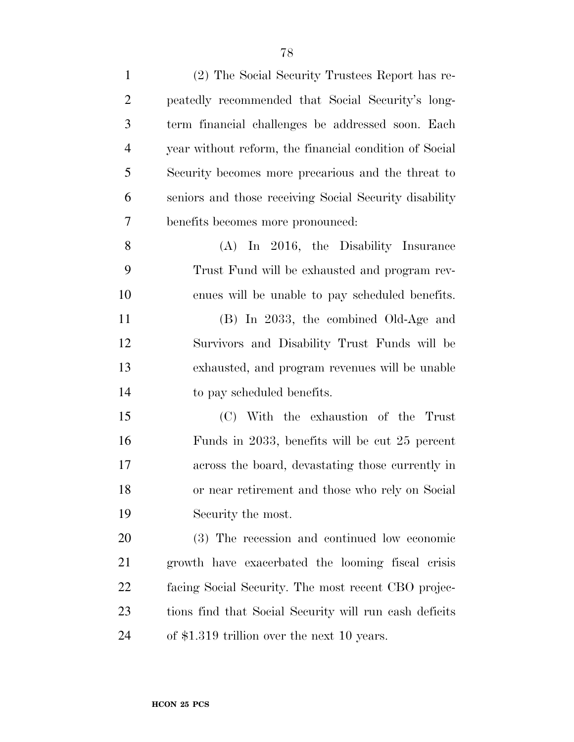| $\mathbf{1}$   | (2) The Social Security Trustees Report has re-        |
|----------------|--------------------------------------------------------|
| $\overline{2}$ | peatedly recommended that Social Security's long-      |
| 3              | term financial challenges be addressed soon. Each      |
| $\overline{4}$ | year without reform, the financial condition of Social |
| 5              | Security becomes more precarious and the threat to     |
| 6              | seniors and those receiving Social Security disability |
| $\overline{7}$ | benefits becomes more pronounced:                      |
| 8              | $(A)$ In 2016, the Disability Insurance                |
| 9              | Trust Fund will be exhausted and program rev-          |
| 10             | enues will be unable to pay scheduled benefits.        |
| 11             | (B) In 2033, the combined Old-Age and                  |
| 12             | Survivors and Disability Trust Funds will be           |
| 13             | exhausted, and program revenues will be unable         |
| 14             | to pay scheduled benefits.                             |
| 15             | (C) With the exhaustion of the Trust                   |
| 16             | Funds in 2033, benefits will be cut 25 percent         |
| 17             | across the board, devastating those currently in       |
| 18             | or near retirement and those who rely on Social        |
| 19             | Security the most.                                     |
| 20             | (3) The recession and continued low economic           |
| 21             | growth have exacerbated the looming fiscal crisis      |
| <u>22</u>      | facing Social Security. The most recent CBO projec-    |
| 23             | tions find that Social Security will run cash deficits |
| 24             | of \$1.319 trillion over the next 10 years.            |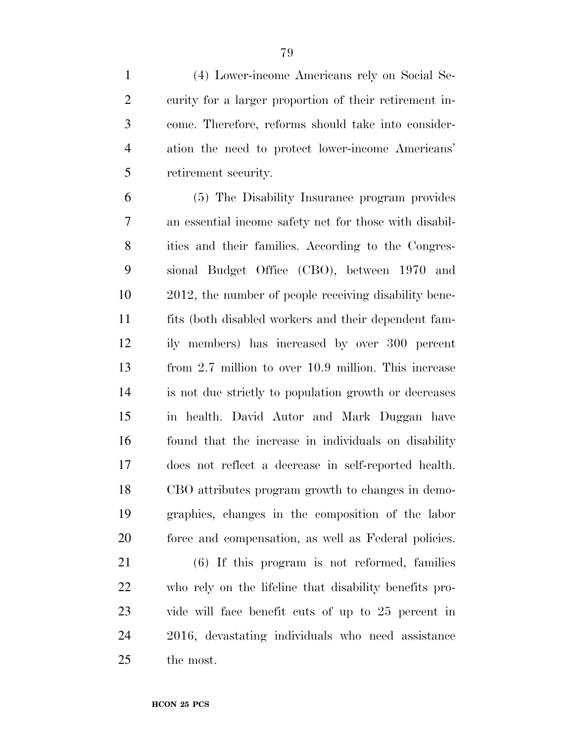(4) Lower-income Americans rely on Social Se- curity for a larger proportion of their retirement in- come. Therefore, reforms should take into consider- ation the need to protect lower-income Americans' retirement security.

 (5) The Disability Insurance program provides an essential income safety net for those with disabil- ities and their families. According to the Congres- sional Budget Office (CBO), between 1970 and 2012, the number of people receiving disability bene- fits (both disabled workers and their dependent fam- ily members) has increased by over 300 percent from 2.7 million to over 10.9 million. This increase is not due strictly to population growth or decreases in health. David Autor and Mark Duggan have found that the increase in individuals on disability does not reflect a decrease in self-reported health. CBO attributes program growth to changes in demo- graphics, changes in the composition of the labor force and compensation, as well as Federal policies.

 (6) If this program is not reformed, families who rely on the lifeline that disability benefits pro- vide will face benefit cuts of up to 25 percent in 2016, devastating individuals who need assistance the most.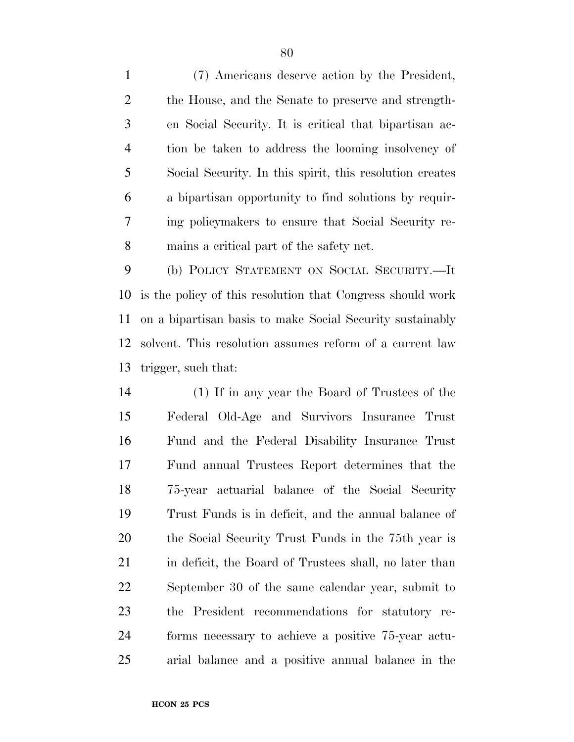(7) Americans deserve action by the President, the House, and the Senate to preserve and strength- en Social Security. It is critical that bipartisan ac- tion be taken to address the looming insolvency of Social Security. In this spirit, this resolution creates a bipartisan opportunity to find solutions by requir- ing policymakers to ensure that Social Security re-mains a critical part of the safety net.

 (b) POLICY STATEMENT ON SOCIAL SECURITY.—It is the policy of this resolution that Congress should work on a bipartisan basis to make Social Security sustainably solvent. This resolution assumes reform of a current law trigger, such that:

 (1) If in any year the Board of Trustees of the Federal Old-Age and Survivors Insurance Trust Fund and the Federal Disability Insurance Trust Fund annual Trustees Report determines that the 75-year actuarial balance of the Social Security Trust Funds is in deficit, and the annual balance of the Social Security Trust Funds in the 75th year is 21 in deficit, the Board of Trustees shall, no later than September 30 of the same calendar year, submit to the President recommendations for statutory re- forms necessary to achieve a positive 75-year actu-arial balance and a positive annual balance in the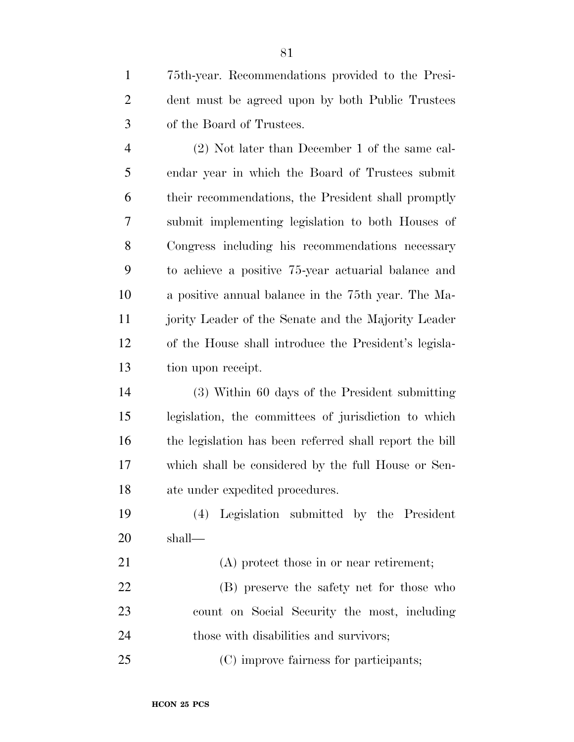75th-year. Recommendations provided to the Presi- dent must be agreed upon by both Public Trustees of the Board of Trustees.

 (2) Not later than December 1 of the same cal- endar year in which the Board of Trustees submit their recommendations, the President shall promptly submit implementing legislation to both Houses of Congress including his recommendations necessary to achieve a positive 75-year actuarial balance and a positive annual balance in the 75th year. The Ma- jority Leader of the Senate and the Majority Leader of the House shall introduce the President's legisla-tion upon receipt.

 (3) Within 60 days of the President submitting legislation, the committees of jurisdiction to which the legislation has been referred shall report the bill which shall be considered by the full House or Sen-ate under expedited procedures.

 (4) Legislation submitted by the President shall—

 (A) protect those in or near retirement; (B) preserve the safety net for those who count on Social Security the most, including

those with disabilities and survivors;

(C) improve fairness for participants;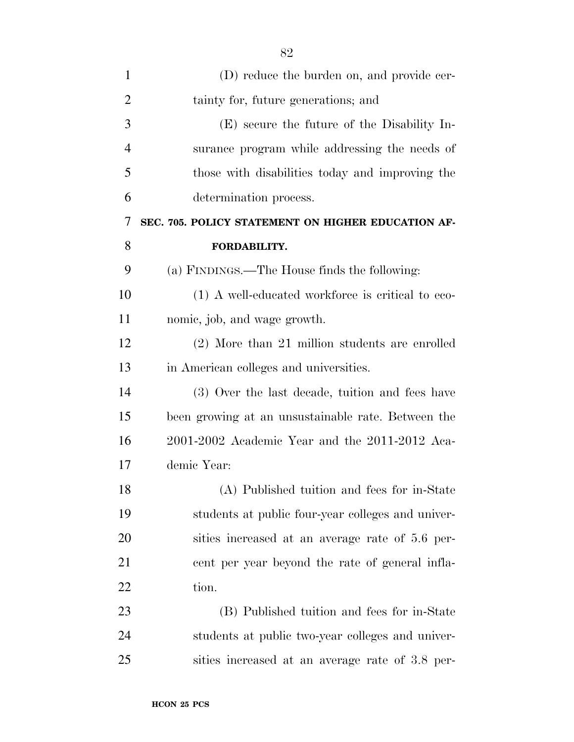| 1              | (D) reduce the burden on, and provide cer-         |
|----------------|----------------------------------------------------|
| $\overline{2}$ | tainty for, future generations; and                |
| 3              | (E) secure the future of the Disability In-        |
| $\overline{4}$ | surance program while addressing the needs of      |
| 5              | those with disabilities today and improving the    |
| 6              | determination process.                             |
| 7              | SEC. 705. POLICY STATEMENT ON HIGHER EDUCATION AF- |
| 8              | FORDABILITY.                                       |
| 9              | (a) FINDINGS.—The House finds the following:       |
| 10             | (1) A well-educated workforce is critical to eco-  |
| 11             | nomic, job, and wage growth.                       |
| 12             | (2) More than 21 million students are enrolled     |
| 13             | in American colleges and universities.             |
| 14             | (3) Over the last decade, tuition and fees have    |
| 15             | been growing at an unsustainable rate. Between the |
| 16             | $2001-2002$ Academic Year and the $2011-2012$ Aca- |
| 17             | demic Year:                                        |
| 18             | (A) Published tuition and fees for in-State        |
| 19             | students at public four-year colleges and univer-  |
| 20             | sities increased at an average rate of 5.6 per-    |
| 21             | eent per year beyond the rate of general infla-    |
| 22             | tion.                                              |
| 23             | (B) Published tuition and fees for in-State        |
| 24             | students at public two-year colleges and univer-   |
| 25             | sities increased at an average rate of 3.8 per-    |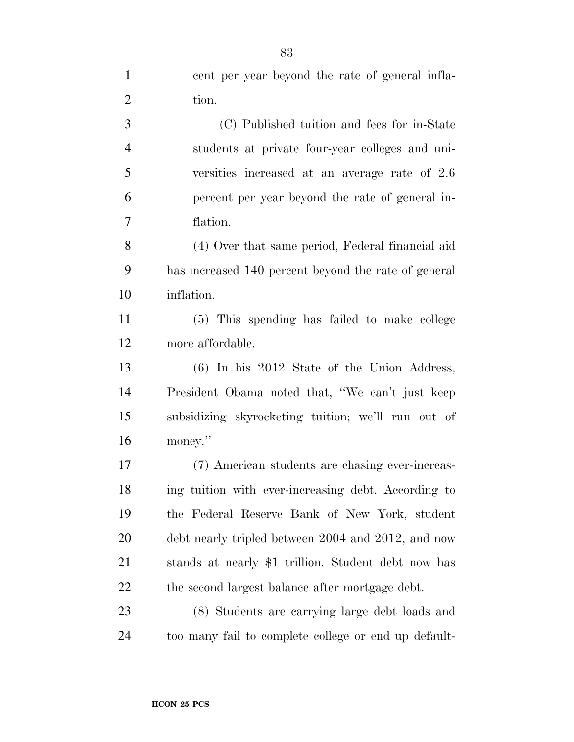| $\mathbf{1}$   | cent per year beyond the rate of general infla-      |
|----------------|------------------------------------------------------|
| $\overline{2}$ | tion.                                                |
| 3              | (C) Published tuition and fees for in-State          |
| $\overline{4}$ | students at private four-year colleges and uni-      |
| 5              | versities increased at an average rate of 2.6        |
| 6              | percent per year beyond the rate of general in-      |
| $\tau$         | flation.                                             |
| 8              | (4) Over that same period, Federal financial aid     |
| 9              | has increased 140 percent beyond the rate of general |
| 10             | inflation.                                           |
| 11             | (5) This spending has failed to make college         |
| 12             | more affordable.                                     |
| 13             | $(6)$ In his 2012 State of the Union Address,        |
| 14             | President Obama noted that, "We can't just keep      |
| 15             | subsidizing skyrocketing tuition; we'll run out of   |
| 16             | money."                                              |
| 17             | (7) American students are chasing ever-increas-      |
| 18             | ing tuition with ever-increasing debt. According to  |
| 19             | the Federal Reserve Bank of New York, student        |
| 20             | debt nearly tripled between 2004 and 2012, and now   |
| 21             | stands at nearly \$1 trillion. Student debt now has  |
| 22             | the second largest balance after mortgage debt.      |
| 23             | (8) Students are carrying large debt loads and       |
| 24             | too many fail to complete college or end up default- |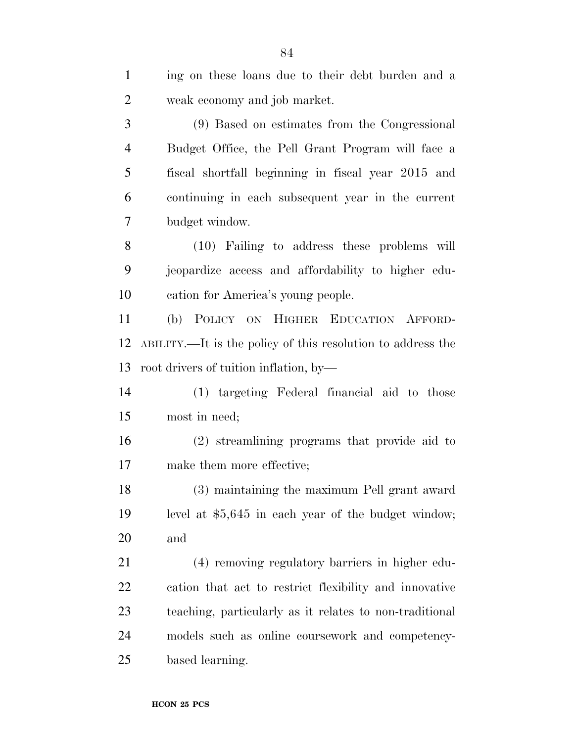| $\mathbf{1}$   | ing on these loans due to their debt burden and a           |
|----------------|-------------------------------------------------------------|
| $\overline{2}$ | weak economy and job market.                                |
| 3              | (9) Based on estimates from the Congressional               |
| $\overline{4}$ | Budget Office, the Pell Grant Program will face a           |
| 5              | fiscal shortfall beginning in fiscal year 2015 and          |
| 6              | continuing in each subsequent year in the current           |
| $\tau$         | budget window.                                              |
| 8              | (10) Failing to address these problems will                 |
| 9              | jeopardize access and affordability to higher edu-          |
| 10             | cation for America's young people.                          |
| 11             | (b) POLICY ON HIGHER EDUCATION AFFORD-                      |
| 12             | ABILITY.—It is the policy of this resolution to address the |
| 13             | root drivers of tuition inflation, by-                      |
| 14             | (1) targeting Federal financial aid to those                |
| 15             | most in need;                                               |
| 16             | (2) streamlining programs that provide aid to               |
| 17             | make them more effective;                                   |
| 18             | (3) maintaining the maximum Pell grant award                |
| 19             | level at $$5,645$ in each year of the budget window;        |
| 20             | and                                                         |
| 21             | (4) removing regulatory barriers in higher edu-             |
| <u>22</u>      | cation that act to restrict flexibility and innovative      |
| 23             | teaching, particularly as it relates to non-traditional     |
| 24             | models such as online coursework and competency-            |
| 25             | based learning.                                             |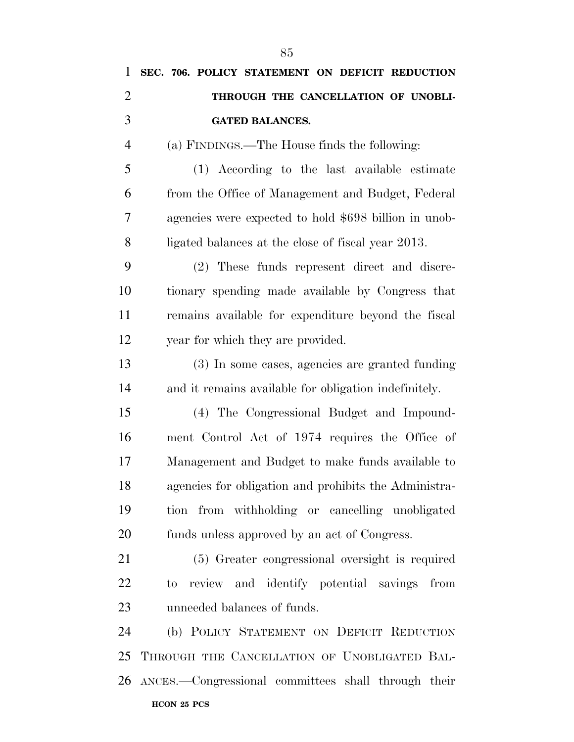| 1              | SEC. 706. POLICY STATEMENT ON DEFICIT REDUCTION       |
|----------------|-------------------------------------------------------|
| $\overline{2}$ | THROUGH THE CANCELLATION OF UNOBLI-                   |
| 3              | <b>GATED BALANCES.</b>                                |
| $\overline{4}$ | (a) FINDINGS.—The House finds the following:          |
| 5              | (1) According to the last available estimate          |
| 6              | from the Office of Management and Budget, Federal     |
| 7              | agencies were expected to hold \$698 billion in unob- |
| 8              | ligated balances at the close of fiscal year 2013.    |
| 9              | (2) These funds represent direct and discre-          |
| 10             | tionary spending made available by Congress that      |
| 11             | remains available for expenditure beyond the fiscal   |
| 12             | year for which they are provided.                     |
| 13             | (3) In some cases, agencies are granted funding       |
| 14             | and it remains available for obligation indefinitely. |
| 15             | (4) The Congressional Budget and Impound-             |
| 16             | ment Control Act of 1974 requires the Office of       |
| 17             | Management and Budget to make funds available to      |
| 18             | agencies for obligation and prohibits the Administra- |
| 19             | tion from withholding or cancelling unobligated       |
| 20             | funds unless approved by an act of Congress.          |
| 21             | (5) Greater congressional oversight is required       |
| 22             | review and identify potential savings from<br>to.     |
| 23             | unneeded balances of funds.                           |
| 24             | (b) POLICY STATEMENT ON DEFICIT REDUCTION             |
| 25             | THROUGH THE CANCELLATION OF UNOBLIGATED BAL-          |
| 26             | ANCES.-Congressional committees shall through their   |
|                | HCON 25 PCS                                           |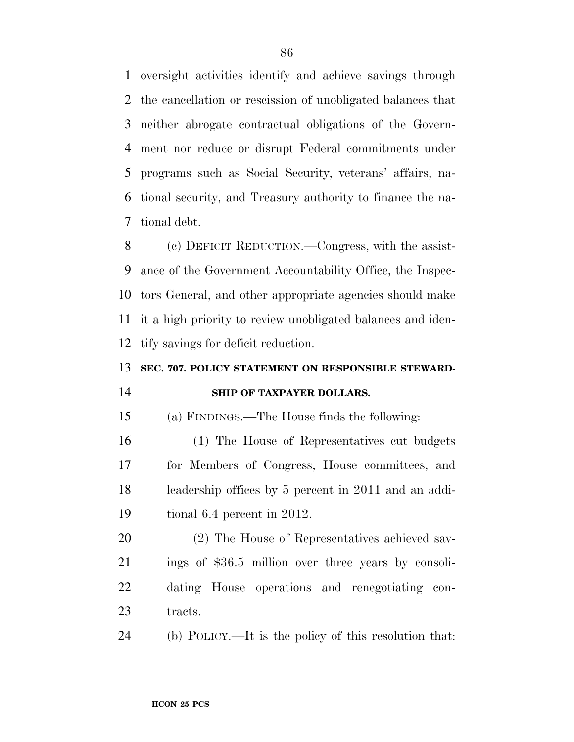oversight activities identify and achieve savings through the cancellation or rescission of unobligated balances that neither abrogate contractual obligations of the Govern- ment nor reduce or disrupt Federal commitments under programs such as Social Security, veterans' affairs, na- tional security, and Treasury authority to finance the na-tional debt.

 (c) DEFICIT REDUCTION.—Congress, with the assist- ance of the Government Accountability Office, the Inspec- tors General, and other appropriate agencies should make it a high priority to review unobligated balances and iden-tify savings for deficit reduction.

## **SEC. 707. POLICY STATEMENT ON RESPONSIBLE STEWARD-**

## **SHIP OF TAXPAYER DOLLARS.**

(a) FINDINGS.—The House finds the following:

 (1) The House of Representatives cut budgets for Members of Congress, House committees, and leadership offices by 5 percent in 2011 and an addi-tional 6.4 percent in 2012.

 (2) The House of Representatives achieved sav- ings of \$36.5 million over three years by consoli- dating House operations and renegotiating con-23 tracts.

(b) POLICY.—It is the policy of this resolution that: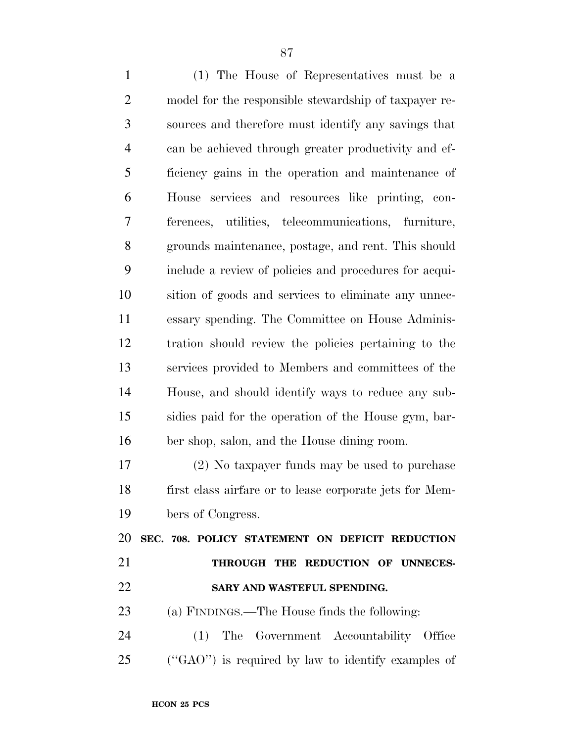(1) The House of Representatives must be a model for the responsible stewardship of taxpayer re- sources and therefore must identify any savings that can be achieved through greater productivity and ef- ficiency gains in the operation and maintenance of House services and resources like printing, con- ferences, utilities, telecommunications, furniture, grounds maintenance, postage, and rent. This should include a review of policies and procedures for acqui- sition of goods and services to eliminate any unnec- essary spending. The Committee on House Adminis- tration should review the policies pertaining to the services provided to Members and committees of the House, and should identify ways to reduce any sub- sidies paid for the operation of the House gym, bar- ber shop, salon, and the House dining room. (2) No taxpayer funds may be used to purchase

 first class airfare or to lease corporate jets for Mem-bers of Congress.

 **SEC. 708. POLICY STATEMENT ON DEFICIT REDUCTION THROUGH THE REDUCTION OF UNNECES-SARY AND WASTEFUL SPENDING.** 

(a) FINDINGS.—The House finds the following:

 (1) The Government Accountability Office (''GAO'') is required by law to identify examples of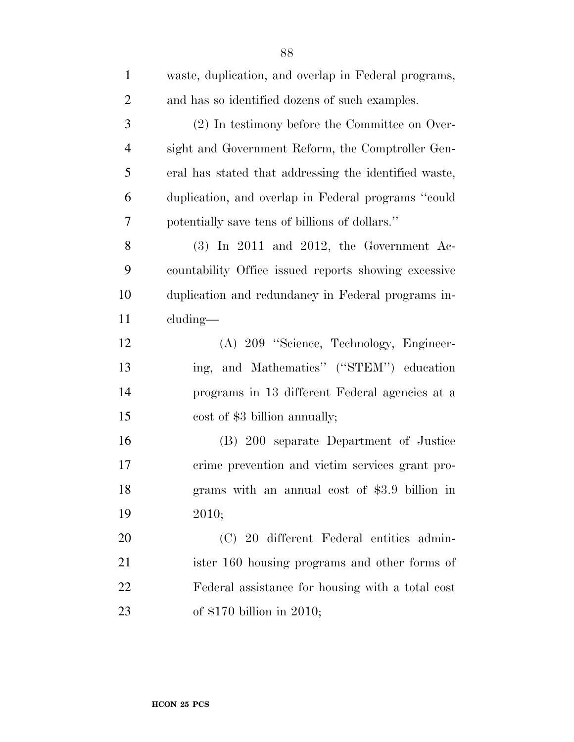| $\mathbf{1}$   | waste, duplication, and overlap in Federal programs,  |
|----------------|-------------------------------------------------------|
| $\overline{c}$ | and has so identified dozens of such examples.        |
| 3              | (2) In testimony before the Committee on Over-        |
| $\overline{4}$ | sight and Government Reform, the Comptroller Gen-     |
| 5              | eral has stated that addressing the identified waste, |
| 6              | duplication, and overlap in Federal programs "could   |
| 7              | potentially save tens of billions of dollars."        |
| 8              | $(3)$ In 2011 and 2012, the Government Ac-            |
| 9              | countability Office issued reports showing excessive  |
| 10             | duplication and redundancy in Federal programs in-    |
| 11             | cluding—                                              |
| 12             | (A) 209 "Science, Technology, Engineer-               |
| 13             | ing, and Mathematics" ("STEM") education              |
| 14             | programs in 13 different Federal agencies at a        |
| 15             | cost of \$3 billion annually;                         |
| 16             | (B) 200 separate Department of Justice                |
| 17             | crime prevention and victim services grant pro-       |
| 18             | grams with an annual cost of \$3.9 billion in         |
| 19             | 2010;                                                 |
| 20             | (C) 20 different Federal entities admin-              |
| 21             | ister 160 housing programs and other forms of         |
| 22             | Federal assistance for housing with a total cost      |
| 23             | of $$170$ billion in 2010;                            |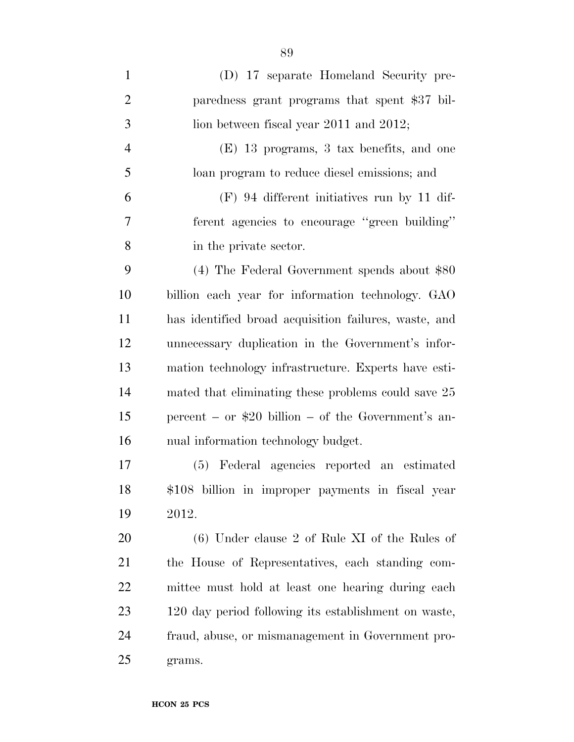| $\mathbf{1}$   | (D) 17 separate Homeland Security pre-                |
|----------------|-------------------------------------------------------|
| $\overline{2}$ | paredness grant programs that spent \$37 bil-         |
| 3              | lion between fiscal year $2011$ and $2012$ ;          |
| $\overline{4}$ | (E) 13 programs, 3 tax benefits, and one              |
| 5              | loan program to reduce diesel emissions; and          |
| 6              | $(F)$ 94 different initiatives run by 11 dif-         |
| $\overline{7}$ | ferent agencies to encourage "green building"         |
| 8              | in the private sector.                                |
| 9              | $(4)$ The Federal Government spends about \$80        |
| 10             | billion each year for information technology. GAO     |
| 11             | has identified broad acquisition failures, waste, and |
| 12             | unnecessary duplication in the Government's infor-    |
| 13             | mation technology infrastructure. Experts have esti-  |
| 14             | mated that eliminating these problems could save 25   |
| 15             | percent – or $$20$ billion – of the Government's an-  |
| 16             | nual information technology budget.                   |
| 17             | (5) Federal agencies reported an estimated            |
| 18             | \$108 billion in improper payments in fiscal year     |
| 19             | 2012.                                                 |
| 20             | $(6)$ Under clause 2 of Rule XI of the Rules of       |
| 21             | the House of Representatives, each standing com-      |
| 22             | mittee must hold at least one hearing during each     |
| 23             | 120 day period following its establishment on waste,  |
| 24             | fraud, abuse, or mismanagement in Government pro-     |
| 25             | grams.                                                |

**HCON 25 PCS**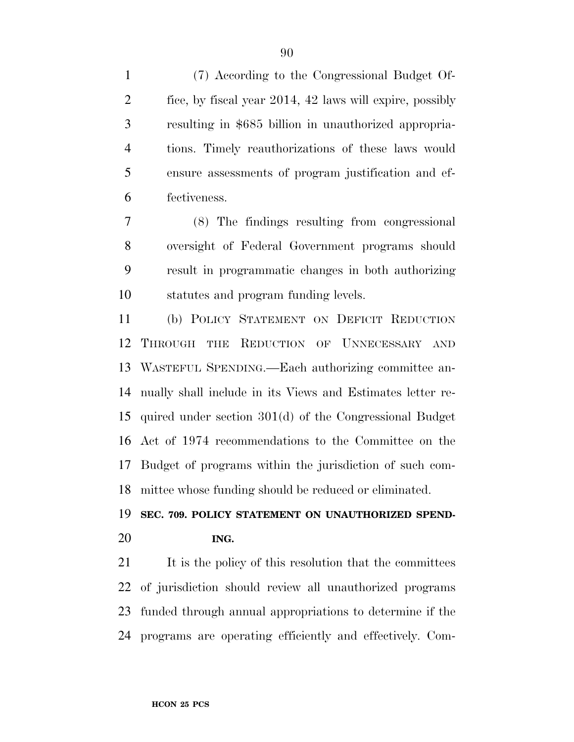(7) According to the Congressional Budget Of- fice, by fiscal year 2014, 42 laws will expire, possibly resulting in \$685 billion in unauthorized appropria- tions. Timely reauthorizations of these laws would ensure assessments of program justification and ef-fectiveness.

 (8) The findings resulting from congressional oversight of Federal Government programs should result in programmatic changes in both authorizing statutes and program funding levels.

 (b) POLICY STATEMENT ON DEFICIT REDUCTION THROUGH THE REDUCTION OF UNNECESSARY AND WASTEFUL SPENDING.—Each authorizing committee an- nually shall include in its Views and Estimates letter re- quired under section 301(d) of the Congressional Budget Act of 1974 recommendations to the Committee on the Budget of programs within the jurisdiction of such com-mittee whose funding should be reduced or eliminated.

## **SEC. 709. POLICY STATEMENT ON UNAUTHORIZED SPEND-ING.**

21 It is the policy of this resolution that the committees of jurisdiction should review all unauthorized programs funded through annual appropriations to determine if the programs are operating efficiently and effectively. Com-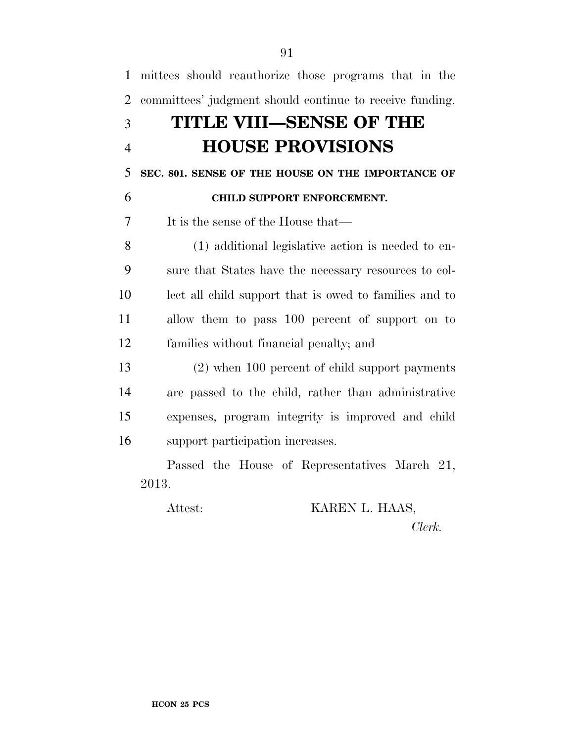| $\mathbf{1}$   | mittees should reauthorize those programs that in the    |
|----------------|----------------------------------------------------------|
| $\overline{2}$ | committees' judgment should continue to receive funding. |
| 3              | TITLE VIII—SENSE OF THE                                  |
| $\overline{4}$ | <b>HOUSE PROVISIONS</b>                                  |
| 5              | SEC. 801. SENSE OF THE HOUSE ON THE IMPORTANCE OF        |
| 6              | CHILD SUPPORT ENFORCEMENT.                               |
| $\overline{7}$ | It is the sense of the House that—                       |
| 8              | (1) additional legislative action is needed to en-       |
| 9              | sure that States have the necessary resources to col-    |
| 10             | lect all child support that is owed to families and to   |
| 11             | allow them to pass 100 percent of support on to          |
| 12             | families without financial penalty; and                  |
| 13             | $(2)$ when 100 percent of child support payments         |
| 14             | are passed to the child, rather than administrative      |
| 15             | expenses, program integrity is improved and child        |
| 16             | support participation increases.                         |
|                | Passed the House of Representatives March 21,            |
|                | 2013.                                                    |
|                | KAREN L. HAAS,<br>Attest:                                |

*Clerk.*